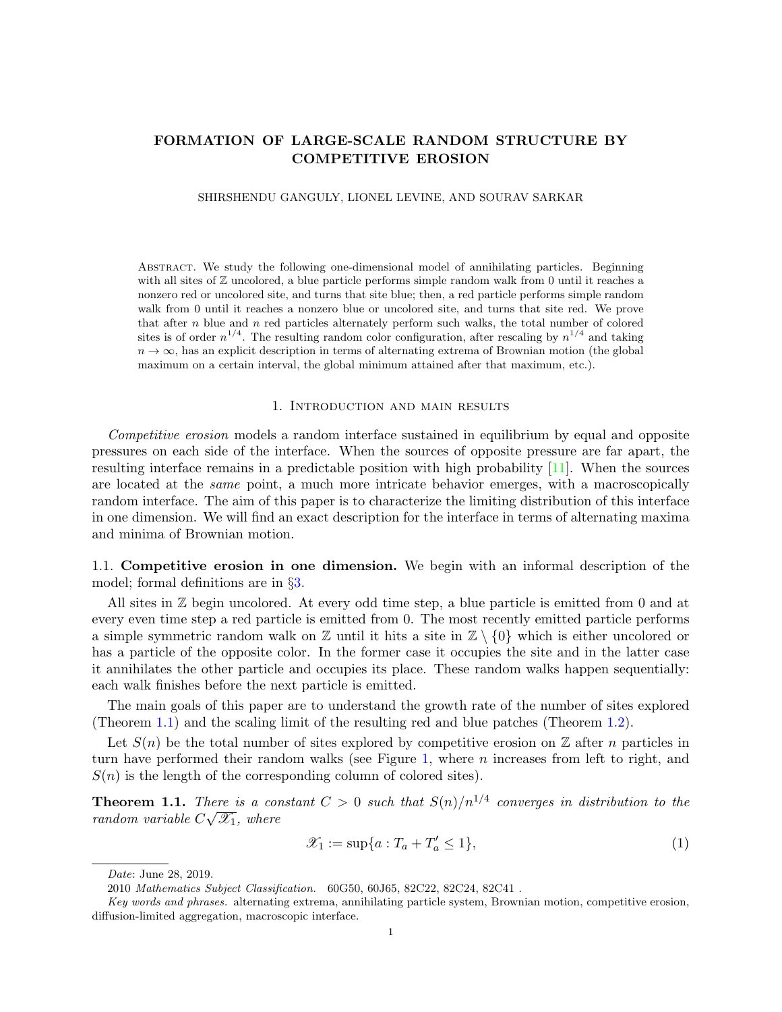# FORMATION OF LARGE-SCALE RANDOM STRUCTURE BY COMPETITIVE EROSION

#### SHIRSHENDU GANGULY, LIONEL LEVINE, AND SOURAV SARKAR

Abstract. We study the following one-dimensional model of annihilating particles. Beginning with all sites of Z uncolored, a blue particle performs simple random walk from 0 until it reaches a nonzero red or uncolored site, and turns that site blue; then, a red particle performs simple random walk from 0 until it reaches a nonzero blue or uncolored site, and turns that site red. We prove that after  $n$  blue and  $n$  red particles alternately perform such walks, the total number of colored sites is of order  $n^{1/4}$ . The resulting random color configuration, after rescaling by  $n^{1/4}$  and taking  $n \to \infty$ , has an explicit description in terms of alternating extrema of Brownian motion (the global maximum on a certain interval, the global minimum attained after that maximum, etc.).

### 1. Introduction and main results

Competitive erosion models a random interface sustained in equilibrium by equal and opposite pressures on each side of the interface. When the sources of opposite pressure are far apart, the resulting interface remains in a predictable position with high probability [\[11\]](#page-41-0). When the sources are located at the same point, a much more intricate behavior emerges, with a macroscopically random interface. The aim of this paper is to characterize the limiting distribution of this interface in one dimension. We will find an exact description for the interface in terms of alternating maxima and minima of Brownian motion.

1.1. Competitive erosion in one dimension. We begin with an informal description of the model; formal definitions are in §[3.](#page-10-0)

All sites in Z begin uncolored. At every odd time step, a blue particle is emitted from 0 and at every even time step a red particle is emitted from 0. The most recently emitted particle performs a simple symmetric random walk on  $\mathbb Z$  until it hits a site in  $\mathbb Z \setminus \{0\}$  which is either uncolored or has a particle of the opposite color. In the former case it occupies the site and in the latter case it annihilates the other particle and occupies its place. These random walks happen sequentially: each walk finishes before the next particle is emitted.

The main goals of this paper are to understand the growth rate of the number of sites explored (Theorem [1.1\)](#page-0-0) and the scaling limit of the resulting red and blue patches (Theorem [1.2\)](#page-4-0).

Let  $S(n)$  be the total number of sites explored by competitive erosion on Z after n particles in turn have performed their random walks (see Figure [1,](#page-1-0) where  $n$  increases from left to right, and  $S(n)$  is the length of the corresponding column of colored sites).

<span id="page-0-0"></span>**Theorem 1.1.** There is a constant  $C > 0$  such that  $S(n)/n^{1/4}$  converges in distribution to the random variable  $C\sqrt{\mathscr{X}_1}$ , where

<span id="page-0-1"></span>
$$
\mathcal{X}_1 := \sup\{a : T_a + T'_a \le 1\},\tag{1}
$$

Date: June 28, 2019.

<sup>2010</sup> Mathematics Subject Classification. 60G50, 60J65, 82C22, 82C24, 82C41 .

Key words and phrases. alternating extrema, annihilating particle system, Brownian motion, competitive erosion, diffusion-limited aggregation, macroscopic interface.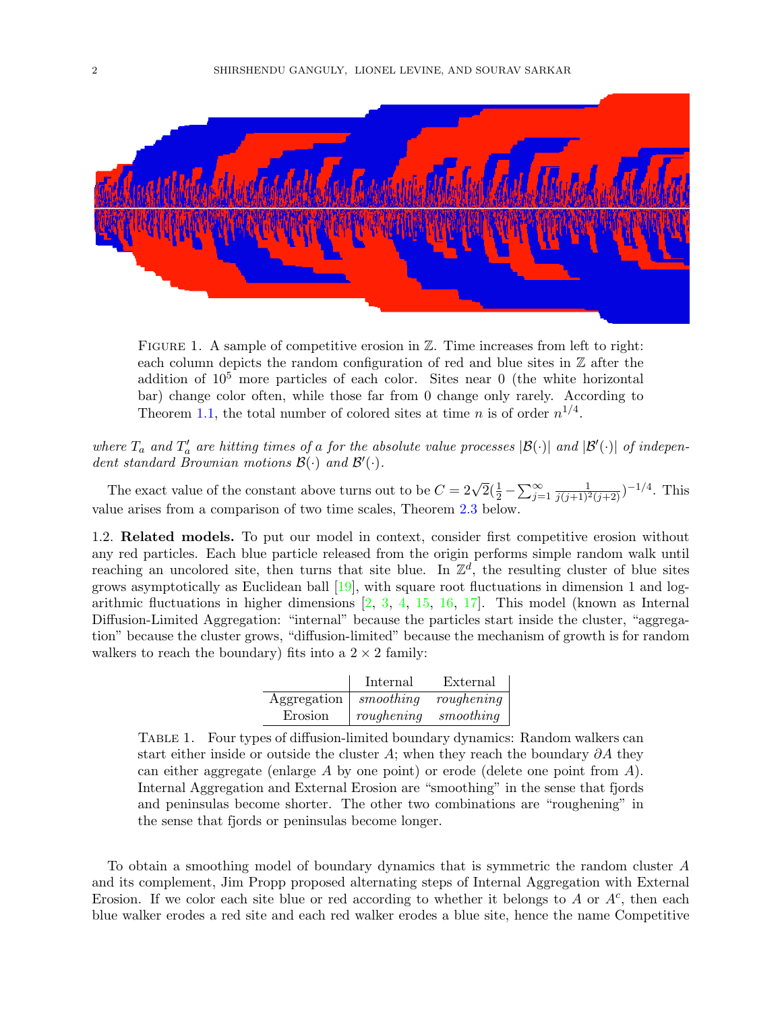

<span id="page-1-0"></span>FIGURE 1. A sample of competitive erosion in  $\mathbb{Z}$ . Time increases from left to right: each column depicts the random configuration of red and blue sites in  $\mathbb Z$  after the addition of  $10^5$  more particles of each color. Sites near 0 (the white horizontal bar) change color often, while those far from 0 change only rarely. According to Theorem [1.1,](#page-0-0) the total number of colored sites at time *n* is of order  $n^{1/4}$ .

where  $T_a$  and  $T'_a$  are hitting times of a for the absolute value processes  $|\mathcal{B}(\cdot)|$  and  $|\mathcal{B}'(\cdot)|$  of independent standard Brownian motions  $\mathcal{B}(\cdot)$  and  $\mathcal{B}'(\cdot)$ .

The exact value of the constant above turns out to be  $C = 2\sqrt{2}(\frac{1}{2} - \sum_{j=1}^{\infty} \frac{1}{j(j+1)^2(j+2)})^{-1/4}$ . This value arises from a comparison of two time scales, Theorem [2.3](#page-8-0) below.

1.2. Related models. To put our model in context, consider first competitive erosion without any red particles. Each blue particle released from the origin performs simple random walk until reaching an uncolored site, then turns that site blue. In  $\mathbb{Z}^d$ , the resulting cluster of blue sites grows asymptotically as Euclidean ball [\[19\]](#page-41-1), with square root fluctuations in dimension 1 and logarithmic fluctuations in higher dimensions  $[2, 3, 4, 15, 16, 17]$  $[2, 3, 4, 15, 16, 17]$  $[2, 3, 4, 15, 16, 17]$  $[2, 3, 4, 15, 16, 17]$  $[2, 3, 4, 15, 16, 17]$  $[2, 3, 4, 15, 16, 17]$  $[2, 3, 4, 15, 16, 17]$  $[2, 3, 4, 15, 16, 17]$  $[2, 3, 4, 15, 16, 17]$  $[2, 3, 4, 15, 16, 17]$  $[2, 3, 4, 15, 16, 17]$ . This model (known as Internal Diffusion-Limited Aggregation: "internal" because the particles start inside the cluster, "aggregation" because the cluster grows, "diffusion-limited" because the mechanism of growth is for random walkers to reach the boundary) fits into a  $2 \times 2$  family:

|             | Internal   | External   |
|-------------|------------|------------|
| Aggregation | smoothing  | roughening |
| Erosion     | roughening | smoothing  |

<span id="page-1-1"></span>Table 1. Four types of diffusion-limited boundary dynamics: Random walkers can start either inside or outside the cluster A; when they reach the boundary  $\partial A$  they can either aggregate (enlarge A by one point) or erode (delete one point from  $A$ ). Internal Aggregation and External Erosion are "smoothing" in the sense that fjords and peninsulas become shorter. The other two combinations are "roughening" in the sense that fjords or peninsulas become longer.

To obtain a smoothing model of boundary dynamics that is symmetric the random cluster A and its complement, Jim Propp proposed alternating steps of Internal Aggregation with External Erosion. If we color each site blue or red according to whether it belongs to  $A$  or  $A<sup>c</sup>$ , then each blue walker erodes a red site and each red walker erodes a blue site, hence the name Competitive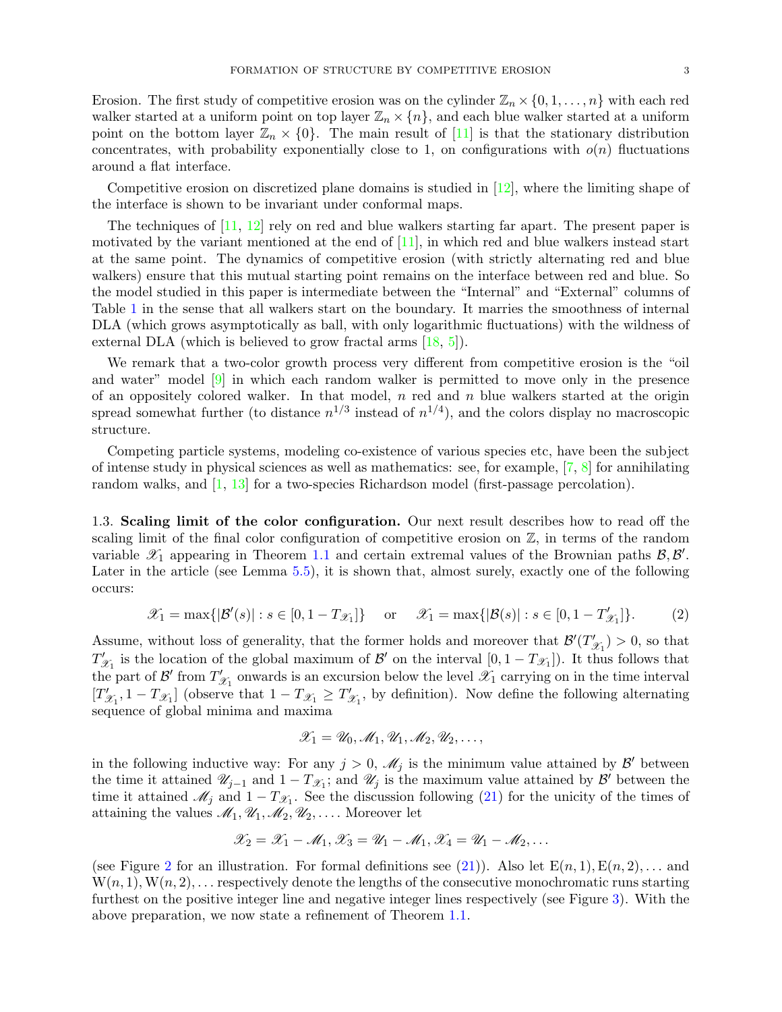Erosion. The first study of competitive erosion was on the cylinder  $\mathbb{Z}_n \times \{0,1,\ldots,n\}$  with each red walker started at a uniform point on top layer  $\mathbb{Z}_n \times \{n\}$ , and each blue walker started at a uniform point on the bottom layer  $\mathbb{Z}_n \times \{0\}$ . The main result of [\[11\]](#page-41-0) is that the stationary distribution concentrates, with probability exponentially close to 1, on configurations with  $o(n)$  fluctuations around a flat interface.

Competitive erosion on discretized plane domains is studied in [\[12\]](#page-41-8), where the limiting shape of the interface is shown to be invariant under conformal maps.

The techniques of [\[11,](#page-41-0) [12\]](#page-41-8) rely on red and blue walkers starting far apart. The present paper is motivated by the variant mentioned at the end of  $[11]$ , in which red and blue walkers instead start at the same point. The dynamics of competitive erosion (with strictly alternating red and blue walkers) ensure that this mutual starting point remains on the interface between red and blue. So the model studied in this paper is intermediate between the "Internal" and "External" columns of Table [1](#page-1-1) in the sense that all walkers start on the boundary. It marries the smoothness of internal DLA (which grows asymptotically as ball, with only logarithmic fluctuations) with the wildness of external DLA (which is believed to grow fractal arms [\[18,](#page-41-9) [5\]](#page-41-10)).

We remark that a two-color growth process very different from competitive erosion is the "oil and water" model [\[9\]](#page-41-11) in which each random walker is permitted to move only in the presence of an oppositely colored walker. In that model,  $n$  red and  $n$  blue walkers started at the origin spread somewhat further (to distance  $n^{1/3}$  instead of  $n^{1/4}$ ), and the colors display no macroscopic structure.

Competing particle systems, modeling co-existence of various species etc, have been the subject of intense study in physical sciences as well as mathematics: see, for example,  $[7, 8]$  $[7, 8]$  $[7, 8]$  for annihilating random walks, and [\[1,](#page-41-14) [13\]](#page-41-15) for a two-species Richardson model (first-passage percolation).

1.3. Scaling limit of the color configuration. Our next result describes how to read off the scaling limit of the final color configuration of competitive erosion on  $\mathbb{Z}$ , in terms of the random variable  $\mathscr{X}_1$  appearing in Theorem [1.1](#page-0-0) and certain extremal values of the Brownian paths  $\mathscr{B}, \mathscr{B}'$ . Later in the article (see Lemma [5.5\)](#page-21-0), it is shown that, almost surely, exactly one of the following occurs:

<span id="page-2-0"></span>
$$
\mathscr{X}_1 = \max\{|\mathcal{B}'(s)| : s \in [0, 1 - T_{\mathscr{X}_1}]\} \quad \text{or} \quad \mathscr{X}_1 = \max\{|\mathcal{B}(s)| : s \in [0, 1 - T'_{\mathscr{X}_1}]\}.
$$
 (2)

Assume, without loss of generality, that the former holds and moreover that  $\mathcal{B}'(T)$  $(\mathscr{L}_1) > 0$ , so that  $T'_{\frac{\delta}{2}}$  $\mathcal{Z}_1$  is the location of the global maximum of  $\mathcal{B}'$  on the interval  $[0, 1 - T_{\mathcal{X}_1}]$ ). It thus follows that the part of  $\mathcal{B}'$  from  $T'$  $\mathscr{X}_1$  onwards is an excursion below the level  $\mathscr{X}_1$  carrying on in the time interval  $[T]$  $T'_{\mathscr{X}_1}$ ,  $1 - T_{\mathscr{X}_1}$  (observe that  $1 - T_{\mathscr{X}_1} \geq T'_{\mathscr{Y}_1}$  $\mathcal{Z}_1$ , by definition). Now define the following alternating sequence of global minima and maxima

$$
\mathscr{X}_1=\mathscr{U}_0,\mathscr{M}_1,\mathscr{U}_1,\mathscr{M}_2,\mathscr{U}_2,\ldots,
$$

in the following inductive way: For any  $j > 0$ ,  $\mathscr{M}_j$  is the minimum value attained by  $\mathcal{B}'$  between the time it attained  $\mathscr{U}_{j-1}$  and  $1-T_{\mathscr{X}_{1}}$ ; and  $\mathscr{U}_{j}$  is the maximum value attained by  $\mathscr{B}'$  between the time it attained  $\mathcal{M}_j$  and  $1 - T_{\mathcal{X}_1}$ . See the discussion following [\(21\)](#page-12-0) for the unicity of the times of attaining the values  $\mathcal{M}_1, \mathcal{U}_1, \mathcal{M}_2, \mathcal{U}_2, \ldots$ . Moreover let

$$
\mathscr{X}_2 = \mathscr{X}_1 - \mathscr{M}_1, \mathscr{X}_3 = \mathscr{U}_1 - \mathscr{M}_1, \mathscr{X}_4 = \mathscr{U}_1 - \mathscr{M}_2, \dots
$$

(see Figure [2](#page-3-0) for an illustration. For formal definitions see [\(21\)](#page-12-0)). Also let  $E(n, 1), E(n, 2), \ldots$  and  $W(n, 1), W(n, 2), \ldots$  respectively denote the lengths of the consecutive monochromatic runs starting furthest on the positive integer line and negative integer lines respectively (see Figure [3\)](#page-4-1). With the above preparation, we now state a refinement of Theorem [1.1.](#page-0-0)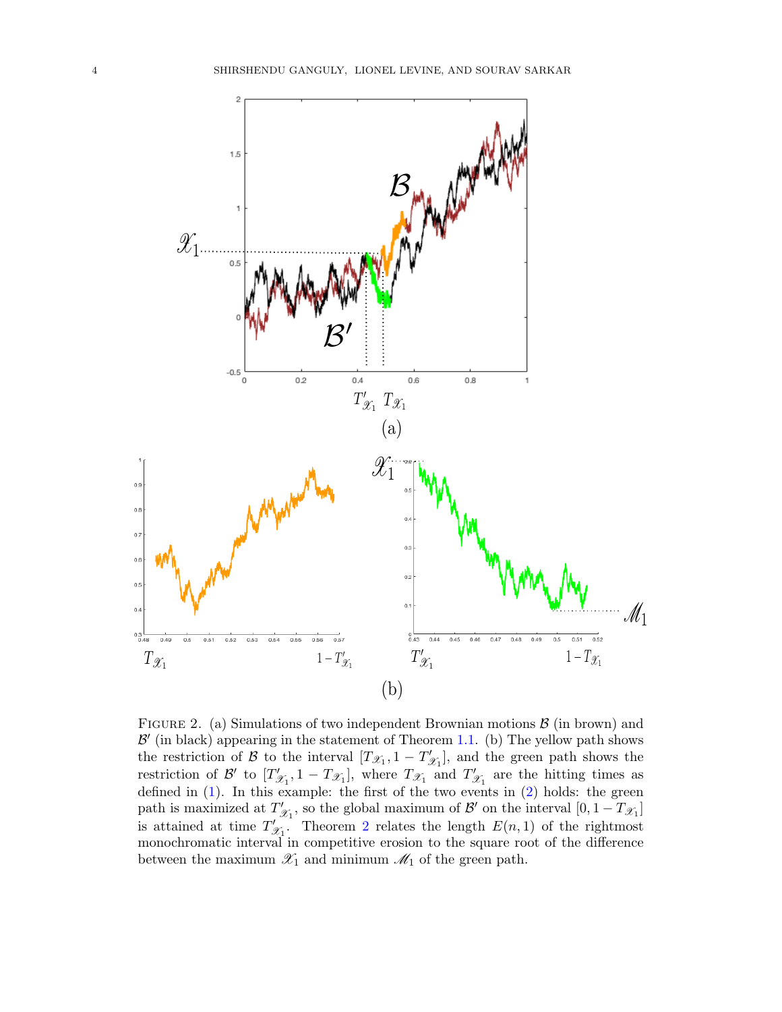

<span id="page-3-0"></span>FIGURE 2. (a) Simulations of two independent Brownian motions  $\beta$  (in brown) and  $\mathcal{B}'$  (in black) appearing in the statement of Theorem [1.1.](#page-0-0) (b) The yellow path shows the restriction of  $\mathcal{B}$  to the interval  $[T_{\mathscr{X}_1}, 1 - T'_{\mathscr{G}}]$  $\mathscr{L}_1$ , and the green path shows the restriction of  $\mathcal{B}'$  to  $T'$  $\mathcal{L}_{\mathcal{X}_1}$ , 1 –  $T_{\mathcal{X}_1}$ , where  $T_{\mathcal{X}_1}$  and  $T'_{\mathcal{Y}_2}$  $\mathscr{X}_1$  are the hitting times as defined in [\(1\)](#page-0-1). In this example: the first of the two events in [\(2\)](#page-2-0) holds: the green path is maximized at  $T'$  $\mathcal{Z}_1$ , so the global maximum of  $\mathcal{B}'$  on the interval  $[0, 1 - T\mathcal{Z}_1]$ is attained at time  $T'$  $\mathcal{Z}_1$ . Theorem [2](#page-2-0) relates the length  $E(n, 1)$  of the rightmost monochromatic interval in competitive erosion to the square root of the difference between the maximum  $\mathscr{X}_1$  and minimum  $\mathscr{M}_1$  of the green path.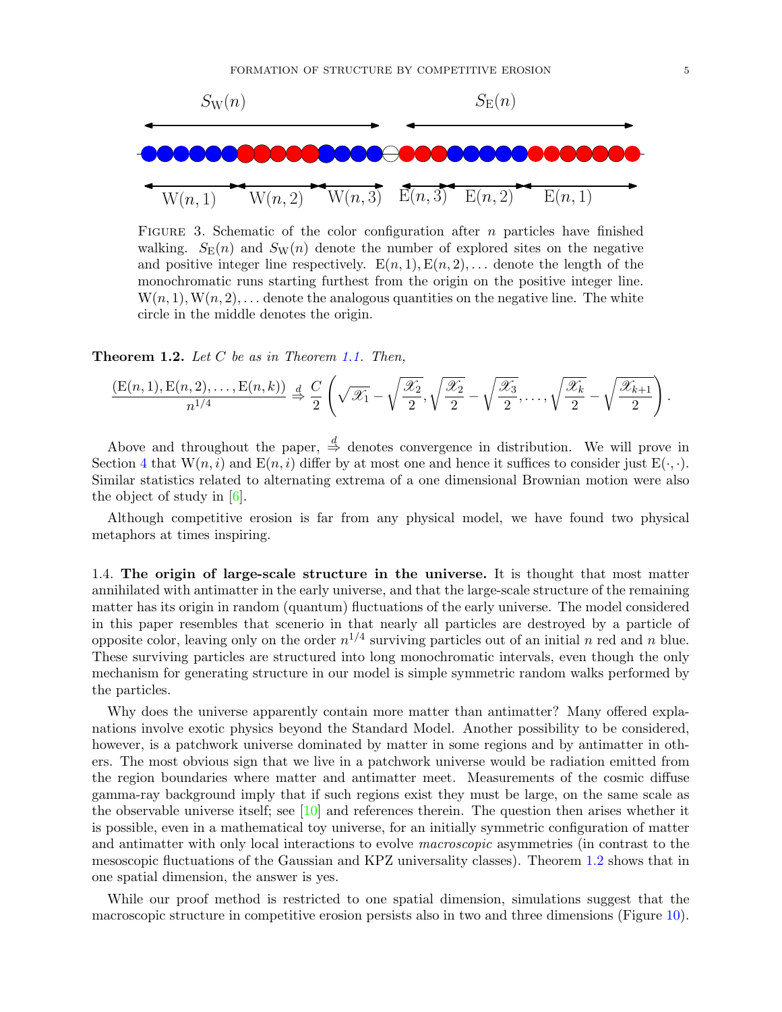

<span id="page-4-1"></span>FIGURE 3. Schematic of the color configuration after n particles have finished walking.  $S_{\rm E}(n)$  and  $S_{\rm W}(n)$  denote the number of explored sites on the negative and positive integer line respectively.  $E(n, 1), E(n, 2), \ldots$  denote the length of the monochromatic runs starting furthest from the origin on the positive integer line.  $W(n, 1), W(n, 2), \ldots$  denote the analogous quantities on the negative line. The white circle in the middle denotes the origin.

<span id="page-4-0"></span>**Theorem 1.2.** Let  $C$  be as in Theorem [1.1.](#page-0-0) Then,

$$
\frac{\left(\mathcal{E}(n,1),\mathcal{E}(n,2),\ldots,\mathcal{E}(n,k)\right)}{n^{1/4}} \xrightarrow{d} \frac{C}{2} \left(\sqrt{\mathscr{X}_1} - \sqrt{\frac{\mathscr{X}_2}{2}},\sqrt{\frac{\mathscr{X}_2}{2}} - \sqrt{\frac{\mathscr{X}_3}{2}},\ldots,\sqrt{\frac{\mathscr{X}_k}{2}} - \sqrt{\frac{\mathscr{X}_{k+1}}{2}}\right).
$$

Above and throughout the paper,  $\stackrel{d}{\Rightarrow}$  denotes convergence in distribution. We will prove in Section [4](#page-12-1) that  $W(n, i)$  and  $E(n, i)$  differ by at most one and hence it suffices to consider just  $E(\cdot, \cdot)$ . Similar statistics related to alternating extrema of a one dimensional Brownian motion were also the object of study in [\[6\]](#page-41-16).

Although competitive erosion is far from any physical model, we have found two physical metaphors at times inspiring.

1.4. The origin of large-scale structure in the universe. It is thought that most matter annihilated with antimatter in the early universe, and that the large-scale structure of the remaining matter has its origin in random (quantum) fluctuations of the early universe. The model considered in this paper resembles that scenerio in that nearly all particles are destroyed by a particle of opposite color, leaving only on the order  $n^{1/4}$  surviving particles out of an initial n red and n blue. These surviving particles are structured into long monochromatic intervals, even though the only mechanism for generating structure in our model is simple symmetric random walks performed by the particles.

Why does the universe apparently contain more matter than antimatter? Many offered explanations involve exotic physics beyond the Standard Model. Another possibility to be considered, however, is a patchwork universe dominated by matter in some regions and by antimatter in others. The most obvious sign that we live in a patchwork universe would be radiation emitted from the region boundaries where matter and antimatter meet. Measurements of the cosmic diffuse gamma-ray background imply that if such regions exist they must be large, on the same scale as the observable universe itself; see [\[10\]](#page-41-17) and references therein. The question then arises whether it is possible, even in a mathematical toy universe, for an initially symmetric configuration of matter and antimatter with only local interactions to evolve macroscopic asymmetries (in contrast to the mesoscopic fluctuations of the Gaussian and KPZ universality classes). Theorem [1.2](#page-4-0) shows that in one spatial dimension, the answer is yes.

While our proof method is restricted to one spatial dimension, simulations suggest that the macroscopic structure in competitive erosion persists also in two and three dimensions (Figure [10\)](#page-40-0).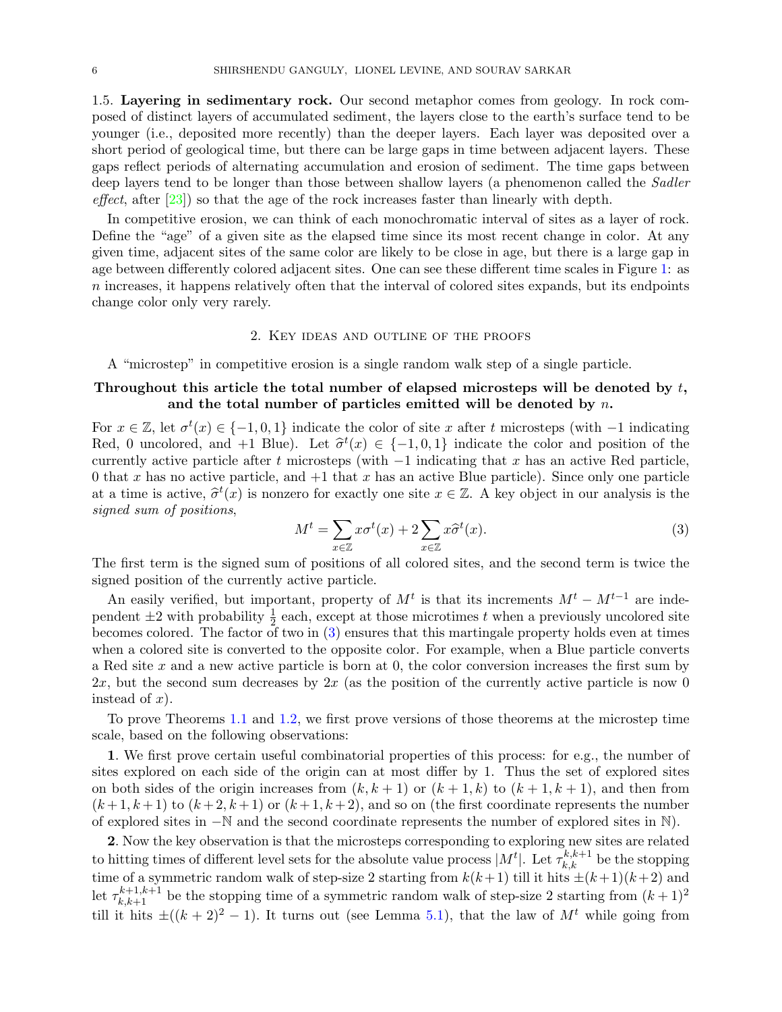1.5. Layering in sedimentary rock. Our second metaphor comes from geology. In rock composed of distinct layers of accumulated sediment, the layers close to the earth's surface tend to be younger (i.e., deposited more recently) than the deeper layers. Each layer was deposited over a short period of geological time, but there can be large gaps in time between adjacent layers. These gaps reflect periods of alternating accumulation and erosion of sediment. The time gaps between deep layers tend to be longer than those between shallow layers (a phenomenon called the Sadler effect, after  $[23]$ ) so that the age of the rock increases faster than linearly with depth.

In competitive erosion, we can think of each monochromatic interval of sites as a layer of rock. Define the "age" of a given site as the elapsed time since its most recent change in color. At any given time, adjacent sites of the same color are likely to be close in age, but there is a large gap in age between differently colored adjacent sites. One can see these different time scales in Figure [1:](#page-1-0) as n increases, it happens relatively often that the interval of colored sites expands, but its endpoints change color only very rarely.

### 2. Key ideas and outline of the proofs

<span id="page-5-1"></span>A "microstep" in competitive erosion is a single random walk step of a single particle.

# Throughout this article the total number of elapsed microsteps will be denoted by  $t$ , and the total number of particles emitted will be denoted by  $n$ .

For  $x \in \mathbb{Z}$ , let  $\sigma^t(x) \in \{-1, 0, 1\}$  indicate the color of site x after t microsteps (with  $-1$  indicating Red, 0 uncolored, and +1 Blue). Let  $\hat{\sigma}^t(x) \in \{-1, 0, 1\}$  indicate the color and position of the currently active particle of the t microstops (with 1 indicating that x has an active Bod particle currently active particle after t microsteps (with  $-1$  indicating that x has an active Red particle, 0 that x has no active particle, and  $+1$  that x has an active Blue particle). Since only one particle at a time is active,  $\hat{\sigma}^t(x)$  is nonzero for exactly one site  $x \in \mathbb{Z}$ . A key object in our analysis is the cional sum of nocitions signed sum of positions,

<span id="page-5-0"></span>
$$
M^{t} = \sum_{x \in \mathbb{Z}} x \sigma^{t}(x) + 2 \sum_{x \in \mathbb{Z}} x \widehat{\sigma}^{t}(x).
$$
\n(3)

The first term is the signed sum of positions of all colored sites, and the second term is twice the signed position of the currently active particle.

An easily verified, but important, property of  $M<sup>t</sup>$  is that its increments  $M<sup>t</sup> - M<sup>t-1</sup>$  are independent  $\pm 2$  with probability  $\frac{1}{2}$  each, except at those microtimes t when a previously uncolored site becomes colored. The factor of two in  $(3)$  ensures that this martingale property holds even at times when a colored site is converted to the opposite color. For example, when a Blue particle converts a Red site  $x$  and a new active particle is born at 0, the color conversion increases the first sum by  $2x$ , but the second sum decreases by  $2x$  (as the position of the currently active particle is now 0 instead of  $x$ ).

To prove Theorems [1.1](#page-0-0) and [1.2,](#page-4-0) we first prove versions of those theorems at the microstep time scale, based on the following observations:

1. We first prove certain useful combinatorial properties of this process: for e.g., the number of sites explored on each side of the origin can at most differ by 1. Thus the set of explored sites on both sides of the origin increases from  $(k, k + 1)$  or  $(k + 1, k)$  to  $(k + 1, k + 1)$ , and then from  $(k+1, k+1)$  to  $(k+2, k+1)$  or  $(k+1, k+2)$ , and so on (the first coordinate represents the number of explored sites in −N and the second coordinate represents the number of explored sites in N).

2. Now the key observation is that the microsteps corresponding to exploring new sites are related to hitting times of different level sets for the absolute value process  $|M^t|$ . Let  $\tau_{k,k}^{k,k+1}$  be the stopping time of a symmetric random walk of step-size 2 starting from  $k(k+1)$  till it hits  $\pm (k+1)(k+2)$  and let  $\tau_{k,k+1}^{k+1,k+1}$  be the stopping time of a symmetric random walk of step-size 2 starting from  $(k+1)^2$ till it hits  $\pm((k+2)^2-1)$ . It turns out (see Lemma [5.1\)](#page-16-0), that the law of  $M^t$  while going from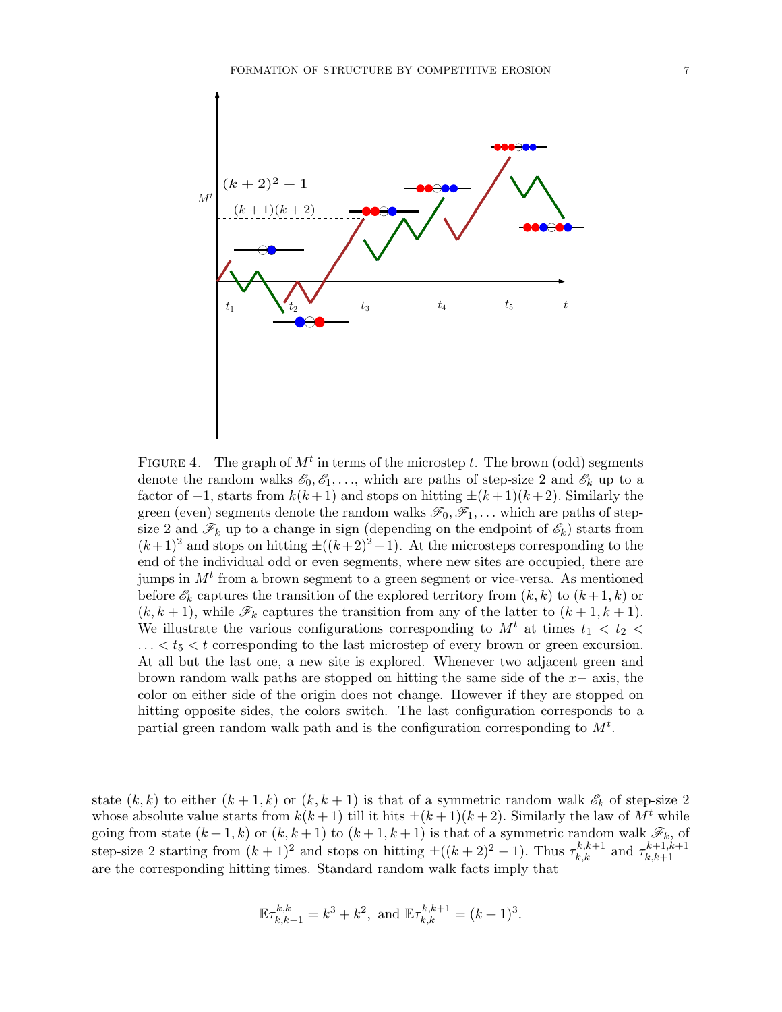

<span id="page-6-0"></span>FIGURE 4. The graph of  $M<sup>t</sup>$  in terms of the microstep t. The brown (odd) segments denote the random walks  $\mathscr{E}_0, \mathscr{E}_1, \ldots$ , which are paths of step-size 2 and  $\mathscr{E}_k$  up to a factor of  $-1$ , starts from  $k(k+1)$  and stops on hitting  $\pm (k+1)(k+2)$ . Similarly the green (even) segments denote the random walks  $\mathscr{F}_0, \mathscr{F}_1, \ldots$  which are paths of stepsize 2 and  $\mathscr{F}_k$  up to a change in sign (depending on the endpoint of  $\mathscr{E}_k$ ) starts from  $(k+1)^2$  and stops on hitting  $\pm((k+2)^2-1)$ . At the microsteps corresponding to the end of the individual odd or even segments, where new sites are occupied, there are jumps in  $M<sup>t</sup>$  from a brown segment to a green segment or vice-versa. As mentioned before  $\mathscr{E}_k$  captures the transition of the explored territory from  $(k, k)$  to  $(k+1, k)$  or  $(k, k + 1)$ , while  $\mathscr{F}_k$  captures the transition from any of the latter to  $(k + 1, k + 1)$ . We illustrate the various configurations corresponding to  $M<sup>t</sup>$  at times  $t<sub>1</sub> < t<sub>2</sub>$  $\ldots < t_5 < t$  corresponding to the last microstep of every brown or green excursion. At all but the last one, a new site is explored. Whenever two adjacent green and brown random walk paths are stopped on hitting the same side of the  $x-$  axis, the color on either side of the origin does not change. However if they are stopped on hitting opposite sides, the colors switch. The last configuration corresponds to a partial green random walk path and is the configuration corresponding to  $M^t$ .

state  $(k, k)$  to either  $(k + 1, k)$  or  $(k, k + 1)$  is that of a symmetric random walk  $\mathscr{E}_k$  of step-size 2 whose absolute value starts from  $k(k+1)$  till it hits  $\pm (k+1)(k+2)$ . Similarly the law of  $M<sup>t</sup>$  while going from state  $(k+1, k)$  or  $(k, k+1)$  to  $(k+1, k+1)$  is that of a symmetric random walk  $\mathscr{F}_k$ , of step-size 2 starting from  $(k+1)^2$  and stops on hitting  $\pm((k+2)^2-1)$ . Thus  $\tau_{k,k}^{k,k+1}$  and  $\tau_{k,k+1}^{k+1,k+1}$  $k,k+1$ are the corresponding hitting times. Standard random walk facts imply that

$$
\mathbb{E}\tau_{k,k-1}^{k,k} = k^3 + k^2, \text{ and } \mathbb{E}\tau_{k,k}^{k,k+1} = (k+1)^3.
$$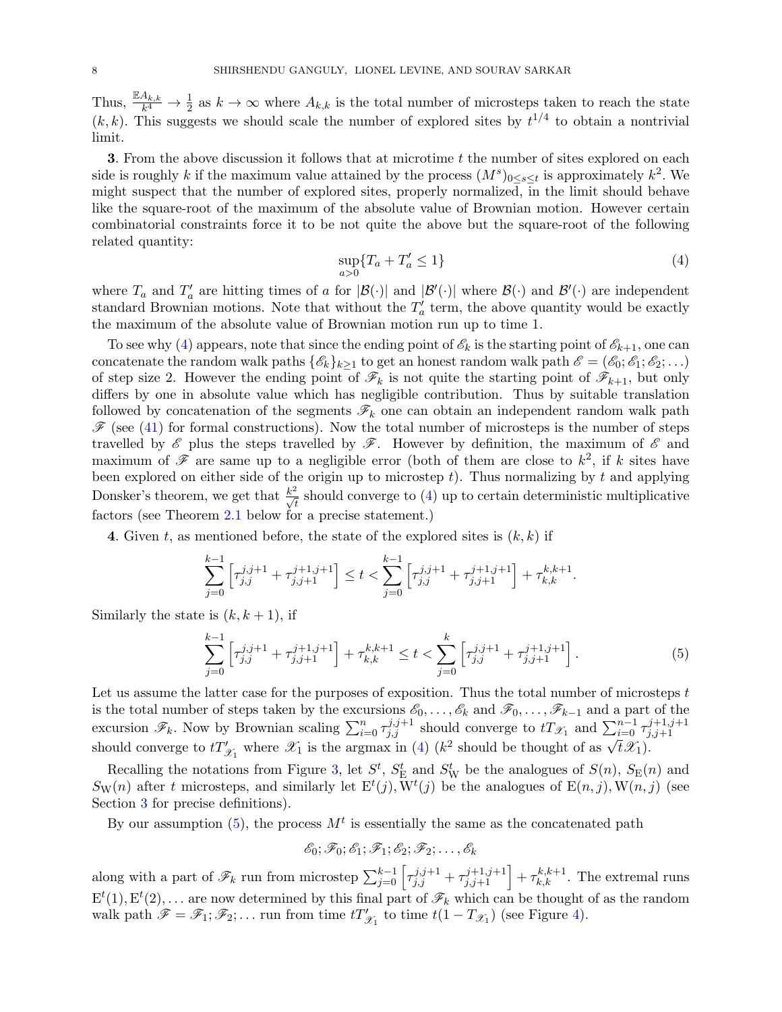Thus,  $\frac{\mathbb{E} A_{k,k}}{k^4} \to \frac{1}{2}$  as  $k \to \infty$  where  $A_{k,k}$  is the total number of microsteps taken to reach the state  $(k, k)$ . This suggests we should scale the number of explored sites by  $t^{1/4}$  to obtain a nontrivial limit.

3. From the above discussion it follows that at microtime t the number of sites explored on each side is roughly k if the maximum value attained by the process  $(M^s)_{0 \le s \le t}$  is approximately  $k^2$ . We might suspect that the number of explored sites, properly normalized, in the limit should behave like the square-root of the maximum of the absolute value of Brownian motion. However certain combinatorial constraints force it to be not quite the above but the square-root of the following related quantity:

<span id="page-7-0"></span>
$$
\sup_{a>0} \{T_a + T'_a \le 1\} \tag{4}
$$

where  $T_a$  and  $T'_a$  are hitting times of a for  $|\mathcal{B}(\cdot)|$  and  $|\mathcal{B}'(\cdot)|$  where  $\mathcal{B}(\cdot)$  and  $\mathcal{B}'(\cdot)$  are independent standard Brownian motions. Note that without the  $T_a'$  term, the above quantity would be exactly the maximum of the absolute value of Brownian motion run up to time 1.

To see why [\(4\)](#page-7-0) appears, note that since the ending point of  $\mathscr{E}_k$  is the starting point of  $\mathscr{E}_{k+1}$ , one can concatenate the random walk paths  $\{\mathscr{E}_k\}_{k>1}$  to get an honest random walk path  $\mathscr{E} = (\mathscr{E}_0; \mathscr{E}_1; \mathscr{E}_2; \ldots)$ of step size 2. However the ending point of  $\mathscr{F}_k$  is not quite the starting point of  $\mathscr{F}_{k+1}$ , but only differs by one in absolute value which has negligible contribution. Thus by suitable translation followed by concatenation of the segments  $\mathscr{F}_k$  one can obtain an independent random walk path  $\mathscr{F}$  (see [\(41\)](#page-19-0) for formal constructions). Now the total number of microsteps is the number of steps travelled by  $\mathscr E$  plus the steps travelled by  $\mathscr F$ . However by definition, the maximum of  $\mathscr E$  and maximum of  $\mathscr F$  are same up to a negligible error (both of them are close to  $k^2$ , if k sites have been explored on either side of the origin up to microstep  $t$ ). Thus normalizing by  $t$  and applying Donsker's theorem, we get that  $\frac{k^2}{\sqrt{t}}$  should converge to [\(4\)](#page-7-0) up to certain deterministic multiplicative factors (see Theorem [2.1](#page-8-1) below for a precise statement.)

4. Given t, as mentioned before, the state of the explored sites is  $(k, k)$  if

$$
\sum_{j=0}^{k-1} \left[ \tau_{j,j}^{j,j+1} + \tau_{j,j+1}^{j+1,j+1} \right] \le t < \sum_{j=0}^{k-1} \left[ \tau_{j,j}^{j,j+1} + \tau_{j,j+1}^{j+1,j+1} \right] + \tau_{k,k}^{k,k+1}.
$$

Similarly the state is  $(k, k + 1)$ , if

<span id="page-7-1"></span>
$$
\sum_{j=0}^{k-1} \left[ \tau_{j,j}^{j,j+1} + \tau_{j,j+1}^{j+1,j+1} \right] + \tau_{k,k}^{k,k+1} \le t < \sum_{j=0}^k \left[ \tau_{j,j}^{j,j+1} + \tau_{j,j+1}^{j+1,j+1} \right]. \tag{5}
$$

Let us assume the latter case for the purposes of exposition. Thus the total number of microsteps  $t$ is the total number of steps taken by the excursions  $\mathscr{E}_0, \ldots, \mathscr{E}_k$  and  $\mathscr{F}_0, \ldots, \mathscr{F}_{k-1}$  and a part of the excursion  $\mathscr{F}_k$ . Now by Brownian scaling  $\sum_{i=0}^n \tau_{j,j}^{j,j+1}$  should converge to  $tT_{\mathscr{X}_1}$  and  $\sum_{i=0}^{n-1} \tau_{j,j+1}^{j+1,j+1}$  $j,j+1$ should converge to  $tT'_{\mathscr{X}_1}$  where  $\mathscr{X}_1$  is the argmax in [\(4\)](#page-7-0) ( $k^2$  should be thought of as  $\sqrt{t}\mathscr{X}_1$ ).

Recalling the notations from Figure [3,](#page-4-1) let  $S^t$ ,  $S^t$  and  $S^t$  be the analogues of  $S(n)$ ,  $S_E(n)$  and  $S_{\rm W}(n)$  after t microsteps, and similarly let  $E^t(j)$ ,  $\overline{W}^t(j)$  be the analogues of  $E(n, j)$ ,  $W(n, j)$  (see Section [3](#page-10-0) for precise definitions).

By our assumption [\(5\)](#page-7-1), the process  $M<sup>t</sup>$  is essentially the same as the concatenated path

$$
\mathscr{E}_0; \mathscr{F}_0; \mathscr{E}_1; \mathscr{F}_1; \mathscr{E}_2; \mathscr{F}_2; \ldots, \mathscr{E}_k
$$

along with a part of  $\mathscr{F}_k$  run from microstep  $\sum_{j=0}^{k-1} \left[ \tau_{j,j}^{j,j+1} + \tau_{j,j+1}^{j+1,j+1} \right] + \tau_{k,k}^{k,k+1}$ . The extremal runs  $E^t(1), E^t(2), \ldots$  are now determined by this final part of  $\mathscr{F}_k$  which can be thought of as the random walk path  $\mathscr{F} = \mathscr{F}_1; \mathscr{F}_2; \ldots$  run from time  $tT'_{\mathscr{X}_1}$  to time  $t(1 - T_{\mathscr{X}_1})$  (see Figure [4\)](#page-6-0).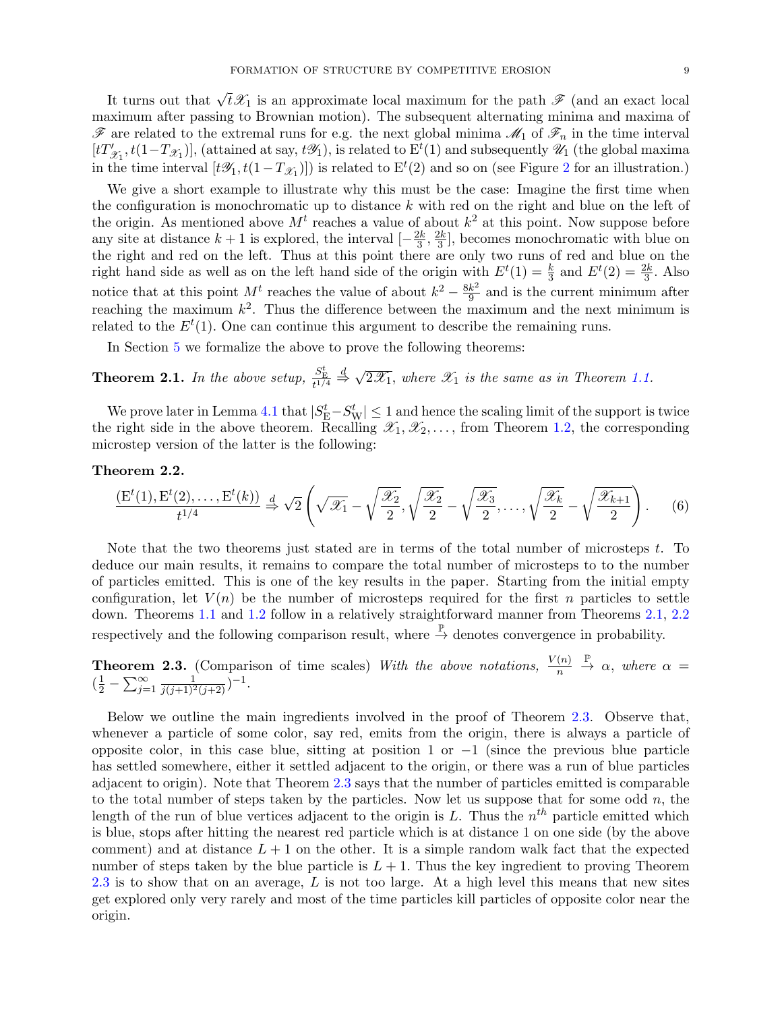It turns out that  $\sqrt{t}\mathscr{X}_1$  is an approximate local maximum for the path  $\mathscr{F}$  (and an exact local maximum after passing to Brownian motion). The subsequent alternating minima and maxima of  $\mathscr F$  are related to the extremal runs for e.g. the next global minima  $\mathscr M_1$  of  $\mathscr F_n$  in the time interval  $[tT'_{\mathscr{X}_1}, t(1-T_{\mathscr{X}_1})],$  (attained at say,  $t\mathscr{Y}_1$ ), is related to  $E^t(1)$  and subsequently  $\mathscr{U}_1$  (the global maxima in the time interval  $[t\mathscr{Y}_1, t(1-T_{\mathscr{X}_1})]$  is related to  $E^t(2)$  $E^t(2)$  $E^t(2)$  and so on (see Figure 2 for an illustration.)

We give a short example to illustrate why this must be the case: Imagine the first time when the configuration is monochromatic up to distance  $k$  with red on the right and blue on the left of the origin. As mentioned above  $M<sup>t</sup>$  reaches a value of about  $k<sup>2</sup>$  at this point. Now suppose before any site at distance  $k+1$  is explored, the interval  $\left[-\frac{2k}{3}\right]$  $\frac{2k}{3}, \frac{2k}{3}$  $\frac{2k}{3}$ , becomes monochromatic with blue on the right and red on the left. Thus at this point there are only two runs of red and blue on the right hand side as well as on the left hand side of the origin with  $E^{t}(1) = \frac{k}{3}$  and  $E^{t}(2) = \frac{2k}{3}$ . Also notice that at this point  $M<sup>t</sup>$  reaches the value of about  $k^2 - \frac{8k^2}{9}$  $\frac{k^2}{9}$  and is the current minimum after reaching the maximum  $k^2$ . Thus the difference between the maximum and the next minimum is related to the  $E^t(1)$ . One can continue this argument to describe the remaining runs.

In Section [5](#page-16-1) we formalize the above to prove the following theorems:

<span id="page-8-1"></span>**Theorem 2.1.** In the above setup,  $\frac{S_E^t}{t^{1/4}}$  $\stackrel{d}{\Rightarrow}$ √  $2\mathcal{X}_1$ , where  $\mathcal{X}_1$  is the same as in Theorem [1.1.](#page-0-0)

We prove later in Lemma [4.1](#page-12-2) that  $|S_E^t - S_W^t| \le 1$  and hence the scaling limit of the support is twice the right side in the above theorem. Recalling  $\mathscr{X}_1, \mathscr{X}_2, \ldots$ , from Theorem [1.2,](#page-4-0) the corresponding microstep version of the latter is the following:

## <span id="page-8-2"></span>Theorem 2.2.

$$
\frac{\left(\mathcal{E}^t(1),\mathcal{E}^t(2),\ldots,\mathcal{E}^t(k)\right)}{t^{1/4}} \stackrel{d}{\Rightarrow} \sqrt{2}\left(\sqrt{\mathscr{X}_1} - \sqrt{\frac{\mathscr{X}_2}{2}},\sqrt{\frac{\mathscr{X}_2}{2}} - \sqrt{\frac{\mathscr{X}_3}{2}},\ldots,\sqrt{\frac{\mathscr{X}_k}{2}} - \sqrt{\frac{\mathscr{X}_{k+1}}{2}}\right). \tag{6}
$$

Note that the two theorems just stated are in terms of the total number of microsteps  $t$ . To deduce our main results, it remains to compare the total number of microsteps to to the number of particles emitted. This is one of the key results in the paper. Starting from the initial empty configuration, let  $V(n)$  be the number of microsteps required for the first n particles to settle down. Theorems [1.1](#page-0-0) and [1.2](#page-4-0) follow in a relatively straightforward manner from Theorems [2.1,](#page-8-1) [2.2](#page-8-2) respectively and the following comparison result, where  $\stackrel{\mathbb{P}}{\rightarrow}$  denotes convergence in probability.

<span id="page-8-0"></span>**Theorem 2.3.** (Comparison of time scales) With the above notations,  $\frac{V(n)}{n}$  $\stackrel{\mathbb{P}}{\rightarrow} \alpha$ , where  $\alpha =$  $(\frac{1}{2} - \sum_{j=1}^{\infty} \frac{1}{j(j+1)^2(j+2)})^{-1}.$ 

Below we outline the main ingredients involved in the proof of Theorem [2.3.](#page-8-0) Observe that, whenever a particle of some color, say red, emits from the origin, there is always a particle of opposite color, in this case blue, sitting at position 1 or  $-1$  (since the previous blue particle has settled somewhere, either it settled adjacent to the origin, or there was a run of blue particles adjacent to origin). Note that Theorem [2.3](#page-8-0) says that the number of particles emitted is comparable to the total number of steps taken by the particles. Now let us suppose that for some odd  $n$ , the length of the run of blue vertices adjacent to the origin is L. Thus the  $n^{th}$  particle emitted which is blue, stops after hitting the nearest red particle which is at distance 1 on one side (by the above comment) and at distance  $L + 1$  on the other. It is a simple random walk fact that the expected number of steps taken by the blue particle is  $L + 1$ . Thus the key ingredient to proving Theorem  $2.3$  is to show that on an average, L is not too large. At a high level this means that new sites get explored only very rarely and most of the time particles kill particles of opposite color near the origin.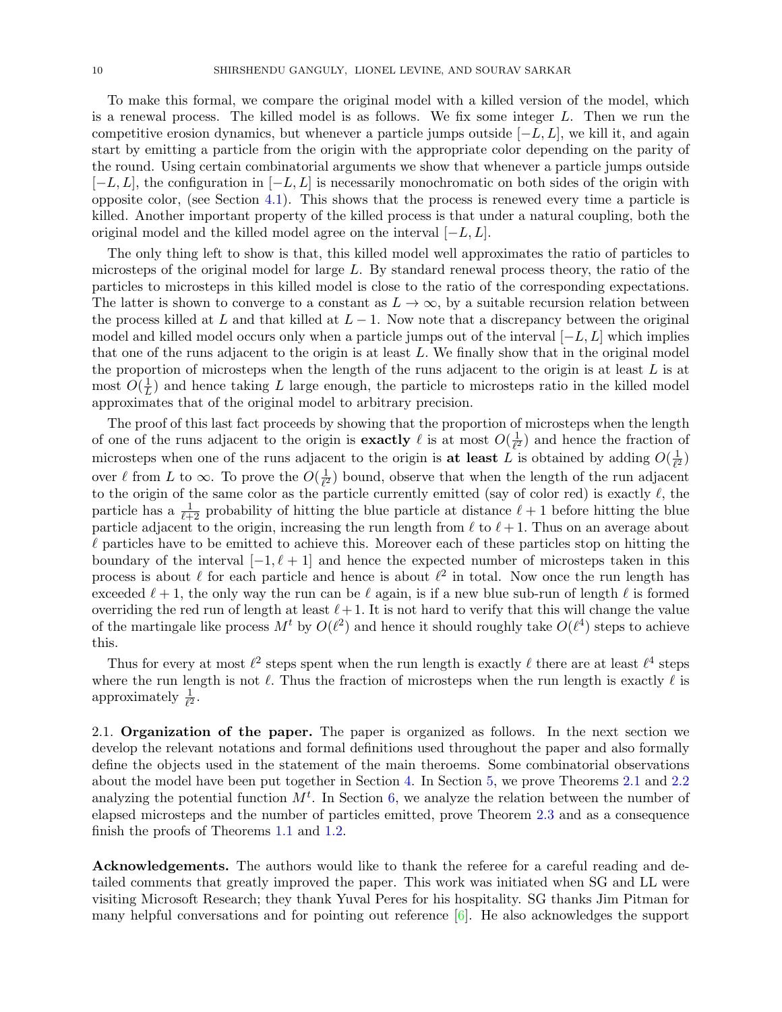To make this formal, we compare the original model with a killed version of the model, which is a renewal process. The killed model is as follows. We fix some integer  $L$ . Then we run the competitive erosion dynamics, but whenever a particle jumps outside  $[-L, L]$ , we kill it, and again start by emitting a particle from the origin with the appropriate color depending on the parity of the round. Using certain combinatorial arguments we show that whenever a particle jumps outside  $[-L, L]$ , the configuration in  $[-L, L]$  is necessarily monochromatic on both sides of the origin with opposite color, (see Section [4.1\)](#page-14-0). This shows that the process is renewed every time a particle is killed. Another important property of the killed process is that under a natural coupling, both the original model and the killed model agree on the interval  $[-L, L]$ .

The only thing left to show is that, this killed model well approximates the ratio of particles to microsteps of the original model for large  $L$ . By standard renewal process theory, the ratio of the particles to microsteps in this killed model is close to the ratio of the corresponding expectations. The latter is shown to converge to a constant as  $L \to \infty$ , by a suitable recursion relation between the process killed at L and that killed at  $L-1$ . Now note that a discrepancy between the original model and killed model occurs only when a particle jumps out of the interval  $[-L, L]$  which implies that one of the runs adjacent to the origin is at least  $L$ . We finally show that in the original model the proportion of microsteps when the length of the runs adjacent to the origin is at least  $L$  is at most  $O(\frac{1}{l})$  $\frac{1}{L}$ ) and hence taking L large enough, the particle to microsteps ratio in the killed model approximates that of the original model to arbitrary precision.

The proof of this last fact proceeds by showing that the proportion of microsteps when the length of one of the runs adjacent to the origin is **exactly**  $\ell$  is at most  $O(\frac{1}{\ell^2})$  $\frac{1}{\ell^2}$ ) and hence the fraction of microsteps when one of the runs adjacent to the origin is at least L is obtained by adding  $O(\frac{1}{\ell^2})$  $\frac{1}{\ell^2})$ over  $\ell$  from L to  $\infty$ . To prove the  $O(\frac{1}{\ell^2})$  $\frac{1}{\ell^2}$ ) bound, observe that when the length of the run adjacent to the origin of the same color as the particle currently emitted (say of color red) is exactly  $\ell$ , the particle has a  $\frac{1}{\ell+2}$  probability of hitting the blue particle at distance  $\ell+1$  before hitting the blue particle adjacent to the origin, increasing the run length from  $\ell$  to  $\ell + 1$ . Thus on an average about  $\ell$  particles have to be emitted to achieve this. Moreover each of these particles stop on hitting the boundary of the interval  $[-1, \ell + 1]$  and hence the expected number of microsteps taken in this process is about  $\ell$  for each particle and hence is about  $\ell^2$  in total. Now once the run length has exceeded  $\ell + 1$ , the only way the run can be  $\ell$  again, is if a new blue sub-run of length  $\ell$  is formed overriding the red run of length at least  $\ell + 1$ . It is not hard to verify that this will change the value of the martingale like process  $M^t$  by  $O(\ell^2)$  and hence it should roughly take  $O(\ell^4)$  steps to achieve this.

Thus for every at most  $\ell^2$  steps spent when the run length is exactly  $\ell$  there are at least  $\ell^4$  steps where the run length is not  $\ell$ . Thus the fraction of microsteps when the run length is exactly  $\ell$  is approximately  $\frac{1}{\ell^2}$ .

2.1. Organization of the paper. The paper is organized as follows. In the next section we develop the relevant notations and formal definitions used throughout the paper and also formally define the objects used in the statement of the main theroems. Some combinatorial observations about the model have been put together in Section [4.](#page-12-1) In Section [5,](#page-16-1) we prove Theorems [2.1](#page-8-1) and [2.2](#page-8-2) analyzing the potential function  $M<sup>t</sup>$ . In Section [6,](#page-26-0) we analyze the relation between the number of elapsed microsteps and the number of particles emitted, prove Theorem [2.3](#page-8-0) and as a consequence finish the proofs of Theorems [1.1](#page-0-0) and [1.2.](#page-4-0)

Acknowledgements. The authors would like to thank the referee for a careful reading and detailed comments that greatly improved the paper. This work was initiated when SG and LL were visiting Microsoft Research; they thank Yuval Peres for his hospitality. SG thanks Jim Pitman for many helpful conversations and for pointing out reference [\[6\]](#page-41-16). He also acknowledges the support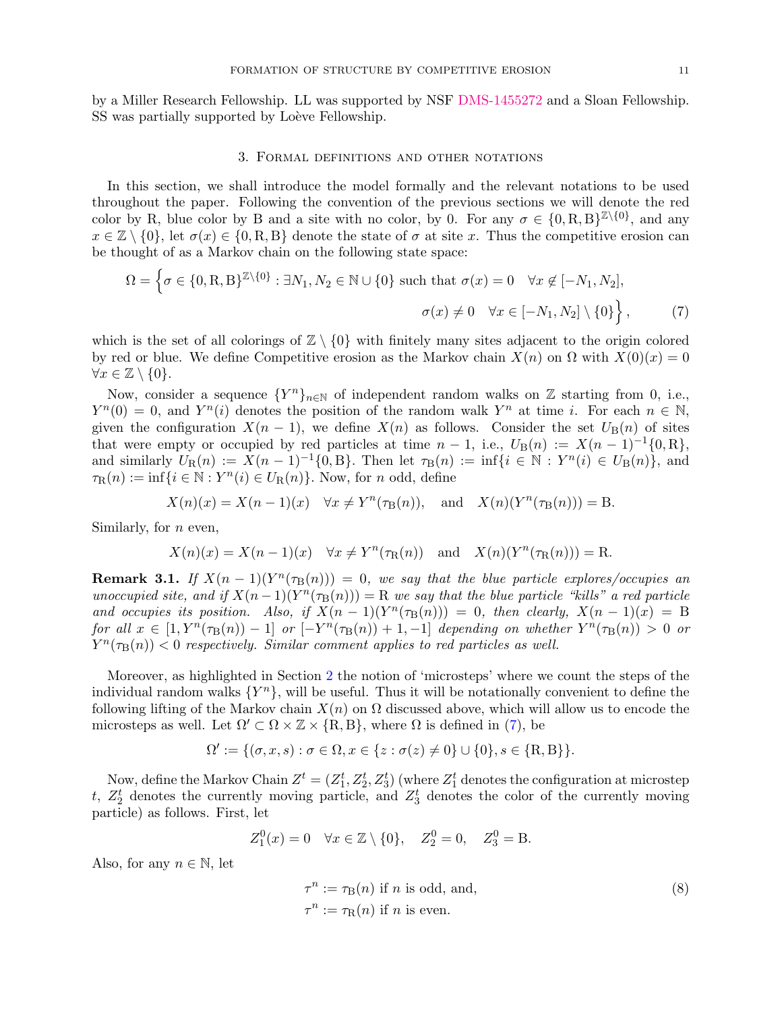by a Miller Research Fellowship. LL was supported by NSF [DMS-1455272](http://www.nsf.gov/awardsearch/showAward?AWD_ID=1455272) and a Sloan Fellowship. SS was partially supported by Loève Fellowship.

#### 3. Formal definitions and other notations

<span id="page-10-0"></span>In this section, we shall introduce the model formally and the relevant notations to be used throughout the paper. Following the convention of the previous sections we will denote the red color by R, blue color by B and a site with no color, by 0. For any  $\sigma \in \{0, R, B\}^{\mathbb{Z}\setminus\{0\}}$ , and any  $x \in \mathbb{Z} \setminus \{0\}$ , let  $\sigma(x) \in \{0, R, B\}$  denote the state of  $\sigma$  at site x. Thus the competitive erosion can be thought of as a Markov chain on the following state space:

<span id="page-10-1"></span>
$$
\Omega = \left\{ \sigma \in \{0, R, B\}^{\mathbb{Z}\backslash\{0\}} : \exists N_1, N_2 \in \mathbb{N} \cup \{0\} \text{ such that } \sigma(x) = 0 \quad \forall x \notin [-N_1, N_2],
$$

$$
\sigma(x) \neq 0 \quad \forall x \in [-N_1, N_2] \setminus \{0\} \right\},\tag{7}
$$

which is the set of all colorings of  $\mathbb{Z} \setminus \{0\}$  with finitely many sites adjacent to the origin colored by red or blue. We define Competitive erosion as the Markov chain  $X(n)$  on  $\Omega$  with  $X(0)(x) = 0$  $\forall x \in \mathbb{Z} \setminus \{0\}.$ 

Now, consider a sequence  ${Y^n}_{n\in\mathbb{N}}$  of independent random walks on Z starting from 0, i.e.,  $Y^n(0) = 0$ , and  $Y^n(i)$  denotes the position of the random walk  $Y^n$  at time i. For each  $n \in \mathbb{N}$ , given the configuration  $X(n-1)$ , we define  $X(n)$  as follows. Consider the set  $U_{\rm B}(n)$  of sites that were empty or occupied by red particles at time  $n-1$ , i.e.,  $U_{\rm B}(n) := X(n-1)^{-1}\{0,\text{R}\},\$ and similarly  $U_{\mathcal{R}}(n) := X(n-1)^{-1}\{0, \mathcal{B}\}\)$ . Then let  $\tau_{\mathcal{B}}(n) := \inf\{i \in \mathbb{N} : Y^{n}(i) \in U_{\mathcal{B}}(n)\}\)$ , and  $\tau_{\mathcal{R}}(n) := \inf\{i \in \mathbb{N} : Y^n(i) \in U_{\mathcal{R}}(n)\}\.$  Now, for *n* odd, define

$$
X(n)(x) = X(n-1)(x) \quad \forall x \neq Y^n(\tau_\mathcal{B}(n)), \quad \text{and} \quad X(n)(Y^n(\tau_\mathcal{B}(n))) = \mathcal{B}.
$$

Similarly, for  $n$  even,

$$
X(n)(x) = X(n-1)(x) \quad \forall x \neq Y^n(\tau_R(n)) \quad \text{and} \quad X(n)(Y^n(\tau_R(n))) = R.
$$

<span id="page-10-2"></span>**Remark 3.1.** If  $X(n-1)(Y^n(\tau_B(n))) = 0$ , we say that the blue particle explores/occupies an unoccupied site, and if  $X(n-1)(Y^n(\tau_B(n))) = R$  we say that the blue particle "kills" a red particle and occupies its position. Also, if  $X(n-1)(Y^n(\tau_B(n))) = 0$ , then clearly,  $X(n-1)(x) = B$ for all  $x \in [1, Y^n(\tau_B(n)) - 1]$  or  $[-Y^n(\tau_B(n)) + 1, -1]$  depending on whether  $Y^n(\tau_B(n)) > 0$  or  $Y^n(\tau_\text{B}(n)) < 0$  respectively. Similar comment applies to red particles as well.

Moreover, as highlighted in Section [2](#page-5-1) the notion of 'microsteps' where we count the steps of the individual random walks  $\{Y^n\}$ , will be useful. Thus it will be notationally convenient to define the following lifting of the Markov chain  $X(n)$  on  $\Omega$  discussed above, which will allow us to encode the microsteps as well. Let  $\Omega' \subset \Omega \times \mathbb{Z} \times \{R, B\}$ , where  $\Omega$  is defined in [\(7\)](#page-10-1), be

$$
\Omega' := \{ (\sigma, x, s) : \sigma \in \Omega, x \in \{ z : \sigma(z) \neq 0 \} \cup \{ 0 \}, s \in \{ R, B \} \}.
$$

Now, define the Markov Chain  $Z^t = (Z_1^t, Z_2^t, Z_3^t)$  (where  $Z_1^t$  denotes the configuration at microstep t,  $Z_2^t$  denotes the currently moving particle, and  $Z_3^t$  denotes the color of the currently moving particle) as follows. First, let

$$
Z_1^0(x) = 0 \quad \forall x \in \mathbb{Z} \setminus \{0\}, \quad Z_2^0 = 0, \quad Z_3^0 = B.
$$

Also, for any  $n \in \mathbb{N}$ , let

<span id="page-10-3"></span>
$$
\tau^n := \tau_B(n) \text{ if } n \text{ is odd, and,}
$$
  
\n
$$
\tau^n := \tau_R(n) \text{ if } n \text{ is even.}
$$
\n(8)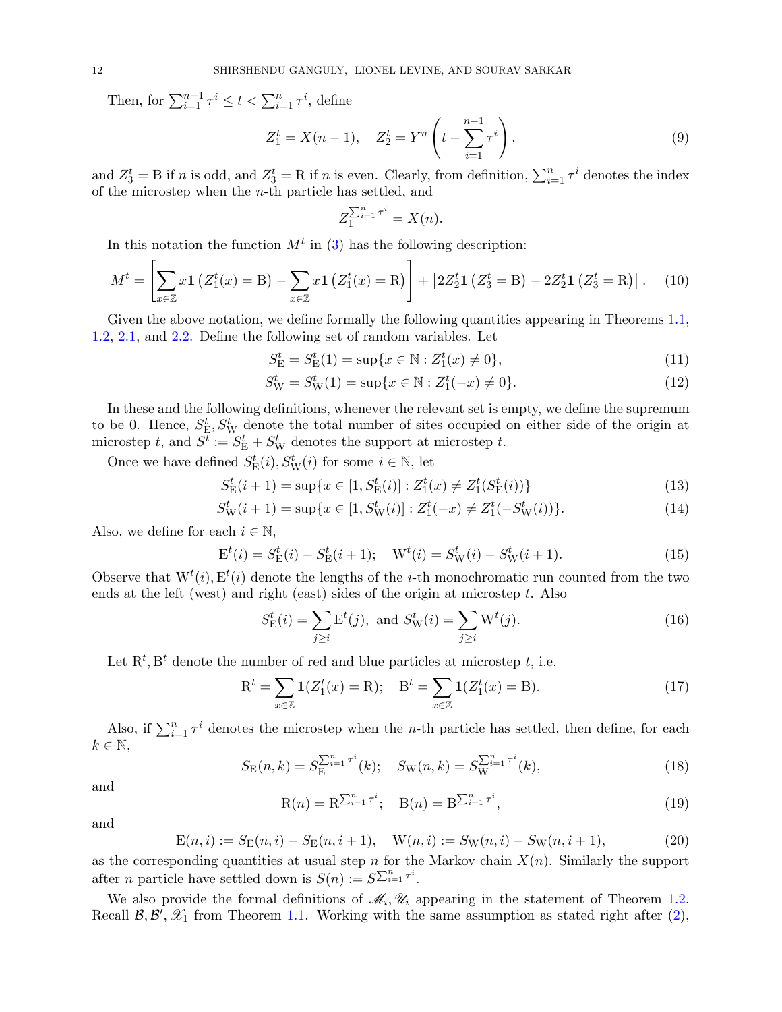Then, for  $\sum_{i=1}^{n-1} \tau^i \leq t < \sum_{i=1}^n \tau^i$ , define

<span id="page-11-5"></span>
$$
Z_1^t = X(n-1), \quad Z_2^t = Y^n \left( t - \sum_{i=1}^{n-1} \tau^i \right), \tag{9}
$$

and  $Z_3^t = B$  if n is odd, and  $Z_3^t = R$  if n is even. Clearly, from definition,  $\sum_{i=1}^n \tau^i$  denotes the index of the microstep when the  $n$ -th particle has settled, and

$$
Z_1^{\sum_{i=1}^n \tau^i} = X(n).
$$

In this notation the function  $M<sup>t</sup>$  in [\(3\)](#page-5-0) has the following description:

<span id="page-11-4"></span>
$$
M^{t} = \left[\sum_{x \in \mathbb{Z}} x \mathbf{1} \left( Z_{1}^{t}(x) = B \right) - \sum_{x \in \mathbb{Z}} x \mathbf{1} \left( Z_{1}^{t}(x) = R \right) \right] + \left[ 2 Z_{2}^{t} \mathbf{1} \left( Z_{3}^{t} = B \right) - 2 Z_{2}^{t} \mathbf{1} \left( Z_{3}^{t} = R \right) \right]. \tag{10}
$$

Given the above notation, we define formally the following quantities appearing in Theorems [1.1,](#page-0-0) [1.2,](#page-4-0) [2.1,](#page-8-1) and [2.2.](#page-8-2) Define the following set of random variables. Let

$$
S_{\mathcal{E}}^{t} = S_{\mathcal{E}}^{t}(1) = \sup\{x \in \mathbb{N} : Z_{1}^{t}(x) \neq 0\},\tag{11}
$$

$$
S_{\mathcal{W}}^t = S_{\mathcal{W}}^t(1) = \sup\{x \in \mathbb{N} : Z_1^t(-x) \neq 0\}.
$$
 (12)

In these and the following definitions, whenever the relevant set is empty, we define the supremum to be 0. Hence,  $S_{\rm E}^t$ ,  $S_{\rm W}^t$  denote the total number of sites occupied on either side of the origin at microstep t, and  $S^{\overline{t}} := S_{\rm E}^t + S_{\rm W}^t$  denotes the support at microstep t.

Once we have defined  $S_{\rm E}^{t}(i), S_{\rm W}^{t}(i)$  for some  $i \in \mathbb{N}$ , let

$$
S_{\mathcal{E}}^{t}(i+1) = \sup\{x \in [1, S_{\mathcal{E}}^{t}(i)] : Z_{1}^{t}(x) \neq Z_{1}^{t}(S_{\mathcal{E}}^{t}(i))\}\tag{13}
$$

$$
S_W^t(i+1) = \sup\{x \in [1, S_W^t(i)] : Z_1^t(-x) \neq Z_1^t(-S_W^t(i))\}.
$$
\n(14)

Also, we define for each  $i \in \mathbb{N}$ ,

<span id="page-11-3"></span>
$$
E^{t}(i) = S_{E}^{t}(i) - S_{E}^{t}(i+1); \quad W^{t}(i) = S_{W}^{t}(i) - S_{W}^{t}(i+1).
$$
\n(15)

Observe that  $W^t(i)$ ,  $E^t(i)$  denote the lengths of the *i*-th monochromatic run counted from the two ends at the left (west) and right (east) sides of the origin at microstep t. Also

$$
S_{\mathcal{E}}^{t}(i) = \sum_{j \ge i} \mathcal{E}^{t}(j), \text{ and } S_{\mathcal{W}}^{t}(i) = \sum_{j \ge i} \mathcal{W}^{t}(j).
$$
 (16)

Let  $\mathbf{R}^t, \mathbf{B}^t$  denote the number of red and blue particles at microstep t, i.e.

$$
R^{t} = \sum_{x \in \mathbb{Z}} \mathbf{1}(Z_{1}^{t}(x) = R); \quad B^{t} = \sum_{x \in \mathbb{Z}} \mathbf{1}(Z_{1}^{t}(x) = B).
$$
 (17)

Also, if  $\sum_{i=1}^{n} \tau^{i}$  denotes the microstep when the *n*-th particle has settled, then define, for each  $k \in \mathbb{N}$ ,

<span id="page-11-0"></span>
$$
S_{\mathcal{E}}(n,k) = S_{\mathcal{E}}^{\sum_{i=1}^{n} \tau^{i}}(k); \quad S_{\mathcal{W}}(n,k) = S_{\mathcal{W}}^{\sum_{i=1}^{n} \tau^{i}}(k), \tag{18}
$$

and

<span id="page-11-1"></span>
$$
R(n) = R^{\sum_{i=1}^{n} \tau^{i}}; \quad B(n) = B^{\sum_{i=1}^{n} \tau^{i}},
$$
\n(19)

and

<span id="page-11-2"></span>
$$
E(n,i) := S_E(n,i) - S_E(n,i+1), \quad W(n,i) := S_W(n,i) - S_W(n,i+1), \tag{20}
$$

as the corresponding quantities at usual step n for the Markov chain  $X(n)$ . Similarly the support after *n* particle have settled down is  $S(n) := S^{\sum_{i=1}^{n} \tau^{i}}$ .

We also provide the formal definitions of  $\mathcal{M}_i, \mathcal{U}_i$  appearing in the statement of Theorem [1.2.](#page-4-0) Recall  $\mathcal{B}, \mathcal{B}', \mathcal{X}_1$  from Theorem [1.1.](#page-0-0) Working with the same assumption as stated right after  $(2)$ ,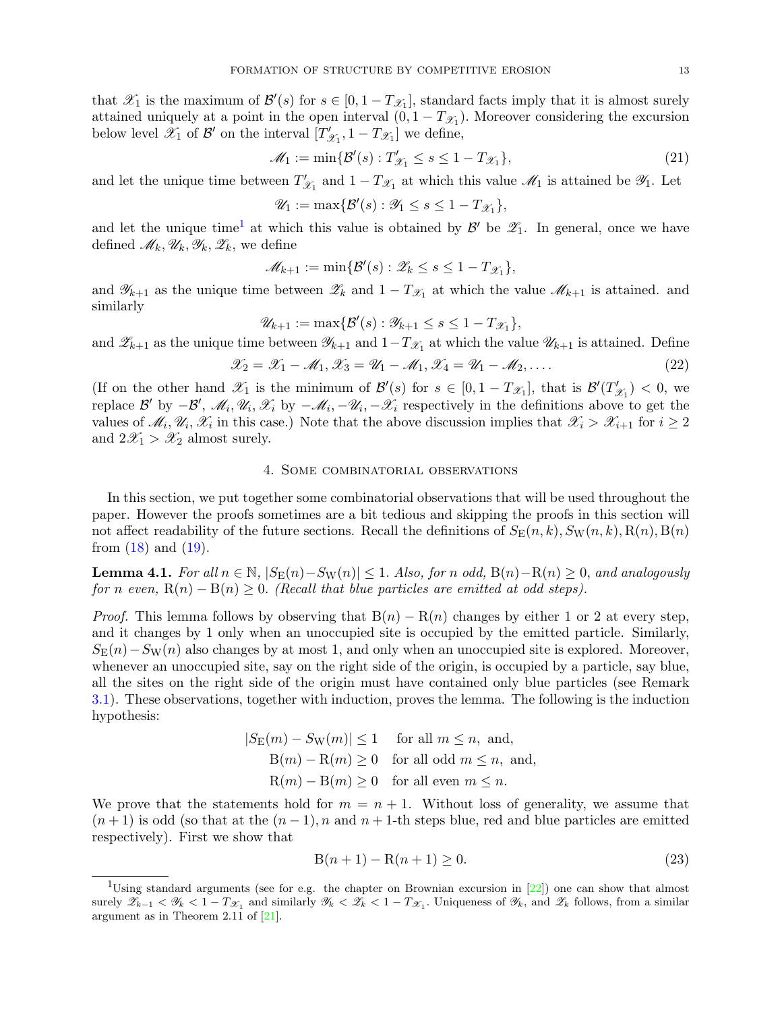that  $\mathscr{X}_1$  is the maximum of  $\mathscr{B}'(s)$  for  $s \in [0, 1 - T_{\mathscr{X}_1}]$ , standard facts imply that it is almost surely attained uniquely at a point in the open interval  $(0, 1 - T_{\mathcal{X}_1})$ . Moreover considering the excursion below level  $\mathscr{X}_1$  of  $\mathcal{B}'$  on the interval  $[T'_\beta]$  $T'_{\mathscr{X}_1}$ ,  $1 - T_{\mathscr{X}_1}$  we define,

<span id="page-12-0"></span>
$$
\mathcal{M}_1 := \min\{\mathcal{B}'(s) : T'_{\mathcal{X}_1} \le s \le 1 - T_{\mathcal{X}_1}\},\tag{21}
$$

and let the unique time between  $T'$  $\mathscr{X}_1$  and  $1 - T_{\mathscr{X}_1}$  at which this value  $\mathscr{M}_1$  is attained be  $\mathscr{Y}_1$ . Let

$$
\mathscr{U}_1 := \max \{ \mathcal{B}'(s) : \mathscr{Y}_1 \le s \le 1 - T_{\mathscr{X}_1} \},\
$$

and let the unique time<sup>[1](#page-12-3)</sup> at which this value is obtained by  $\mathcal{B}'$  be  $\mathscr{Z}_1$ . In general, once we have defined  $\mathscr{M}_k, \mathscr{U}_k, \mathscr{Y}_k, \mathscr{Z}_k$ , we define

$$
\mathscr{M}_{k+1} := \min \{ \mathcal{B}'(s) : \mathscr{Z}_k \le s \le 1 - T_{\mathscr{X}_1} \},
$$

and  $\mathscr{Y}_{k+1}$  as the unique time between  $\mathscr{Z}_k$  and  $1-T_{\mathscr{X}_1}$  at which the value  $\mathscr{M}_{k+1}$  is attained. and similarly

$$
\mathscr{U}_{k+1} := \max \{ \mathcal{B}'(s) : \mathscr{Y}_{k+1} \le s \le 1 - T_{\mathscr{X}_1} \},\
$$

and  $\mathscr{Z}_{k+1}$  as the unique time between  $\mathscr{Y}_{k+1}$  and  $1-T_{\mathscr{X}_1}$  at which the value  $\mathscr{U}_{k+1}$  is attained. Define

<span id="page-12-5"></span>
$$
\mathscr{X}_2 = \mathscr{X}_1 - \mathscr{M}_1, \mathscr{X}_3 = \mathscr{U}_1 - \mathscr{M}_1, \mathscr{X}_4 = \mathscr{U}_1 - \mathscr{M}_2, \dots
$$
\n
$$
(22)
$$

(If on the other hand  $\mathscr{X}_1$  is the minimum of  $\mathcal{B}'(s)$  for  $s \in [0, 1 - T_{\mathscr{X}_1}]$ , that is  $\mathcal{B}'(T'_{\mathscr{S}_1})$  $y'_{\mathscr{X}_1}$  > 0, we replace B' by  $-\mathcal{B}'$ ,  $\mathcal{M}_i, \mathcal{U}_i, \mathcal{X}_i$  by  $-\mathcal{M}_i, -\mathcal{U}_i, -\mathcal{X}_i$  respectively in the definitions above to get the values of  $\mathcal{M}_i, \mathcal{U}_i, \mathcal{X}_i$  in this case.) Note that the above discussion implies that  $\mathcal{X}_i > \mathcal{X}_{i+1}$  for  $i \geq 2$ and  $2\mathcal{X}_1 > \mathcal{X}_2$  almost surely.

# 4. Some combinatorial observations

<span id="page-12-1"></span>In this section, we put together some combinatorial observations that will be used throughout the paper. However the proofs sometimes are a bit tedious and skipping the proofs in this section will not affect readability of the future sections. Recall the definitions of  $S_{\rm E}(n, k)$ ,  $S_{\rm W}(n, k)$ ,  $R(n)$ ,  $B(n)$ from  $(18)$  and  $(19)$ .

<span id="page-12-2"></span>**Lemma 4.1.** For all  $n \in \mathbb{N}$ ,  $|S_{\mathbb{E}}(n) - S_{\mathbb{W}}(n)| \leq 1$ . Also, for n odd,  $B(n) - R(n) \geq 0$ , and analogously for n even,  $R(n) - B(n) \geq 0$ . (Recall that blue particles are emitted at odd steps).

*Proof.* This lemma follows by observing that  $B(n) - R(n)$  changes by either 1 or 2 at every step, and it changes by 1 only when an unoccupied site is occupied by the emitted particle. Similarly,  $S_{\rm E}(n)-S_{\rm W}(n)$  also changes by at most 1, and only when an unoccupied site is explored. Moreover, whenever an unoccupied site, say on the right side of the origin, is occupied by a particle, say blue, all the sites on the right side of the origin must have contained only blue particles (see Remark [3.1\)](#page-10-2). These observations, together with induction, proves the lemma. The following is the induction hypothesis:

$$
|S_{\mathcal{E}}(m) - S_{\mathcal{W}}(m)| \le 1 \quad \text{for all } m \le n, \text{ and,}
$$
  
 
$$
B(m) - R(m) \ge 0 \quad \text{for all odd } m \le n, \text{ and,}
$$
  
 
$$
R(m) - B(m) \ge 0 \quad \text{for all even } m \le n.
$$

We prove that the statements hold for  $m = n + 1$ . Without loss of generality, we assume that  $(n+1)$  is odd (so that at the  $(n-1)$ , n and  $n+1$ -th steps blue, red and blue particles are emitted respectively). First we show that

<span id="page-12-4"></span>
$$
B(n+1) - R(n+1) \ge 0.
$$
\n(23)

<span id="page-12-3"></span><sup>&</sup>lt;sup>1</sup>Using standard arguments (see for e.g. the chapter on Brownian excursion in  $[22]$ ) one can show that almost surely  $\mathscr{Z}_{k-1} < \mathscr{Y}_k < 1 - T_{\mathscr{X}_1}$  and similarly  $\mathscr{Y}_k < \mathscr{Z}_k < 1 - T_{\mathscr{X}_1}$ . Uniqueness of  $\mathscr{Y}_k$ , and  $\mathscr{Z}_k$  follows, from a similar argument as in Theorem 2.11 of [\[21\]](#page-42-2).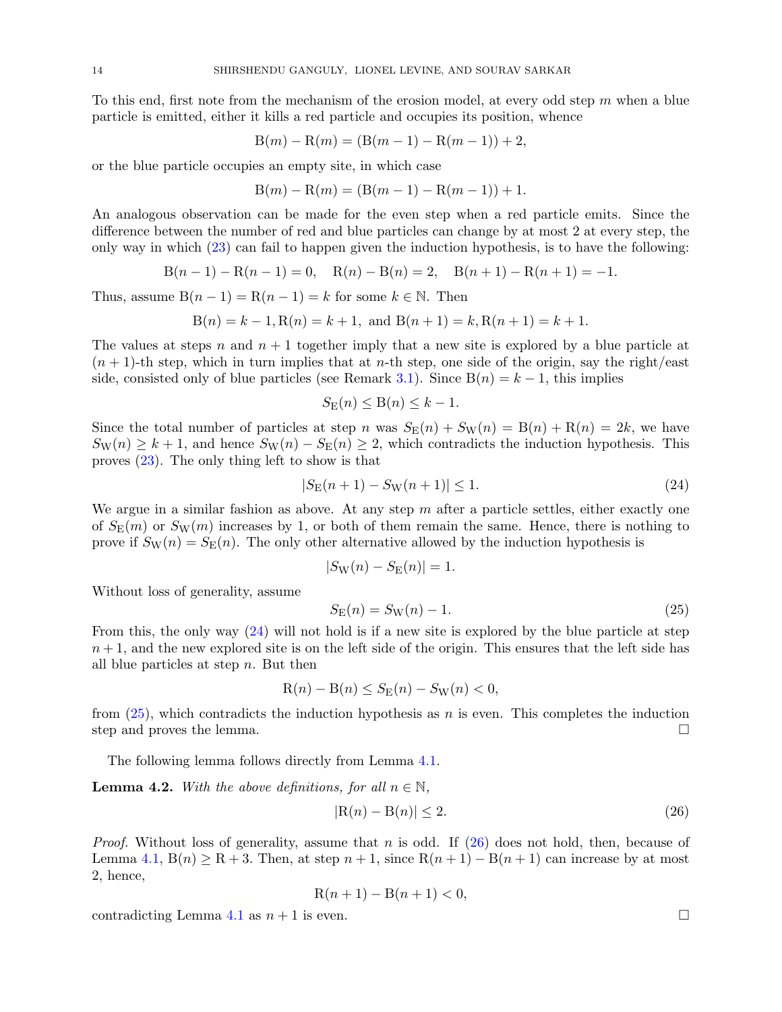To this end, first note from the mechanism of the erosion model, at every odd step  $m$  when a blue particle is emitted, either it kills a red particle and occupies its position, whence

$$
B(m) - R(m) = (B(m - 1) - R(m - 1)) + 2,
$$

or the blue particle occupies an empty site, in which case

$$
B(m) - R(m) = (B(m - 1) - R(m - 1)) + 1.
$$

An analogous observation can be made for the even step when a red particle emits. Since the difference between the number of red and blue particles can change by at most 2 at every step, the only way in which [\(23\)](#page-12-4) can fail to happen given the induction hypothesis, is to have the following:

$$
B(n-1) - R(n-1) = 0, \quad R(n) - B(n) = 2, \quad B(n+1) - R(n+1) = -1.
$$

Thus, assume  $B(n-1) = R(n-1) = k$  for some  $k \in \mathbb{N}$ . Then

$$
B(n) = k - 1
$$
,  $R(n) = k + 1$ , and  $B(n + 1) = k$ ,  $R(n + 1) = k + 1$ .

The values at steps n and  $n + 1$  together imply that a new site is explored by a blue particle at  $(n + 1)$ -th step, which in turn implies that at *n*-th step, one side of the origin, say the right/east side, consisted only of blue particles (see Remark [3.1\)](#page-10-2). Since  $B(n) = k - 1$ , this implies

$$
S_{\mathcal{E}}(n) \leq \mathcal{B}(n) \leq k - 1.
$$

Since the total number of particles at step n was  $S_{\text{E}}(n) + S_{\text{W}}(n) = B(n) + R(n) = 2k$ , we have  $S_{\text{W}}(n) \geq k+1$ , and hence  $S_{\text{W}}(n) - S_{\text{E}}(n) \geq 2$ , which contradicts the induction hypothesis. This proves [\(23\)](#page-12-4). The only thing left to show is that

<span id="page-13-0"></span>
$$
|S_{\mathcal{E}}(n+1) - S_{\mathcal{W}}(n+1)| \le 1. \tag{24}
$$

We argue in a similar fashion as above. At any step  $m$  after a particle settles, either exactly one of  $S_{\rm E}(m)$  or  $S_{\rm W}(m)$  increases by 1, or both of them remain the same. Hence, there is nothing to prove if  $S_{\text{W}}(n) = S_{\text{E}}(n)$ . The only other alternative allowed by the induction hypothesis is

$$
|S_{\rm W}(n) - S_{\rm E}(n)| = 1.
$$

Without loss of generality, assume

<span id="page-13-1"></span>
$$
S_{\rm E}(n) = S_{\rm W}(n) - 1.
$$
\n(25)

From this, the only way [\(24\)](#page-13-0) will not hold is if a new site is explored by the blue particle at step  $n+1$ , and the new explored site is on the left side of the origin. This ensures that the left side has all blue particles at step  $n$ . But then

$$
R(n) - B(n) \le S_E(n) - S_W(n) < 0,
$$

from  $(25)$ , which contradicts the induction hypothesis as n is even. This completes the induction step and proves the lemma.

The following lemma follows directly from Lemma [4.1.](#page-12-2)

<span id="page-13-3"></span>**Lemma 4.2.** With the above definitions, for all  $n \in \mathbb{N}$ ,

<span id="page-13-2"></span>
$$
|\mathcal{R}(n) - \mathcal{B}(n)| \le 2. \tag{26}
$$

*Proof.* Without loss of generality, assume that n is odd. If  $(26)$  does not hold, then, because of Lemma [4.1,](#page-12-2)  $B(n) \ge R + 3$ . Then, at step  $n + 1$ , since  $R(n + 1) - B(n + 1)$  can increase by at most 2, hence,

$$
R(n+1) - B(n+1) < 0
$$

contradicting Lemma [4.1](#page-12-2) as  $n + 1$  is even.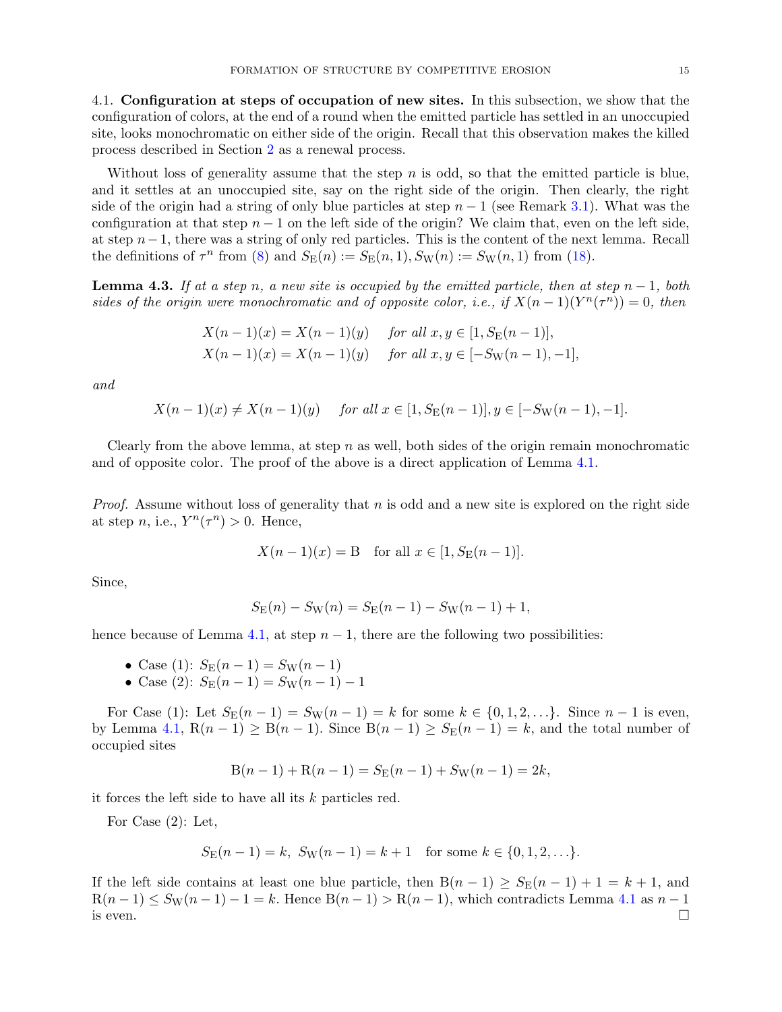<span id="page-14-0"></span>4.1. Configuration at steps of occupation of new sites. In this subsection, we show that the configuration of colors, at the end of a round when the emitted particle has settled in an unoccupied site, looks monochromatic on either side of the origin. Recall that this observation makes the killed process described in Section [2](#page-5-1) as a renewal process.

Without loss of generality assume that the step  $n$  is odd, so that the emitted particle is blue, and it settles at an unoccupied site, say on the right side of the origin. Then clearly, the right side of the origin had a string of only blue particles at step  $n-1$  (see Remark [3.1\)](#page-10-2). What was the configuration at that step  $n - 1$  on the left side of the origin? We claim that, even on the left side, at step  $n-1$ , there was a string of only red particles. This is the content of the next lemma. Recall the definitions of  $\tau^n$  from [\(8\)](#page-10-3) and  $S_E(n) := S_E(n, 1), S_W(n) := S_W(n, 1)$  from [\(18\)](#page-11-0).

<span id="page-14-1"></span>**Lemma 4.3.** If at a step n, a new site is occupied by the emitted particle, then at step  $n-1$ , both sides of the origin were monochromatic and of opposite color, i.e., if  $X(n-1)(Y^n(\tau^n)) = 0$ , then

$$
X(n-1)(x) = X(n-1)(y) \text{ for all } x, y \in [1, S_E(n-1)],
$$
  
\n
$$
X(n-1)(x) = X(n-1)(y) \text{ for all } x, y \in [-S_W(n-1), -1],
$$

and

$$
X(n-1)(x) \neq X(n-1)(y) \quad \text{ for all } x \in [1, S_E(n-1)], y \in [-S_W(n-1), -1].
$$

Clearly from the above lemma, at step  $n$  as well, both sides of the origin remain monochromatic and of opposite color. The proof of the above is a direct application of Lemma [4.1.](#page-12-2)

*Proof.* Assume without loss of generality that n is odd and a new site is explored on the right side at step n, i.e.,  $Y^n(\tau^n) > 0$ . Hence,

$$
X(n-1)(x) = B
$$
 for all  $x \in [1, S_E(n-1)].$ 

Since,

$$
S_{\mathcal{E}}(n) - S_{\mathcal{W}}(n) = S_{\mathcal{E}}(n-1) - S_{\mathcal{W}}(n-1) + 1,
$$

hence because of Lemma [4.1,](#page-12-2) at step  $n-1$ , there are the following two possibilities:

- Case (1):  $S_{\rm E}(n-1) = S_{\rm W}(n-1)$
- Case (2):  $S_{\rm E}(n-1) = S_{\rm W}(n-1) 1$

For Case (1): Let  $S_{\rm E}(n-1) = S_{\rm W}(n-1) = k$  for some  $k \in \{0, 1, 2, ...\}$ . Since  $n-1$  is even, by Lemma [4.1,](#page-12-2)  $R(n-1) \geq B(n-1)$ . Since  $B(n-1) \geq S_E(n-1) = k$ , and the total number of occupied sites

$$
B(n-1) + R(n-1) = S_E(n-1) + S_W(n-1) = 2k,
$$

it forces the left side to have all its  $k$  particles red.

For Case (2): Let,

$$
S_{\mathcal{E}}(n-1) = k
$$
,  $S_{\mathcal{W}}(n-1) = k+1$  for some  $k \in \{0, 1, 2, ...\}$ .

If the left side contains at least one blue particle, then  $B(n-1) \geq S_E(n-1) + 1 = k+1$ , and  $R(n-1) \leq S_{\text{W}}(n-1) - 1 = k$ . Hence  $B(n-1) > R(n-1)$ , which contradicts Lemma [4.1](#page-12-2) as  $n-1$ is even.  $\square$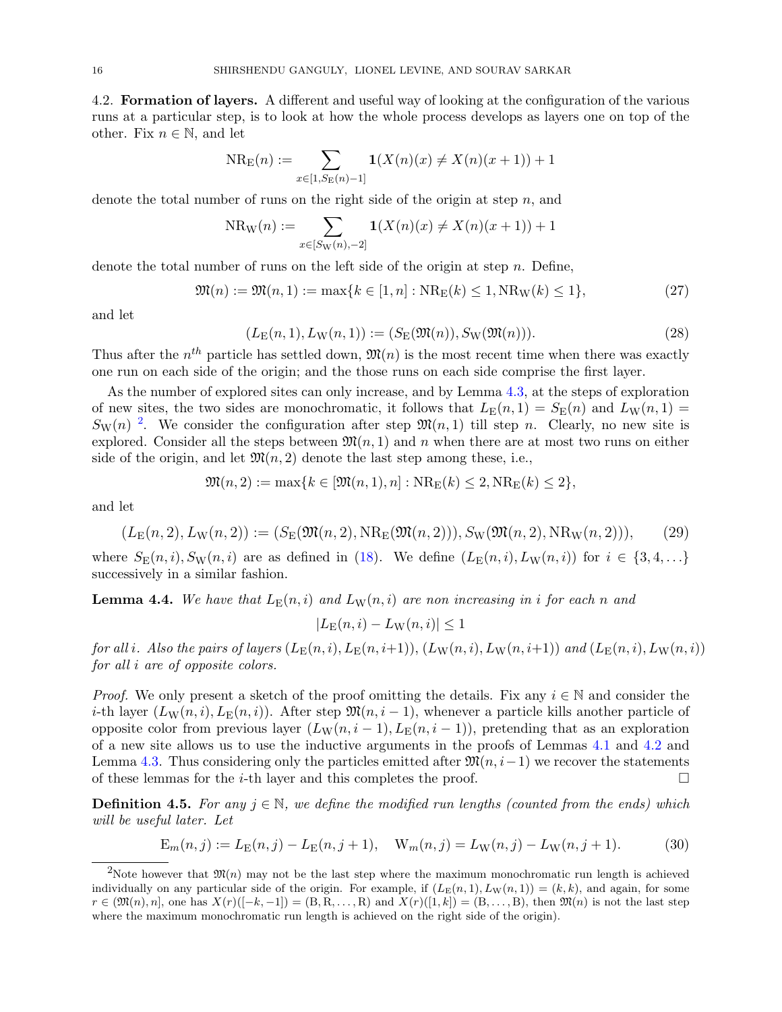4.2. Formation of layers. A different and useful way of looking at the configuration of the various runs at a particular step, is to look at how the whole process develops as layers one on top of the other. Fix  $n \in \mathbb{N}$ , and let

$$
NR_{E}(n) := \sum_{x \in [1, S_{E}(n) - 1]} \mathbf{1}(X(n)(x) \neq X(n)(x + 1)) + 1
$$

denote the total number of runs on the right side of the origin at step  $n$ , and

$$
NR_W(n) := \sum_{x \in [S_W(n), -2]} \mathbf{1}(X(n)(x) \neq X(n)(x+1)) + 1
$$

denote the total number of runs on the left side of the origin at step  $n$ . Define,

$$
\mathfrak{M}(n) := \mathfrak{M}(n, 1) := \max\{k \in [1, n] : \text{NR}_{\mathcal{E}}(k) \le 1, \text{NR}_{\mathcal{W}}(k) \le 1\},\tag{27}
$$

and let

$$
(L_{\mathcal{E}}(n,1), L_{\mathcal{W}}(n,1)) := (S_{\mathcal{E}}(\mathfrak{M}(n)), S_{\mathcal{W}}(\mathfrak{M}(n))).
$$
\n(28)

Thus after the  $n^{th}$  particle has settled down,  $\mathfrak{M}(n)$  is the most recent time when there was exactly one run on each side of the origin; and the those runs on each side comprise the first layer.

As the number of explored sites can only increase, and by Lemma [4.3,](#page-14-1) at the steps of exploration of new sites, the two sides are monochromatic, it follows that  $L_E(n, 1) = S_E(n)$  and  $L_W(n, 1) =$  $S_{\rm W}(n)$ <sup>[2](#page-15-0)</sup>. We consider the configuration after step  $\mathfrak{M}(n,1)$  till step n. Clearly, no new site is explored. Consider all the steps between  $\mathfrak{M}(n, 1)$  and n when there are at most two runs on either side of the origin, and let  $\mathfrak{M}(n,2)$  denote the last step among these, i.e.,

$$
\mathfrak{M}(n,2) := \max\{k \in [\mathfrak{M}(n,1),n] : \text{NR}_{E}(k) \leq 2, \text{NR}_{E}(k) \leq 2\},\
$$

and let

$$
(L_{\mathcal{E}}(n,2), L_{\mathcal{W}}(n,2)) := (S_{\mathcal{E}}(\mathfrak{M}(n,2), \mathcal{N}_{\mathcal{E}}(\mathfrak{M}(n,2))), S_{\mathcal{W}}(\mathfrak{M}(n,2), \mathcal{N}_{\mathcal{W}}(n,2))),
$$
 (29)

where  $S_{\rm E}(n,i)$ ,  $S_{\rm W}(n,i)$  are as defined in [\(18\)](#page-11-0). We define  $(L_{\rm E}(n,i), L_{\rm W}(n,i))$  for  $i \in \{3, 4, \ldots\}$ successively in a similar fashion.

<span id="page-15-1"></span>**Lemma 4.4.** We have that  $L_{\text{E}}(n, i)$  and  $L_{\text{W}}(n, i)$  are non increasing in i for each n and

$$
|L_{\mathcal{E}}(n,i) - L_{\mathcal{W}}(n,i)| \le 1
$$

for all i. Also the pairs of layers  $(L_E(n, i), L_E(n, i+1)), (L_W(n, i), L_W(n, i+1))$  and  $(L_E(n, i), L_W(n, i))$ for all i are of opposite colors.

*Proof.* We only present a sketch of the proof omitting the details. Fix any  $i \in \mathbb{N}$  and consider the i-th layer  $(L_W(n, i), L_E(n, i))$ . After step  $\mathfrak{M}(n, i - 1)$ , whenever a particle kills another particle of opposite color from previous layer  $(L_W(n, i - 1), L_E(n, i - 1))$ , pretending that as an exploration of a new site allows us to use the inductive arguments in the proofs of Lemmas [4.1](#page-12-2) and [4.2](#page-13-3) and Lemma [4.3.](#page-14-1) Thus considering only the particles emitted after  $\mathfrak{M}(n, i-1)$  we recover the statements of these lemmas for the *i*-th layer and this completes the proof.  $\square$ 

**Definition 4.5.** For any  $j \in \mathbb{N}$ , we define the modified run lengths (counted from the ends) which will be useful later. Let

$$
E_m(n,j) := L_E(n,j) - L_E(n,j+1), \quad W_m(n,j) = L_W(n,j) - L_W(n,j+1). \tag{30}
$$

<span id="page-15-0"></span><sup>&</sup>lt;sup>2</sup>Note however that  $\mathfrak{M}(n)$  may not be the last step where the maximum monochromatic run length is achieved individually on any particular side of the origin. For example, if  $(L_E(n, 1), L_W(n, 1)) = (k, k)$ , and again, for some  $r \in (\mathfrak{M}(n), n]$ , one has  $X(r)([-k, -1]) = (B, R, \ldots, R)$  and  $X(r)([1, k]) = (B, \ldots, B)$ , then  $\mathfrak{M}(n)$  is not the last step where the maximum monochromatic run length is achieved on the right side of the origin).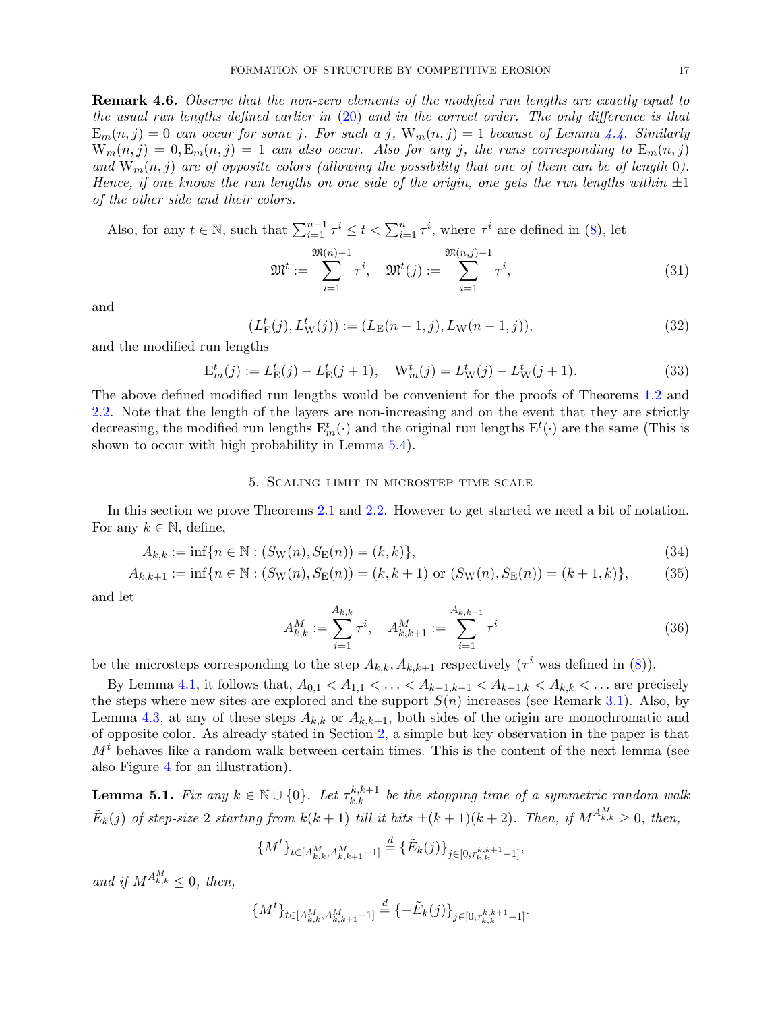<span id="page-16-5"></span>**Remark 4.6.** Observe that the non-zero elements of the modified run lengths are exactly equal to the usual run lengths defined earlier in  $(20)$  and in the correct order. The only difference is that  $E_m(n, j) = 0$  can occur for some j. For such a j,  $W_m(n, j) = 1$  because of Lemma [4.4.](#page-15-1) Similarly  $W_m(n, j) = 0, E_m(n, j) = 1$  can also occur. Also for any j, the runs corresponding to  $E_m(n, j)$ and  $W_m(n, j)$  are of opposite colors (allowing the possibility that one of them can be of length 0). Hence, if one knows the run lengths on one side of the origin, one gets the run lengths within  $\pm 1$ of the other side and their colors.

Also, for any  $t \in \mathbb{N}$ , such that  $\sum_{i=1}^{n-1} \tau^i \leq t < \sum_{i=1}^n \tau^i$ , where  $\tau^i$  are defined in [\(8\)](#page-10-3), let

<span id="page-16-6"></span>
$$
\mathfrak{M}^{t} := \sum_{i=1}^{\mathfrak{M}(n)-1} \tau^{i}, \quad \mathfrak{M}^{t}(j) := \sum_{i=1}^{\mathfrak{M}(n,j)-1} \tau^{i}, \tag{31}
$$

and

<span id="page-16-3"></span>
$$
(L_{\mathcal{E}}^{t}(j), L_{\mathcal{W}}^{t}(j)) := (L_{\mathcal{E}}(n-1, j), L_{\mathcal{W}}(n-1, j)),
$$
\n(32)

and the modified run lengths

<span id="page-16-4"></span>
$$
E_m^t(j) := L_E^t(j) - L_E^t(j+1), \quad W_m^t(j) = L_W^t(j) - L_W^t(j+1).
$$
\n(33)

The above defined modified run lengths would be convenient for the proofs of Theorems [1.2](#page-4-0) and [2.2.](#page-8-2) Note that the length of the layers are non-increasing and on the event that they are strictly decreasing, the modified run lengths  $E_m^t(\cdot)$  and the original run lengths  $E^t(\cdot)$  are the same (This is shown to occur with high probability in Lemma [5.4\)](#page-21-1).

### 5. Scaling limit in microstep time scale

<span id="page-16-1"></span>In this section we prove Theorems [2.1](#page-8-1) and [2.2.](#page-8-2) However to get started we need a bit of notation. For any  $k \in \mathbb{N}$ , define,

$$
A_{k,k} := \inf\{n \in \mathbb{N} : (S_{\mathcal{W}}(n), S_{\mathcal{E}}(n)) = (k, k)\},\tag{34}
$$

$$
A_{k,k+1} := \inf\{n \in \mathbb{N} : (S_{\mathcal{W}}(n), S_{\mathcal{E}}(n)) = (k, k+1) \text{ or } (S_{\mathcal{W}}(n), S_{\mathcal{E}}(n)) = (k+1, k)\},\tag{35}
$$

and let

<span id="page-16-7"></span><span id="page-16-2"></span>
$$
A_{k,k}^M := \sum_{i=1}^{A_{k,k}} \tau^i, \quad A_{k,k+1}^M := \sum_{i=1}^{A_{k,k+1}} \tau^i
$$
 (36)

be the microsteps corresponding to the step  $A_{k,k}, A_{k,k+1}$  respectively ( $\tau^i$  was defined in [\(8\)](#page-10-3)).

By Lemma [4.1,](#page-12-2) it follows that,  $A_{0,1} < A_{1,1} < \ldots < A_{k-1,k-1} < A_{k-1,k} < A_{k,k} < \ldots$  are precisely the steps where new sites are explored and the support  $S(n)$  increases (see Remark [3.1\)](#page-10-2). Also, by Lemma [4.3,](#page-14-1) at any of these steps  $A_{k,k}$  or  $A_{k,k+1}$ , both sides of the origin are monochromatic and of opposite color. As already stated in Section [2,](#page-5-1) a simple but key observation in the paper is that  $M<sup>t</sup>$  behaves like a random walk between certain times. This is the content of the next lemma (see also Figure [4](#page-6-0) for an illustration).

<span id="page-16-0"></span>**Lemma 5.1.** Fix any  $k \in \mathbb{N} \cup \{0\}$ . Let  $\tau_{k,k}^{k,k+1}$  be the stopping time of a symmetric random walk  $\tilde{E}_k(j)$  of step-size 2 starting from  $k(k+1)$  till it hits  $\pm (k+1)(k+2)$ . Then, if  $M^{A^M_{k,k}} \geq 0$ , then,

$$
\{M^t\}_{t \in [A_{k,k}^M, A_{k,k+1}^M - 1]} \stackrel{d}{=} \{\tilde{E}_k(j)\}_{j \in [0, \tau_{k,k}^{k,k+1} - 1]},
$$

and if  $M^{A_{k,k}^M} \leq 0$ , then,

$$
\{M^t\}_{t\in[A_{k,k}^M,A_{k,k+1}^M-1]}\stackrel{d}{=} \{-\tilde{E}_k(j)\}_{j\in[0,\tau_{k,k}^{k,k+1}-1]}.
$$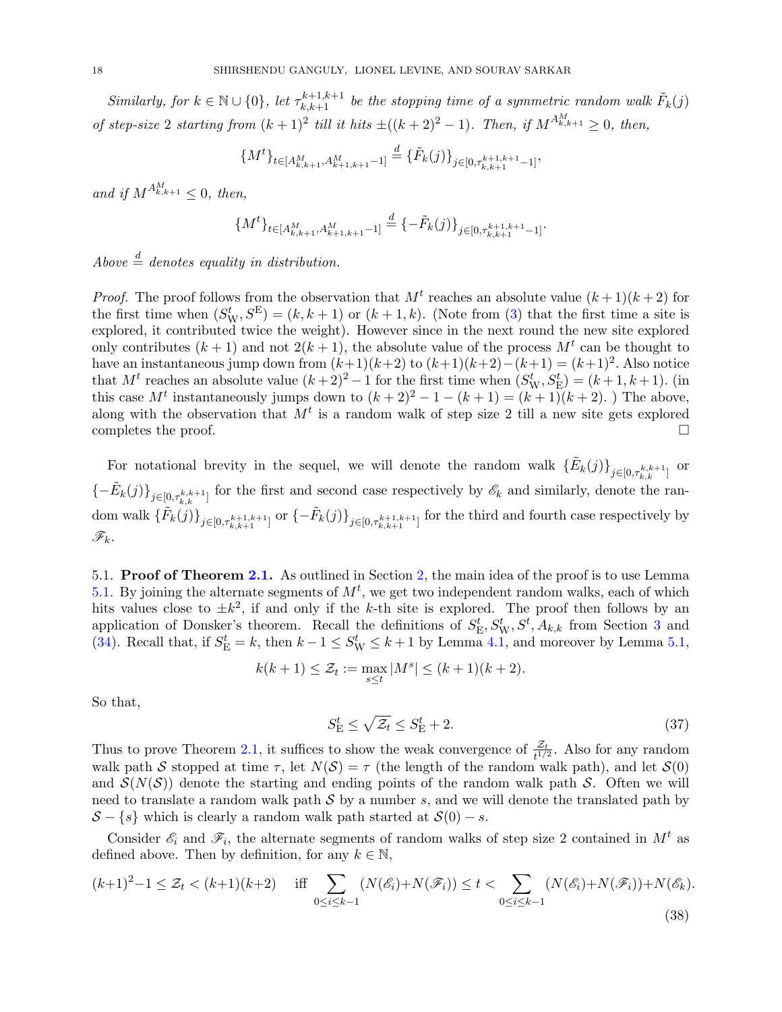Similarly, for  $k \in \mathbb{N} \cup \{0\}$ , let  $\tau_{k,k+1}^{k+1,k+1}$  be the stopping time of a symmetric random walk  $\tilde{F}_k(j)$ of step-size 2 starting from  $(k+1)^2$  till it hits  $\pm((k+2)^2-1)$ . Then, if  $M^{A_{k,k+1}^M} \geq 0$ , then,

$$
\{M^t\}_{t \in [A_{k,k+1}^M, A_{k+1,k+1}^M - 1]} \stackrel{d}{=} \{\tilde{F}_k(j)\}_{j \in [0, \tau_{k,k+1}^{k+1,k+1} - 1]},
$$

and if  $M^{A_{k,k+1}^M} \leq 0$ , then,

$$
\{M^t\}_{t\in[A_{k,k+1}^M,A_{k+1,k+1}^M-1]} \stackrel{d}{=} \{-\tilde{F}_k(j)\}_{j\in[0,\tau_{k,k+1}^{k+1,k+1}-1]}.
$$

Above  $\stackrel{d}{=}$  denotes equality in distribution.

*Proof.* The proof follows from the observation that  $M<sup>t</sup>$  reaches an absolute value  $(k+1)(k+2)$  for the first time when  $(S_W^t, S^E) = (k, k+1)$  or  $(k+1, k)$ . (Note from [\(3\)](#page-5-0) that the first time a site is explored, it contributed twice the weight). However since in the next round the new site explored only contributes  $(k+1)$  and not  $2(k+1)$ , the absolute value of the process  $M<sup>t</sup>$  can be thought to have an instantaneous jump down from  $(k+1)(k+2)$  to  $(k+1)(k+2)-(k+1) = (k+1)^2$ . Also notice that  $M^t$  reaches an absolute value  $(k+2)^2 - 1$  for the first time when  $(S^t_W, S^t_E) = (k+1, k+1)$ . (in this case  $M^t$  instantaneously jumps down to  $(k+2)^2 - 1 - (k+1) = (k+1)(k+2)$ . The above, along with the observation that  $M<sup>t</sup>$  is a random walk of step size 2 till a new site gets explored completes the proof.  $\Box$ 

For notational brevity in the sequel, we will denote the random walk  $\{\tilde{E}_k(j)\}_{j\in[0,\tau_{k,k}^{k,k+1}]}$  or  ${-\tilde{E}_k(j)}_{j\in[0,\tau_{k,k+1}^{k,k+1}]}$  for the first and second case respectively by  $\mathscr{E}_k$  and similarly, denote the ran- $\text{dom walk } \{ \tilde{F}_k(j) \}_{j \in [0, \tau_{k,k+1}^{k+1,k+1}]} \text{ or } \{ -\tilde{F}_k(j) \}_{j \in [0, \tau_{k,k+1}^{k+1,k+1}]} \text{ for the third and fourth case respectively by }$  $\mathscr{F}_k$ .

5.1. Proof of Theorem [2.1.](#page-8-1) As outlined in Section [2,](#page-5-1) the main idea of the proof is to use Lemma [5.1.](#page-16-0) By joining the alternate segments of  $M<sup>t</sup>$ , we get two independent random walks, each of which hits values close to  $\pm k^2$ , if and only if the k-th site is explored. The proof then follows by an application of Donsker's theorem. Recall the definitions of  $S_{\rm E}^t, S_{\rm W}^t, S^t, A_{k,k}$  from Section [3](#page-10-0) and [\(34\)](#page-16-2). Recall that, if  $S_E^t = k$ , then  $k - 1 \le S_W^t \le k + 1$  by Lemma [4.1,](#page-12-2) and moreover by Lemma [5.1,](#page-16-0)

$$
k(k+1) \leq \mathcal{Z}_t := \max_{s \leq t} |M^s| \leq (k+1)(k+2).
$$

So that,

<span id="page-17-1"></span>
$$
S_{\rm E}^t \le \sqrt{\mathcal{Z}_t} \le S_{\rm E}^t + 2. \tag{37}
$$

Thus to prove Theorem [2.1,](#page-8-1) it suffices to show the weak convergence of  $\frac{\mathcal{Z}_t}{t^{1/2}}$ . Also for any random walk path S stopped at time  $\tau$ , let  $N(S) = \tau$  (the length of the random walk path), and let  $S(0)$ and  $\mathcal{S}(N(\mathcal{S}))$  denote the starting and ending points of the random walk path S. Often we will need to translate a random walk path  $S$  by a number s, and we will denote the translated path by  $S - \{s\}$  which is clearly a random walk path started at  $S(0) - s$ .

Consider  $\mathscr{E}_i$  and  $\mathscr{F}_i$ , the alternate segments of random walks of step size 2 contained in  $M^t$  as defined above. Then by definition, for any  $k \in \mathbb{N}$ ,

<span id="page-17-0"></span>
$$
(k+1)^2 - 1 \le \mathcal{Z}_t < (k+1)(k+2) \quad \text{iff} \quad \sum_{0 \le i \le k-1} (N(\mathcal{E}_i) + N(\mathcal{F}_i)) \le t < \sum_{0 \le i \le k-1} (N(\mathcal{E}_i) + N(\mathcal{F}_i)) + N(\mathcal{E}_k). \tag{38}
$$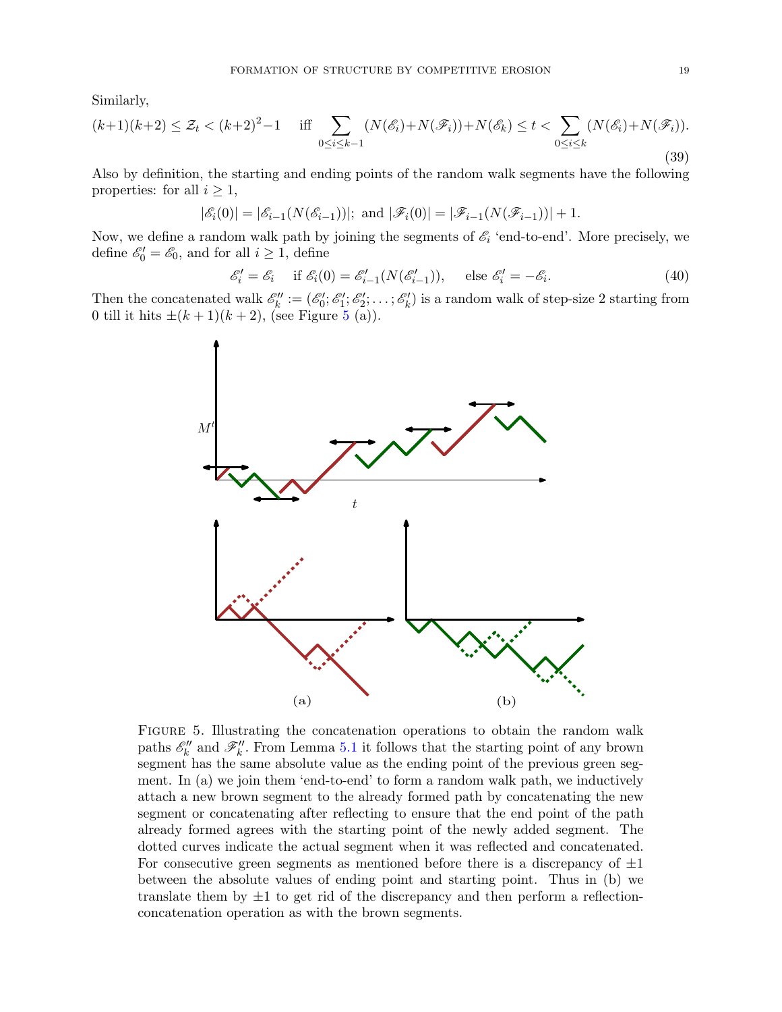Similarly,

<span id="page-18-1"></span>
$$
(k+1)(k+2) \le \mathcal{Z}_t < (k+2)^2 - 1 \quad \text{iff} \quad \sum_{0 \le i \le k-1} (N(\mathcal{E}_i) + N(\mathcal{F}_i)) + N(\mathcal{E}_k) \le t < \sum_{0 \le i \le k} (N(\mathcal{E}_i) + N(\mathcal{F}_i)).
$$
\n(39)

Also by definition, the starting and ending points of the random walk segments have the following properties: for all  $i \geq 1$ ,

$$
|\mathscr{E}_i(0)| = |\mathscr{E}_{i-1}(N(\mathscr{E}_{i-1}))|
$$
; and  $|\mathscr{F}_i(0)| = |\mathscr{F}_{i-1}(N(\mathscr{F}_{i-1}))| + 1$ .

Now, we define a random walk path by joining the segments of  $\mathscr{E}_i$  'end-to-end'. More precisely, we define  $\mathscr{E}'_0 = \mathscr{E}_0$ , and for all  $i \geq 1$ , define

<span id="page-18-2"></span>
$$
\mathcal{E}'_i = \mathcal{E}_i \quad \text{if } \mathcal{E}_i(0) = \mathcal{E}'_{i-1}(N(\mathcal{E}'_{i-1})), \quad \text{else } \mathcal{E}'_i = -\mathcal{E}_i. \tag{40}
$$

Then the concatenated walk  $\mathscr{E}'_k := (\mathscr{E}'_0; \mathscr{E}'_1; \mathscr{E}'_2; \ldots; \mathscr{E}'_k)$  is a random walk of step-size 2 starting from 0 till it hits  $\pm (k+1)(k+2)$ , (see Figure [5](#page-18-0) (a)).



<span id="page-18-0"></span>Figure 5. Illustrating the concatenation operations to obtain the random walk paths  $\mathscr{E}'_k$  and  $\mathscr{F}'_k$ . From Lemma [5.1](#page-16-0) it follows that the starting point of any brown segment has the same absolute value as the ending point of the previous green segment. In (a) we join them 'end-to-end' to form a random walk path, we inductively attach a new brown segment to the already formed path by concatenating the new segment or concatenating after reflecting to ensure that the end point of the path already formed agrees with the starting point of the newly added segment. The dotted curves indicate the actual segment when it was reflected and concatenated. For consecutive green segments as mentioned before there is a discrepancy of  $\pm 1$ between the absolute values of ending point and starting point. Thus in (b) we translate them by  $\pm 1$  to get rid of the discrepancy and then perform a reflectionconcatenation operation as with the brown segments.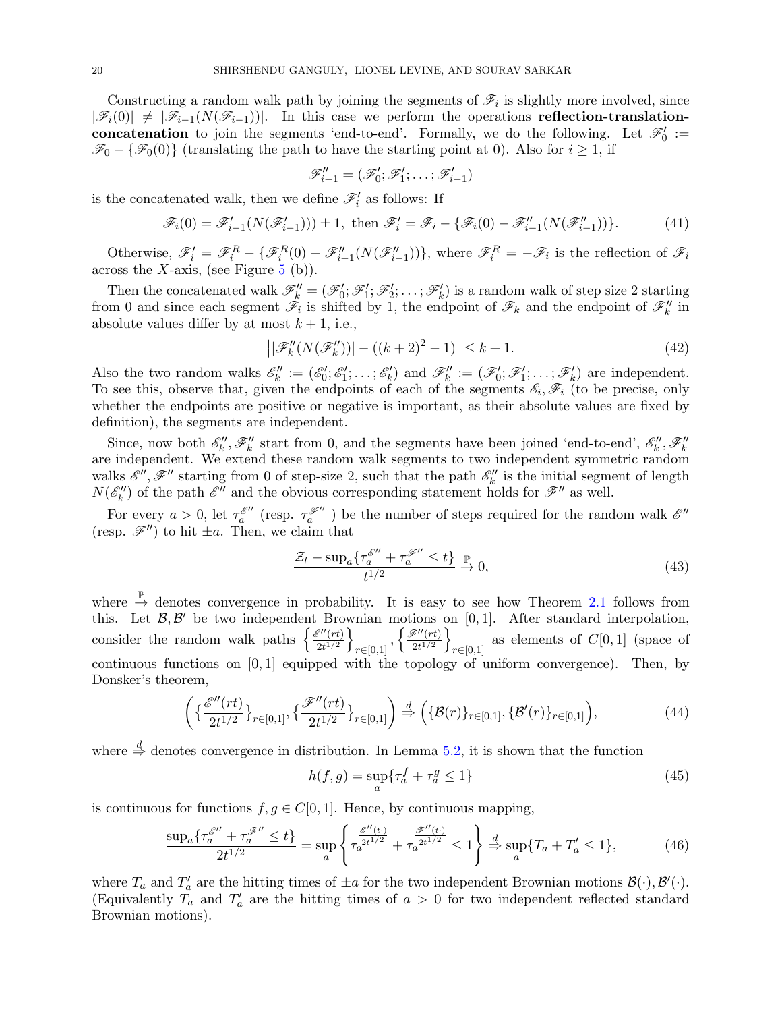Constructing a random walk path by joining the segments of  $\mathscr{F}_i$  is slightly more involved, since  $|\mathscr{F}_i(0)| \neq |\mathscr{F}_{i-1}(N(\mathscr{F}_{i-1}))|$ . In this case we perform the operations reflection-translationconcatenation to join the segments 'end-to-end'. Formally, we do the following. Let  $\mathscr{F}'_0 :=$  $\mathscr{F}_0 - {\mathscr{F}_0(0)}$  (translating the path to have the starting point at 0). Also for  $i \geq 1$ , if

$$
\mathscr{F}_{i-1}'' = (\mathscr{F}_0'; \mathscr{F}_1'; \ldots; \mathscr{F}_{i-1}')
$$

is the concatenated walk, then we define  $\mathscr{F}'_i$  as follows: If

<span id="page-19-0"></span>
$$
\mathscr{F}_i(0) = \mathscr{F}'_{i-1}(N(\mathscr{F}'_{i-1}))) \pm 1, \text{ then } \mathscr{F}'_i = \mathscr{F}_i - \{\mathscr{F}_i(0) - \mathscr{F}''_{i-1}(N(\mathscr{F}''_{i-1}))\}. \tag{41}
$$

Otherwise,  $\mathscr{F}'_i = \mathscr{F}^R_i - \{ \mathscr{F}^R_i(0) - \mathscr{F}''_{i-1}(N(\mathscr{F}''_{i-1})) \}$ , where  $\mathscr{F}^R_i = -\mathscr{F}_i$  is the reflection of  $\mathscr{F}_i$ across the X-axis, (see Figure [5](#page-18-0) (b)).

Then the concatenated walk  $\mathscr{F}'_k = (\mathscr{F}'_0; \mathscr{F}'_1; \mathscr{F}'_2; \ldots; \mathscr{F}'_k)$  is a random walk of step size 2 starting from 0 and since each segment  $\mathscr{F}_i$  is shifted by 1, the endpoint of  $\mathscr{F}_k$  and the endpoint of  $\mathscr{F}_k''$  in absolute values differ by at most  $k + 1$ , i.e.,

<span id="page-19-2"></span>
$$
||\mathcal{F}_{k}''(N(\mathcal{F}_{k}''))| - ((k+2)^{2} - 1)| \leq k+1.
$$
 (42)

Also the two random walks  $\mathscr{E}'_k := (\mathscr{E}'_0; \mathscr{E}'_1; \ldots; \mathscr{E}'_k)$  and  $\mathscr{F}''_k := (\mathscr{F}'_0; \mathscr{F}'_1; \ldots; \mathscr{F}'_k)$  are independent. To see this, observe that, given the endpoints of each of the segments  $\mathscr{E}_i, \mathscr{F}_i$  (to be precise, only whether the endpoints are positive or negative is important, as their absolute values are fixed by definition), the segments are independent.

Since, now both  $\mathscr{E}'_k$ ,  $\mathscr{F}'_k$  start from 0, and the segments have been joined 'end-to-end',  $\mathscr{E}'_k$ ,  $\mathscr{F}'_k$ are independent. We extend these random walk segments to two independent symmetric random walks  $\mathscr{E}''$ ,  $\mathscr{F}''$  starting from 0 of step-size 2, such that the path  $\mathscr{E}''_k$  is the initial segment of length  $N(\mathscr{E}_k'')$  of the path  $\mathscr{E}''$  and the obvious corresponding statement holds for  $\mathscr{F}''$  as well.

For every  $a > 0$ , let  $\tau_a^{\mathscr{E}''}$  (resp.  $\tau_a^{\mathscr{F}''}$ ) be the number of steps required for the random walk  $\mathscr{E}''$ (resp.  $\mathscr{F}''$ ) to hit  $\pm a$ . Then, we claim that

<span id="page-19-1"></span>
$$
\frac{\mathcal{Z}_t - \sup_a \{ \tau_a^{\mathcal{E}''} + \tau_a^{\mathcal{F}''} \le t \}}{t^{1/2}} \xrightarrow{\mathbb{P}} 0,
$$
\n(43)

where  $\stackrel{\mathbb{P}}{\rightarrow}$  denotes convergence in probability. It is easy to see how Theorem [2.1](#page-8-1) follows from this. Let  $\mathcal{B}, \mathcal{B}'$  be two independent Brownian motions on [0,1]. After standard interpolation, consider the random walk paths  $\begin{cases} \frac{\mathscr{E}''(rt)}{2t^{1/2}} \end{cases}$  $\frac{\mathscr{E}''(rt)}{2t^{1/2}}\bigg\}$  $_{r\in[0,1]},\left\{ \frac{\mathscr{F}^{\prime\prime}(rt)}{2t^{1/2}}\right.$  $\frac{\widetilde{\mathscr{C}}''(rt)}{2t^{1/2}}\bigg\}$  $r∈[0,1]$  as elements of  $C[0,1]$  (space of continuous functions on  $[0, 1]$  equipped with the topology of uniform convergence). Then, by Donsker's theorem,

$$
\left(\{\frac{\mathcal{E}''(rt)}{2t^{1/2}}\}_{r\in[0,1]},\{\frac{\mathcal{F}''(rt)}{2t^{1/2}}\}_{r\in[0,1]}\right) \stackrel{d}{\Rightarrow} \left(\{\mathcal{B}(r)\}_{r\in[0,1]},\{\mathcal{B}'(r)\}_{r\in[0,1]}\right),\tag{44}
$$

where  $\stackrel{d}{\Rightarrow}$  denotes convergence in distribution. In Lemma [5.2,](#page-20-0) it is shown that the function

<span id="page-19-5"></span><span id="page-19-4"></span>
$$
h(f,g) = \sup_{a} \{ \tau_a^f + \tau_a^g \le 1 \}
$$
\n(45)

is continuous for functions  $f, g \in C[0, 1]$ . Hence, by continuous mapping,

<span id="page-19-3"></span>
$$
\frac{\sup_a \{\tau_a^{\mathscr{E}''} + \tau_a^{\mathscr{F}''} \le t\}}{2t^{1/2}} = \sup_a \left\{ \tau_a^{\frac{\mathscr{E}''(t \cdot)}{2t^{1/2}}} + \tau_a^{\frac{\mathscr{F}''(t \cdot)}{2t^{1/2}}} \le 1 \right\} \stackrel{d}{\Rightarrow} \sup_a \{T_a + T_a' \le 1\},\tag{46}
$$

where  $T_a$  and  $T'_a$  are the hitting times of  $\pm a$  for the two independent Brownian motions  $\mathcal{B}(\cdot), \mathcal{B}'(\cdot)$ . (Equivalently  $T_a$  and  $T'_a$  are the hitting times of  $a > 0$  for two independent reflected standard Brownian motions).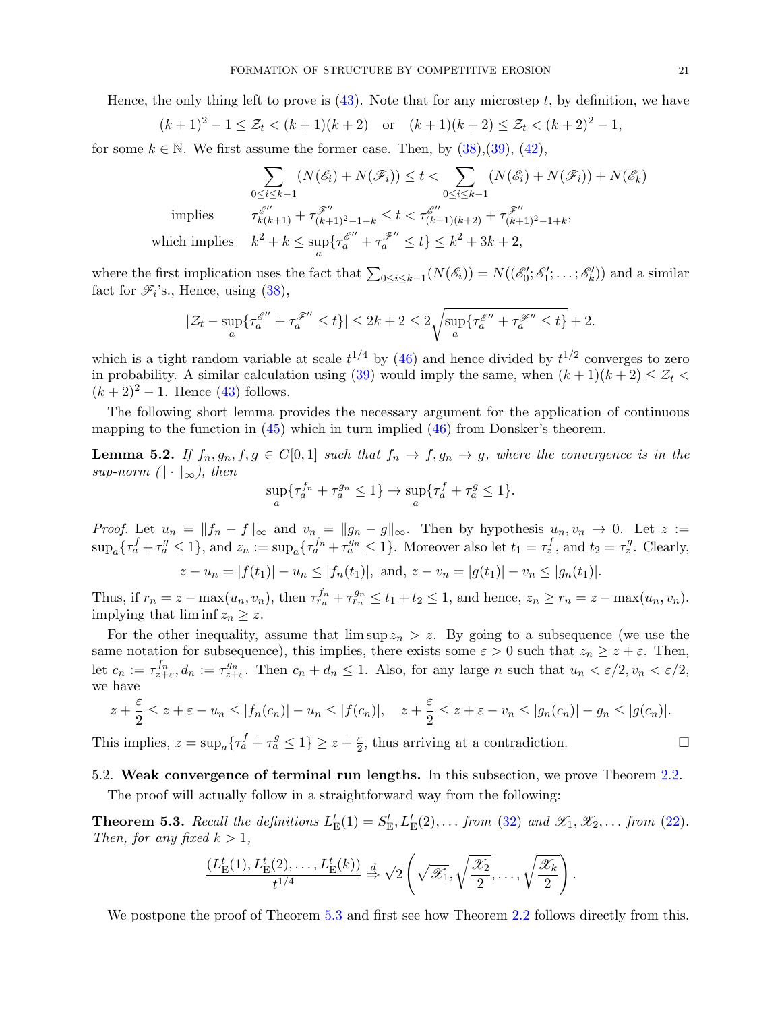Hence, the only thing left to prove is  $(43)$ . Note that for any microstep t, by definition, we have

$$
(k+1)^2 - 1 \le \mathcal{Z}_t < (k+1)(k+2) \quad \text{or} \quad (k+1)(k+2) \le \mathcal{Z}_t < (k+2)^2 - 1,
$$

for some  $k \in \mathbb{N}$ . We first assume the former case. Then, by [\(38\)](#page-17-0),[\(39\)](#page-18-1), [\(42\)](#page-19-2),

$$
\sum_{0 \le i \le k-1} (N(\mathcal{E}_i) + N(\mathcal{F}_i)) \le t < \sum_{0 \le i \le k-1} (N(\mathcal{E}_i) + N(\mathcal{F}_i)) + N(\mathcal{E}_k)
$$
  
implies 
$$
\tau_{k(k+1)}^{\mathcal{E}''} + \tau_{(k+1)^2 - 1 - k}^{\mathcal{F}''} \le t < \tau_{(k+1)(k+2)}^{\mathcal{E}''} + \tau_{(k+1)^2 - 1 + k}^{\mathcal{F}''},
$$
  
ich implies 
$$
k^2 + k \le \sup \{\tau_a^{\mathcal{E}''} + \tau_a^{\mathcal{F}''} \le t\} \le k^2 + 3k + 2,
$$

which

$$
\lim_{n \to \infty} k^2 + k \le \sup_{a} \{ \tau_a^{\mathscr{E}''} + \tau_a^{\mathscr{F}''} \le t \} \le k^2 + 3k + 2,
$$

where the first implication uses the fact that  $\sum_{0 \le i \le k-1} (N(\mathscr{E}_i)) = N((\mathscr{E}'_0; \mathscr{E}'_1; \dots; \mathscr{E}'_k))$  and a similar fact for  $\mathscr{F}_i$ 's., Hence, using  $(38)$ ,

$$
|\mathcal{Z}_t-\sup_a\{\tau_a^{\mathscr E''}+\tau_a^{\mathscr F''}\leq t\}|\leq 2k+2\leq 2\sqrt{\sup_a\{\tau_a^{\mathscr E''}+\tau_a^{\mathscr F''}\leq t\}}+2.
$$

which is a tight random variable at scale  $t^{1/4}$  by [\(46\)](#page-19-3) and hence divided by  $t^{1/2}$  converges to zero in probability. A similar calculation using [\(39\)](#page-18-1) would imply the same, when  $(k+1)(k+2) \leq \mathcal{Z}_t$  $(k+2)^2 - 1$ . Hence [\(43\)](#page-19-1) follows.

The following short lemma provides the necessary argument for the application of continuous mapping to the function in  $(45)$  which in turn implied  $(46)$  from Donsker's theorem.

<span id="page-20-0"></span>**Lemma 5.2.** If  $f_n, g_n, f, g \in C[0,1]$  such that  $f_n \to f, g_n \to g$ , where the convergence is in the sup-norm  $(\|\cdot\|_{\infty})$ , then

$$
\sup_a \{\tau_a^{f_n} + \tau_a^{g_n} \le 1\} \to \sup_a \{\tau_a^f + \tau_a^g \le 1\}.
$$

*Proof.* Let  $u_n = ||f_n - f||_{\infty}$  and  $v_n = ||g_n - g||_{\infty}$ . Then by hypothesis  $u_n, v_n \to 0$ . Let  $z :=$  $\sup_a\{\tau_a^f + \tau_a^g \leq 1\}$ , and  $z_n := \sup_a\{\tau_a^{f_n} + \tau_a^{g_n} \leq 1\}$ . Moreover also let  $t_1 = \tau_z^f$ , and  $t_2 = \tau_z^g$ . Clearly,

$$
z - u_n = |f(t_1)| - u_n \le |f_n(t_1)|, \text{ and, } z - v_n = |g(t_1)| - v_n \le |g_n(t_1)|.
$$

Thus, if  $r_n = z - \max(u_n, v_n)$ , then  $\tau_{r_n}^{f_n} + \tau_{r_n}^{g_n} \le t_1 + t_2 \le 1$ , and hence,  $z_n \ge r_n = z - \max(u_n, v_n)$ . implying that  $\liminf z_n \geq z$ .

For the other inequality, assume that  $\limsup z_n > z$ . By going to a subsequence (we use the same notation for subsequence), this implies, there exists some  $\varepsilon > 0$  such that  $z_n \geq z + \varepsilon$ . Then, let  $c_n := \tau_{z+\varepsilon}^{f_n}$ ,  $d_n := \tau_{z+\varepsilon}^{g_n}$ . Then  $c_n + d_n \leq 1$ . Also, for any large n such that  $u_n < \varepsilon/2$ ,  $v_n < \varepsilon/2$ , we have

$$
z + \frac{\varepsilon}{2} \le z + \varepsilon - u_n \le |f_n(c_n)| - u_n \le |f(c_n)|, \quad z + \frac{\varepsilon}{2} \le z + \varepsilon - v_n \le |g_n(c_n)| - g_n \le |g(c_n)|.
$$

This implies,  $z = \sup_a \{ \tau_a^f + \tau_a^g \le 1 \} \ge z + \frac{\varepsilon}{2}$  $\frac{\varepsilon}{2}$ , thus arriving at a contradiction.

### 5.2. Weak convergence of terminal run lengths. In this subsection, we prove Theorem [2.2.](#page-8-2)

The proof will actually follow in a straightforward way from the following:

<span id="page-20-1"></span>**Theorem 5.3.** Recall the definitions  $L_{\text{E}}^{t}(1) = S_{\text{E}}^{t}, L_{\text{E}}^{t}(2), \ldots$  from [\(32\)](#page-16-3) and  $\mathscr{X}_1, \mathscr{X}_2, \ldots$  from [\(22\)](#page-12-5). Then, for any fixed  $k > 1$ ,

$$
\frac{(L_{\rm E}^t(1), L_{\rm E}^t(2), \dots, L_{\rm E}^t(k))}{t^{1/4}} \stackrel{d}{\Rightarrow} \sqrt{2}\left(\sqrt{\mathscr{X}_1}, \sqrt{\frac{\mathscr{X}_2}{2}}, \dots, \sqrt{\frac{\mathscr{X}_k}{2}}\right).
$$

We postpone the proof of Theorem [5.3](#page-20-1) and first see how Theorem [2.2](#page-8-2) follows directly from this.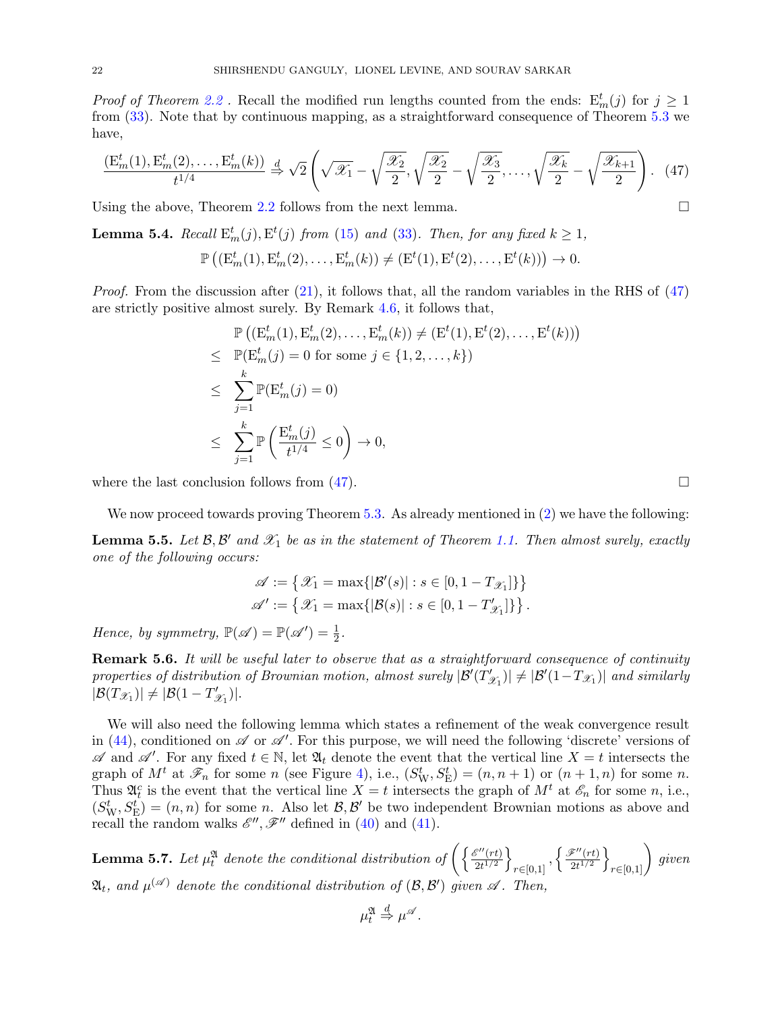*Proof of Theorem [2.2](#page-8-2)*. Recall the modified run lengths counted from the ends:  $E_m^t(j)$  for  $j \ge 1$ from [\(33\)](#page-16-4). Note that by continuous mapping, as a straightforward consequence of Theorem [5.3](#page-20-1) we have,

<span id="page-21-2"></span>
$$
\frac{\left(\mathcal{E}_m^t(1), \mathcal{E}_m^t(2), \dots, \mathcal{E}_m^t(k)\right)}{t^{1/4}} \xrightarrow{d} \sqrt{2} \left(\sqrt{\mathcal{X}_1} - \sqrt{\frac{\mathcal{X}_2}{2}}, \sqrt{\frac{\mathcal{X}_2}{2}} - \sqrt{\frac{\mathcal{X}_3}{2}}, \dots, \sqrt{\frac{\mathcal{X}_k}{2}} - \sqrt{\frac{\mathcal{X}_{k+1}}{2}}\right). \tag{47}
$$

Using the above, Theorem [2.2](#page-8-2) follows from the next lemma.  $\square$ 

<span id="page-21-1"></span>**Lemma 5.4.** Recall  $E_m^t(j), E^t(j)$  from [\(15\)](#page-11-3) and [\(33\)](#page-16-4). Then, for any fixed  $k \ge 1$ ,

$$
\mathbb{P}\left((\mathrm{E}^t_m(1),\mathrm{E}^t_m(2),\ldots,\mathrm{E}^t_m(k))\neq (\mathrm{E}^t(1),\mathrm{E}^t(2),\ldots,\mathrm{E}^t(k))\right)\to 0.
$$

*Proof.* From the discussion after  $(21)$ , it follows that, all the random variables in the RHS of  $(47)$ are strictly positive almost surely. By Remark [4.6,](#page-16-5) it follows that,

$$
\mathbb{P}\left((\mathbf{E}_m^t(1), \mathbf{E}_m^t(2), \dots, \mathbf{E}_m^t(k)) \neq (\mathbf{E}^t(1), \mathbf{E}^t(2), \dots, \mathbf{E}^t(k))\right) \n\leq \mathbb{P}(\mathbf{E}_m^t(j) = 0 \text{ for some } j \in \{1, 2, \dots, k\}) \n\leq \sum_{j=1}^k \mathbb{P}(\mathbf{E}_m^t(j) = 0) \n\leq \sum_{j=1}^k \mathbb{P}\left(\frac{\mathbf{E}_m^t(j)}{t^{1/4}} \leq 0\right) \to 0,
$$

where the last conclusion follows from  $(47)$ .

We now proceed towards proving Theorem [5.3.](#page-20-1) As already mentioned in [\(2\)](#page-2-0) we have the following:

<span id="page-21-0"></span>**Lemma 5.5.** Let  $\mathcal{B}, \mathcal{B}'$  and  $\mathcal{X}_1$  be as in the statement of Theorem [1.1.](#page-0-0) Then almost surely, exactly one of the following occurs:

$$
\begin{aligned} \mathscr{A} &:= \left\{ \mathscr{X}_1 = \max \{|\mathcal{B}'(s)| : s \in [0, 1-T_{\mathscr{X}_1}]\} \right\} \\ \mathscr{A}' &:= \left\{ \mathscr{X}_1 = \max \{|\mathcal{B}(s)| : s \in [0, 1-T'_{\mathscr{X}_1}]\} \right\}. \end{aligned}
$$

Hence, by symmetry,  $\mathbb{P}(\mathscr{A}) = \mathbb{P}(\mathscr{A}') = \frac{1}{2}$ .

<span id="page-21-4"></span>**Remark 5.6.** It will be useful later to observe that as a straightforward consequence of continuity properties of distribution of Brownian motion, almost surely  $\mathcal{B}'(T)$  $|\mathscr{Y}_{\mathscr{X}_1}|$   $\neq |\mathcal{B}'(1-T_{\mathscr{X}_1})|$  and similarly  $|\mathcal{B}(T_{\mathscr{X}_1})| \neq |\mathcal{B}(1-T'_{\mathscr{G}_1})|$  $x_1$ )|.

We will also need the following lemma which states a refinement of the weak convergence result in [\(44\)](#page-19-5), conditioned on  $\mathscr A$  or  $\mathscr A'$ . For this purpose, we will need the following 'discrete' versions of  $\mathscr A$  and  $\mathscr A'$ . For any fixed  $t \in \mathbb N$ , let  $\mathfrak A_t$  denote the event that the vertical line  $X = t$  intersects the graph of  $M^t$  at  $\mathscr{F}_n$  for some n (see Figure [4\)](#page-6-0), i.e.,  $(S_W^t, S_E^t) = (n, n + 1)$  or  $(n + 1, n)$  for some n. Thus  $\mathfrak{A}_t^c$  is the event that the vertical line  $X = t$  intersects the graph of  $M^t$  at  $\mathscr{E}_n$  for some n, i.e.,  $(S_{\text{W}}^t, S_{\text{E}}^t) = (n, n)$  for some n. Also let  $\mathcal{B}, \mathcal{B}'$  be two independent Brownian motions as above and recall the random walks  $\mathscr{E}''$ ,  $\mathscr{F}''$  defined in [\(40\)](#page-18-2) and [\(41\)](#page-19-0).

<span id="page-21-3"></span>**Lemma 5.7.** Let  $\mu_t^{\mathfrak{A}}$  denote the conditional distribution of  $\left(\frac{\mathscr{E}''(rt)}{2t^{1/2}}\right)$  $\frac{\mathscr{E}''(rt)}{2t^{1/2}}\bigg\}$  $_{r\in[0,1]},\left\{ \frac{\mathscr{F}^{\prime\prime}(rt)}{2t^{1/2}}\right.$  $\left\{\frac{\widetilde{\mathbf{z}}''(rt)}{2t^{1/2}}\right\}_{r\in[0,1]}\bigg\}$  given  $\mathfrak{A}_t$ , and  $\mu^{(\mathscr{A})}$  denote the conditional distribution of  $(\mathcal{B},\mathcal{B}')$  given  $\mathscr{A}$ . Then,

$$
\mu_t^{\mathfrak{A}} \stackrel{d}{\Rightarrow} \mu^{\mathscr{A}}.
$$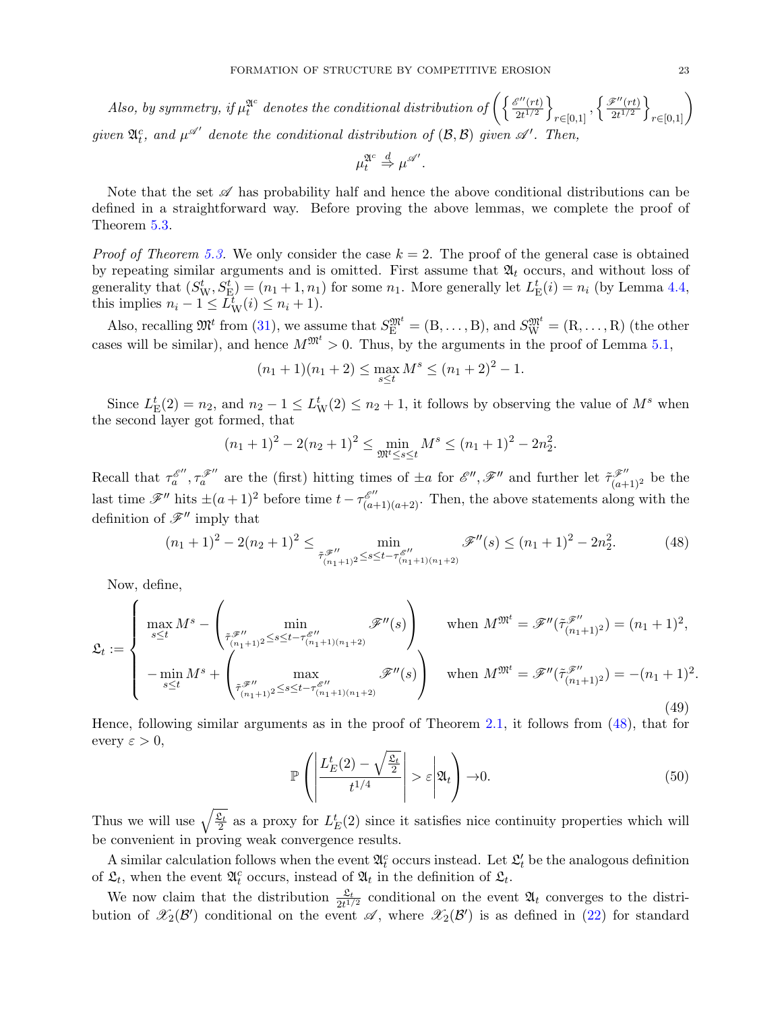Also, by symmetry, if  $\mu_t^{2!c}$  denotes the conditional distribution of  $\left(\frac{\mathcal{E}''(rt)}{2t^{1/2}}\right)$  $\frac{\mathbb{S}''(rt)}{2t^{1/2}}\Big\}$  $_{r\in[0,1]},\left\{ \frac{\mathscr{F}^{\prime\prime}(rt)}{2t^{1/2}}\right.$  $\left\{\frac{\widetilde{\mathbf{z}}''(rt)}{2t^{1/2}}\right\}_{r\in[0,1]}\Bigg\}$ given  $\mathfrak{A}_t^c$ , and  $\mu^{\mathscr{A}'}$  denote the conditional distribution of  $(\mathcal{B},\mathcal{B})$  given  $\mathscr{A}'$ . Then,

$$
\mu_t^{\mathfrak{A}^c} \stackrel{d}{\Rightarrow} \mu^{\mathscr{A}'}.
$$

Note that the set  $\mathscr A$  has probability half and hence the above conditional distributions can be defined in a straightforward way. Before proving the above lemmas, we complete the proof of Theorem [5.3.](#page-20-1)

*Proof of Theorem [5.3.](#page-20-1)* We only consider the case  $k = 2$ . The proof of the general case is obtained by repeating similar arguments and is omitted. First assume that  $\mathfrak{A}_t$  occurs, and without loss of generality that  $(S_{\text{W}}^t, S_{\text{E}}^t) = (n_1 + 1, n_1)$  for some  $n_1$ . More generally let  $L_{\text{E}}^t(i) = n_i$  (by Lemma [4.4,](#page-15-1) this implies  $n_i - 1 \leq \overline{L}_{\rm W}^t(i) \leq n_i + 1$ .

Also, recalling  $\mathfrak{M}^t$  from [\(31\)](#page-16-6), we assume that  $S_E^{\mathfrak{M}^t} = (B, \ldots, B)$ , and  $S_W^{\mathfrak{M}^t} = (R, \ldots, R)$  (the other cases will be similar), and hence  $M^{\mathfrak{M}^t} > 0$ . Thus, by the arguments in the proof of Lemma [5.1,](#page-16-0)

$$
(n_1+1)(n_1+2) \le \max_{s \le t} M^s \le (n_1+2)^2 - 1.
$$

Since  $L_{\rm E}^t(2) = n_2$ , and  $n_2 - 1 \le L_{\rm W}^t(2) \le n_2 + 1$ , it follows by observing the value of  $M^s$  when the second layer got formed, that

$$
(n_1+1)^2 - 2(n_2+1)^2 \le \min_{\mathfrak{M}^t \le s \le t} M^s \le (n_1+1)^2 - 2n_2^2.
$$

Recall that  $\tau_a^{\mathscr{E}'}, \tau_a^{\mathscr{F}''}$  are the (first) hitting times of  $\pm a$  for  $\mathscr{E}'', \mathscr{F}''$  and further let  $\tilde{\tau}_{(a+1)^2}^{\mathscr{F}''}$  be the last time  $\mathscr{F}''$  hits  $\pm (a+1)^2$  before time  $t - \tau_{(a+1)(a+2)}^{\mathscr{E}''}$ . Then, the above statements along with the definition of  $\mathscr{F}^{\prime\prime}$  imply that

<span id="page-22-0"></span>
$$
(n_1+1)^2 - 2(n_2+1)^2 \le \min_{\tilde{\tau}_{(n_1+1)^2}^{\mathscr{F}''} \le s \le t - \tau_{(n_1+1)(n_1+2)}^{\mathscr{G}''}(s)} \mathscr{F}''(s) \le (n_1+1)^2 - 2n_2^2. \tag{48}
$$

Now, define,

<span id="page-22-2"></span>
$$
\mathfrak{L}_{t} := \begin{cases}\n\max_{s \leq t} M^{s} - \begin{pmatrix}\n\min_{\tilde{\tau}_{\mathscr{F}}''} & \tilde{\mathscr{F}}''(s) \\
\min_{(n_{1}+1)^{2} \leq s \leq t - \tau_{(n_{1}+1)(n_{1}+2)}^{\mathscr{F}}}\n\end{pmatrix} & \text{when } M^{\mathfrak{M}^{t}} = \tilde{\mathscr{F}}''(\tilde{\tau}_{(n_{1}+1)^{2}}^{\mathscr{F}''}) = (n_{1}+1)^{2}, \\
-\min_{s \leq t} M^{s} + \begin{pmatrix}\n\max_{\tilde{\tau}_{\mathscr{F}}''} & \tilde{\mathscr{F}}''(s) \\
\max_{(n_{1}+1)^{2} \leq s \leq t - \tau_{(n_{1}+1)(n_{1}+2)}^{\mathscr{F}''}}\n\end{pmatrix} & \text{when } M^{\mathfrak{M}^{t}} = \tilde{\mathscr{F}}''(\tilde{\tau}_{(n_{1}+1)^{2}}^{\mathscr{F}''}) = -(n_{1}+1)^{2}.\n\end{cases}
$$
\n
$$
(49)
$$

Hence, following similar arguments as in the proof of Theorem [2.1,](#page-8-1) it follows from [\(48\)](#page-22-0), that for every  $\varepsilon > 0$ ,

<span id="page-22-1"></span>
$$
\mathbb{P}\left(\left|\frac{L_E^t(2) - \sqrt{\frac{\mathfrak{L}_t}{2}}}{t^{1/4}}\right| > \varepsilon \middle| \mathfrak{A}_t\right) \to 0. \tag{50}
$$

Thus we will use  $\sqrt{\frac{\mathfrak{L}_t}{2}}$  as a proxy for  $L_E^t(2)$  since it satisfies nice continuity properties which will be convenient in proving weak convergence results.

A similar calculation follows when the event  $\mathfrak{A}_t^c$  occurs instead. Let  $\mathfrak{L}_t'$  be the analogous definition of  $\mathfrak{L}_t$ , when the event  $\mathfrak{A}_t^c$  occurs, instead of  $\mathfrak{A}_t$  in the definition of  $\mathfrak{L}_t$ .

We now claim that the distribution  $\frac{\mathfrak{L}_t}{2t^{1/2}}$  conditional on the event  $\mathfrak{A}_t$  converges to the distribution of  $\mathscr{X}_2(\mathcal{B}')$  conditional on the event  $\mathscr{A}$ , where  $\mathscr{X}_2(\mathcal{B}')$  is as defined in [\(22\)](#page-12-5) for standard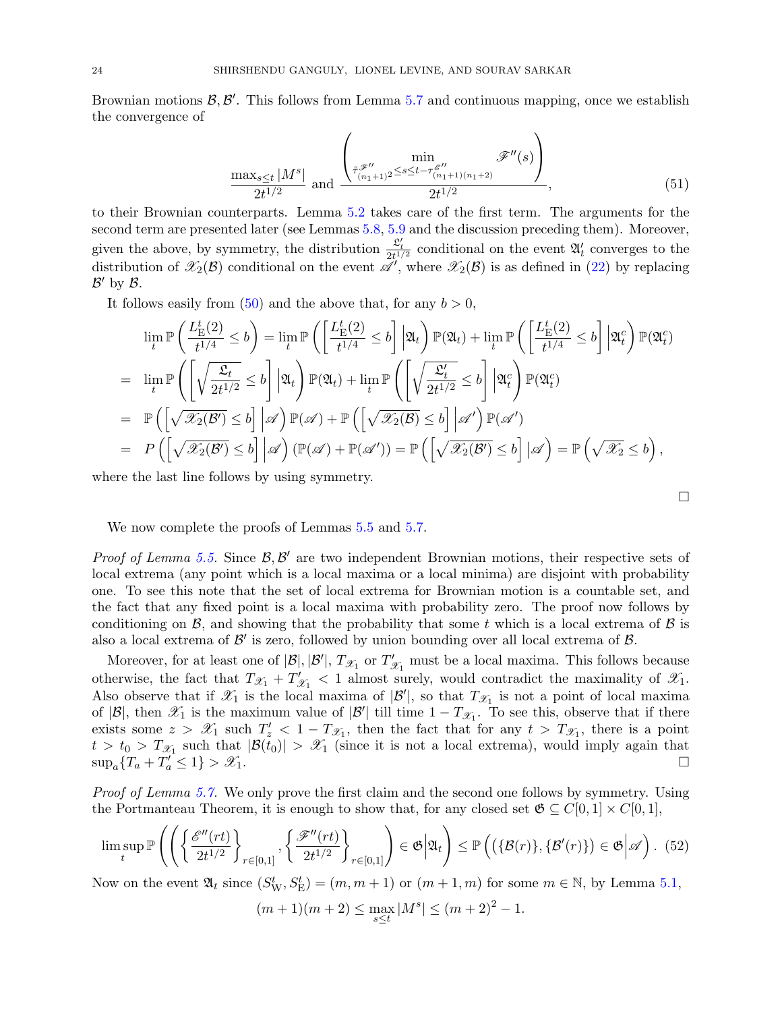Brownian motions  $\mathcal{B}, \mathcal{B}'$ . This follows from Lemma [5.7](#page-21-3) and continuous mapping, once we establish the convergence of

$$
\frac{\max_{s\leq t}|M^s|}{2t^{1/2}} \text{ and } \frac{\left(\min_{\substack{\tilde{\tau}_{(n_1+1)}^{\mathscr{F}''} \\ (n_1+1)\leq s \leq t-\tau_{(n_1+1)(n_1+2)}^{\mathscr{E}''}}} \mathscr{F}''(s)\right)}{2t^{1/2}},
$$
\n(51)

to their Brownian counterparts. Lemma [5.2](#page-20-0) takes care of the first term. The arguments for the second term are presented later (see Lemmas [5.8,](#page-25-0) [5.9](#page-26-1) and the discussion preceding them). Moreover, given the above, by symmetry, the distribution  $\frac{\mathcal{L}'_t}{2t^{1/2}}$  conditional on the event  $\mathfrak{A}'_t$  converges to the distribution of  $\mathscr{X}_2(\mathcal{B})$  conditional on the event  $\mathscr{A}'$ , where  $\mathscr{X}_2(\mathcal{B})$  is as defined in [\(22\)](#page-12-5) by replacing  $\mathcal{B}'$  by  $\mathcal{B}$ .

It follows easily from  $(50)$  and the above that, for any  $b > 0$ ,

$$
\lim_{t} \mathbb{P}\left(\frac{L_{\rm E}^{t}(2)}{t^{1/4}} \leq b\right) = \lim_{t} \mathbb{P}\left(\left[\frac{L_{\rm E}^{t}(2)}{t^{1/4}} \leq b\right] \Big| \mathfrak{A}_{t}\right) \mathbb{P}(\mathfrak{A}_{t}) + \lim_{t} \mathbb{P}\left(\left[\frac{L_{\rm E}^{t}(2)}{t^{1/4}} \leq b\right] \Big| \mathfrak{A}_{t}^{c}\right) \mathbb{P}(\mathfrak{A}_{t}^{c})
$$
\n
$$
= \lim_{t} \mathbb{P}\left(\left[\sqrt{\frac{\mathfrak{L}_{t}}{2t^{1/2}}} \leq b\right] \Big| \mathfrak{A}_{t}\right) \mathbb{P}(\mathfrak{A}_{t}) + \lim_{t} \mathbb{P}\left(\left[\sqrt{\frac{\mathfrak{L}_{t}^{t}}{2t^{1/2}}} \leq b\right] \Big| \mathfrak{A}_{t}^{c}\right) \mathbb{P}(\mathfrak{A}_{t}^{c})
$$
\n
$$
= \mathbb{P}\left(\left[\sqrt{\mathscr{X}_{2}(\mathcal{B}^{\prime})} \leq b\right] \Big| \mathscr{A}\right) \mathbb{P}(\mathscr{A}) + \mathbb{P}\left(\left[\sqrt{\mathscr{X}_{2}(\mathcal{B})} \leq b\right] \Big| \mathscr{A}^{\prime}\right) \mathbb{P}(\mathscr{A}^{\prime})
$$
\n
$$
= P\left(\left[\sqrt{\mathscr{X}_{2}(\mathcal{B}^{\prime})} \leq b\right] \Big| \mathscr{A}\right) \left(\mathbb{P}(\mathscr{A}) + \mathbb{P}(\mathscr{A}^{\prime})\right) = \mathbb{P}\left(\left[\sqrt{\mathscr{X}_{2}(\mathcal{B}^{\prime})} \leq b\right] \Big| \mathscr{A}\right) = \mathbb{P}\left(\sqrt{\mathscr{X}_{2} \leq b}\right),
$$

where the last line follows by using symmetry.

We now complete the proofs of Lemmas  $5.5$  and  $5.7$ .

Proof of Lemma [5.5.](#page-21-0) Since  $\mathcal{B}, \mathcal{B}'$  are two independent Brownian motions, their respective sets of local extrema (any point which is a local maxima or a local minima) are disjoint with probability one. To see this note that the set of local extrema for Brownian motion is a countable set, and the fact that any fixed point is a local maxima with probability zero. The proof now follows by conditioning on  $\mathcal{B}$ , and showing that the probability that some t which is a local extrema of  $\mathcal{B}$  is also a local extrema of  $\mathcal{B}'$  is zero, followed by union bounding over all local extrema of  $\mathcal{B}$ .

Moreover, for at least one of  $|\mathcal{B}|, |\mathcal{B}'|, T_{\mathcal{X}_1}$  or  $T'_{\mathcal{X}_1}$  must be a local maxima. This follows because otherwise, the fact that  $T_{\mathscr{X}_1} + T'_{\mathscr{G}}$  $\mathcal{X}_1$  < 1 almost surely, would contradict the maximality of  $\mathcal{X}_1$ . Also observe that if  $\mathscr{X}_1$  is the local maxima of  $|\mathcal{B}'|$ , so that  $T_{\mathscr{X}_1}$  is not a point of local maxima of  $|\mathcal{B}|$ , then  $\mathscr{X}_1$  is the maximum value of  $|\mathcal{B}'|$  till time  $1 - T_{\mathscr{X}_1}$ . To see this, observe that if there exists some  $z > \mathscr{X}_1$  such  $T'_z < 1 - T_{\mathscr{X}_1}$ , then the fact that for any  $t > T_{\mathscr{X}_1}$ , there is a point  $t > t_0 > T_{\mathscr{X}_1}$  such that  $|\mathcal{B}(t_0)| > \mathscr{X}_1$  (since it is not a local extrema), would imply again that  $\sup_a \{T_a + T'_a \leq 1\} > \mathcal{X}_1.$ 

Proof of Lemma [5.7.](#page-21-3) We only prove the first claim and the second one follows by symmetry. Using the Portmanteau Theorem, it is enough to show that, for any closed set  $\mathfrak{G} \subseteq C[0,1] \times C[0,1],$ 

<span id="page-23-0"></span>
$$
\limsup_{t} \mathbb{P}\left(\left(\left\{\frac{\mathscr{E}''(rt)}{2t^{1/2}}\right\}_{r\in[0,1]}, \left\{\frac{\mathscr{F}''(rt)}{2t^{1/2}}\right\}_{r\in[0,1]}\right) \in \mathfrak{G}\Big|\mathfrak{A}_t\right) \leq \mathbb{P}\left(\left(\{\mathcal{B}(r)\}, \{\mathcal{B}'(r)\}\right) \in \mathfrak{G}\Big|\mathscr{A}\right). (52)
$$

Now on the event  $\mathfrak{A}_t$  since  $(S^t_W, S^t_E) = (m, m + 1)$  or  $(m + 1, m)$  for some  $m \in \mathbb{N}$ , by Lemma [5.1,](#page-16-0)

$$
(m+1)(m+2) \le \max_{s \le t} |M^s| \le (m+2)^2 - 1.
$$

<span id="page-23-1"></span> $\Box$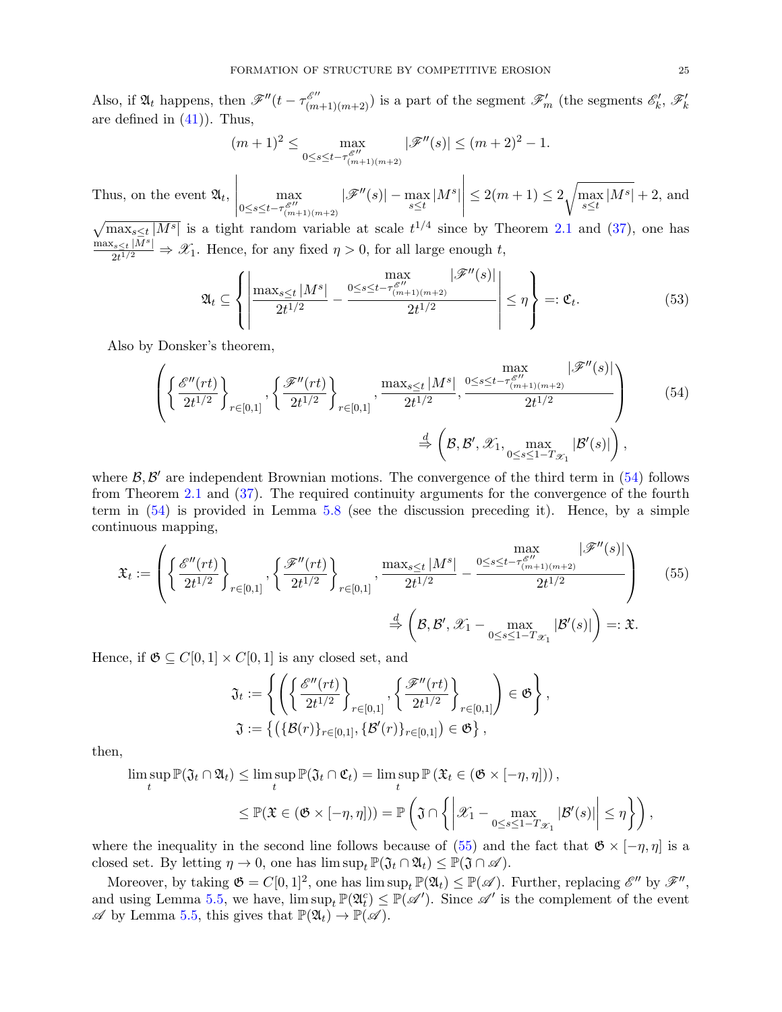Also, if  $\mathfrak{A}_t$  happens, then  $\mathscr{F}''(t - \tau_{(m+1)(m+2)}^{\mathscr{E}''})$  is a part of the segment  $\mathscr{F}'_m$  (the segments  $\mathscr{E}'_k$ ,  $\mathscr{F}'_k$ are defined in  $(41)$ ). Thus,

$$
(m+1)^2 \le \max_{0 \le s \le t - \tau_{(m+1)(m+2)}^{\mathscr{E}''}} |\mathscr{F}''(s)| \le (m+2)^2 - 1.
$$

Thus, on the event  $\mathfrak{A}_t$ , max  $0 \leq s \leq t - \tau_{(m+1)(m+2)}^{\mathscr{E}''}$  $|\mathscr{F}''(s)|-\max_{s\leq t}|M^s|$  $\begin{array}{c} \begin{array}{c} \begin{array}{c} \begin{array}{c} \end{array}\\ \end{array} \end{array} \end{array}$  $\leq 2(m+1) \leq 2 \sqrt{\max_{s \leq t} |M^s|} + 2$ , and  $\sqrt{\max_{s\leq t}|M^s|}$  is a tight random variable at scale  $t^{1/4}$  since by Theorem [2.1](#page-8-1) and [\(37\)](#page-17-1), one has  $\max_{s\leq t}|\bar{M}^s|$ 

 $\frac{2t^{1/M}}{2t^{1/2}} \Rightarrow \mathscr{X}_1$ . Hence, for any fixed  $\eta > 0$ , for all large enough t,

<span id="page-24-0"></span>
$$
\mathfrak{A}_{t} \subseteq \left\{ \left| \frac{\max_{s \leq t} |M^{s}|}{2t^{1/2}} - \frac{0 \leq s \leq t - \tau_{(m+1)(m+2)}^{\mathcal{E}''}(s)}{2t^{1/2}} \right| \leq \eta \right\} =: \mathfrak{C}_{t}.
$$
\n(53)

Also by Donsker's theorem,

$$
\left\{\left\{\frac{\mathscr{E}''(rt)}{2t^{1/2}}\right\}_{r\in[0,1]}, \left\{\frac{\mathscr{F}''(rt)}{2t^{1/2}}\right\}_{r\in[0,1]}, \frac{\max_{s\leq t}|M^s|}{2t^{1/2}}, \frac{\max_{0\leq s\leq t-\tau_{(m+1)(m+2)}^{\mathscr{E}''}(s)|}{2t^{1/2}}\right\}
$$
\n
$$
\stackrel{d}{\Rightarrow}\left(\mathcal{B},\mathcal{B}',\mathcal{X}_1, \max_{0\leq s\leq 1-T_{\mathcal{X}_1}}|\mathcal{B}'(s)|\right),\tag{54}
$$

where  $\mathcal{B}, \mathcal{B}'$  are independent Brownian motions. The convergence of the third term in [\(54\)](#page-24-0) follows from Theorem [2.1](#page-8-1) and [\(37\)](#page-17-1). The required continuity arguments for the convergence of the fourth term in [\(54\)](#page-24-0) is provided in Lemma [5.8](#page-25-0) (see the discussion preceding it). Hence, by a simple continuous mapping,

$$
\mathfrak{X}_{t} := \left( \left\{ \frac{\mathscr{E}''(rt)}{2t^{1/2}} \right\}_{r \in [0,1]}, \left\{ \frac{\mathscr{F}''(rt)}{2t^{1/2}} \right\}_{r \in [0,1]}, \frac{\max_{s \le t} |M^{s}|}{2t^{1/2}} - \frac{\max_{0 \le s \le t - \tau_{(m+1)(m+2)}^{\mathscr{S}''}} |\mathscr{F}''(s)|}{2t^{1/2}} \right) \qquad (55)
$$
\n
$$
\stackrel{d}{\Rightarrow} \left( \mathcal{B}, \mathcal{B}', \mathcal{X}_{1} - \max_{0 \le s \le 1 - T_{\mathcal{X}_{1}}} |\mathcal{B}'(s)| \right) =: \mathfrak{X}.
$$

Hence, if  $\mathfrak{G} \subseteq C[0,1] \times C[0,1]$  is any closed set, and

<span id="page-24-1"></span>
$$
\mathfrak{J}_t := \left\{ \left( \left\{ \frac{\mathscr{E}''(rt)}{2t^{1/2}} \right\}_{r \in [0,1]}, \left\{ \frac{\mathscr{F}''(rt)}{2t^{1/2}} \right\}_{r \in [0,1]} \right) \in \mathfrak{G} \right\},\
$$

$$
\mathfrak{J} := \left\{ \left( \{ \mathcal{B}(r) \}_{r \in [0,1]}, \{ \mathcal{B}'(r) \}_{r \in [0,1]} \right) \in \mathfrak{G} \right\},\
$$

then,

$$
\limsup_{t} \mathbb{P}(\mathfrak{J}_t \cap \mathfrak{A}_t) \le \limsup_{t} \mathbb{P}(\mathfrak{J}_t \cap \mathfrak{C}_t) = \limsup_{t} \mathbb{P}(\mathfrak{X}_t \in (\mathfrak{G} \times [-\eta, \eta]))
$$
\n
$$
\le \mathbb{P}(\mathfrak{X} \in (\mathfrak{G} \times [-\eta, \eta])) = \mathbb{P}\left(\mathfrak{J} \cap \left\{ \left| \mathcal{X}_1 - \max_{0 \le s \le 1 - T_{\mathcal{X}_1}} |\mathcal{B}'(s)| \right| \le \eta \right\} \right),
$$

where the inequality in the second line follows because of [\(55\)](#page-24-1) and the fact that  $\mathfrak{G} \times [-\eta, \eta]$  is a closed set. By letting  $\eta \to 0$ , one has  $\limsup_t \mathbb{P}(\mathfrak{J}_t \cap \mathfrak{A}_t) \leq \mathbb{P}(\mathfrak{J} \cap \mathcal{A})$ .

Moreover, by taking  $\mathfrak{G} = C[0,1]^2$ , one has  $\limsup_t \mathbb{P}(\mathfrak{A}_t) \leq \mathbb{P}(\mathscr{A})$ . Further, replacing  $\mathscr{E}''$  by  $\mathscr{F}''$ , and using Lemma [5.5,](#page-21-0) we have,  $\limsup_t \mathbb{P}(\mathfrak{A}_t^c) \leq \mathbb{P}(\mathscr{A})$ . Since  $\mathscr{A}'$  is the complement of the event  $\mathscr A$  by Lemma [5.5,](#page-21-0) this gives that  $\mathbb P(\mathfrak A_t) \to \mathbb P(\mathscr A)$ .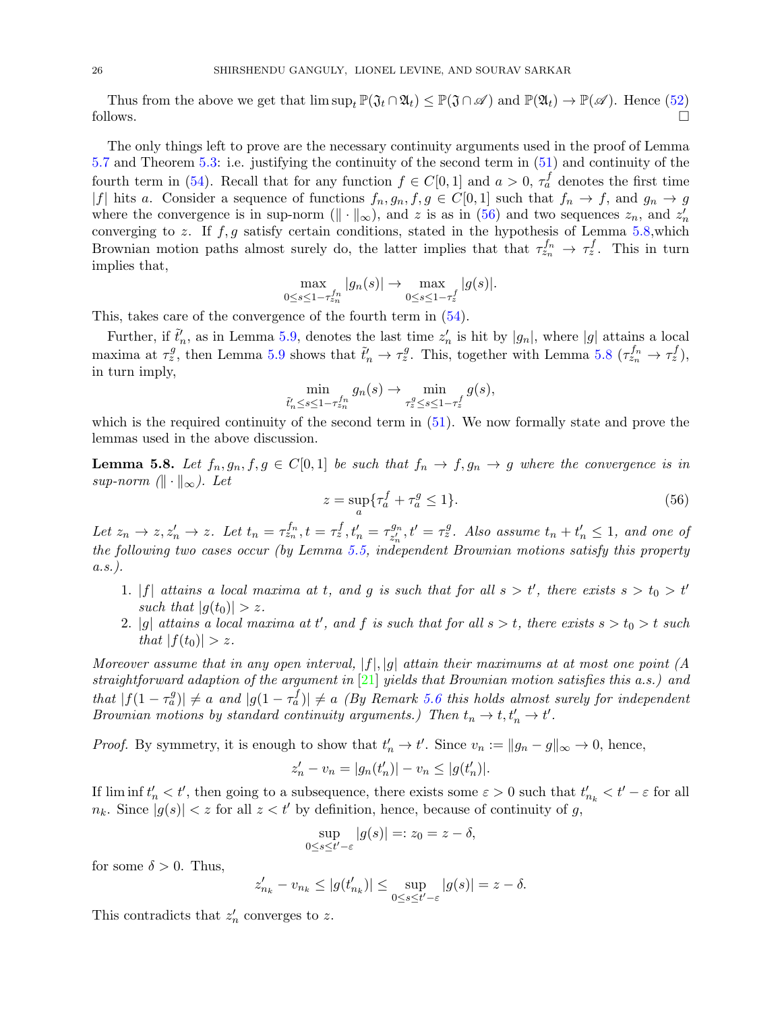Thus from the above we get that  $\limsup_t \mathbb{P}(\mathfrak{J}_t \cap \mathfrak{A}_t) \leq \mathbb{P}(\mathfrak{J} \cap \mathscr{A})$  and  $\mathbb{P}(\mathfrak{A}_t) \to \mathbb{P}(\mathscr{A})$ . Hence [\(52\)](#page-23-0) follows.  $\Box$ 

The only things left to prove are the necessary continuity arguments used in the proof of Lemma [5.7](#page-21-3) and Theorem [5.3:](#page-20-1) i.e. justifying the continuity of the second term in [\(51\)](#page-23-1) and continuity of the fourth term in [\(54\)](#page-24-0). Recall that for any function  $f \in C[0,1]$  and  $a > 0$ ,  $\tau_a^f$  denotes the first time |f| hits a. Consider a sequence of functions  $f_n, g_n, f, g \in C[0,1]$  such that  $f_n \to f$ , and  $g_n \to g$ where the convergence is in sup-norm  $(\|\cdot\|_{\infty})$ , and z is as in [\(56\)](#page-25-1) and two sequences  $z_n$ , and  $z'_n$ converging to z. If  $f, g$  satisfy certain conditions, stated in the hypothesis of Lemma [5.8,](#page-25-0) which Brownian motion paths almost surely do, the latter implies that that  $\tau_{z_n}^{f_n} \to \tau_z^f$ . This in turn implies that,

$$
\max_{0\leq s\leq 1-\tau_{zn}^{f_n}}|g_n(s)| \to \max_{0\leq s\leq 1-\tau_z^f}|g(s)|.
$$

This, takes care of the convergence of the fourth term in [\(54\)](#page-24-0).

Further, if  $\tilde{t}'_n$ , as in Lemma [5.9,](#page-26-1) denotes the last time  $z'_n$  is hit by  $|g_n|$ , where  $|g|$  attains a local maxima at  $\tau_z^g$ , then Lemma [5.9](#page-26-1) shows that  $\tilde{t}'_n \to \tau_z^g$ . This, together with Lemma [5.8](#page-25-0)  $(\tau_{z_n}^{f_n} \to \tau_z^f)$ , in turn imply,

$$
\min_{\tilde{t}'_n \le s \le 1 - \tau_{z_n}^{fn}} g_n(s) \to \min_{\tau_z^g \le s \le 1 - \tau_z^f} g(s),
$$

which is the required continuity of the second term in  $(51)$ . We now formally state and prove the lemmas used in the above discussion.

<span id="page-25-0"></span>**Lemma 5.8.** Let  $f_n, g_n, f, g \in C[0,1]$  be such that  $f_n \to f, g_n \to g$  where the convergence is in sup-norm  $(\|\cdot\|_{\infty})$ . Let

<span id="page-25-1"></span>
$$
z = \sup_{a} \{ \tau_a^f + \tau_a^g \le 1 \}. \tag{56}
$$

Let  $z_n \to z$ ,  $z'_n \to z$ . Let  $t_n = \tau_{z_n}^{f_n}$ ,  $t = \tau_z^f$ ,  $t'_n = \tau_{z'_n}^{g_n}$  $z_n^{g_n}, t' = \tau_z^g$ . Also assume  $t_n + t'_n \leq 1$ , and one of the following two cases occur (by Lemma [5.5,](#page-21-0) independent Brownian motions satisfy this property  $a.s.$ ).

- 1. |f| attains a local maxima at t, and g is such that for all  $s > t'$ , there exists  $s > t_0 > t'$ such that  $|q(t_0)| > z$ .
- 2. |g| attains a local maxima at t', and f is such that for all  $s > t$ , there exists  $s > t_0 > t$  such that  $|f(t_0)| > z$ .

Moreover assume that in any open interval,  $|f|, |g|$  attain their maximums at at most one point (A straightforward adaption of the argument in [\[21\]](#page-42-2) yields that Brownian motion satisfies this a.s.) and that  $|f(1 - \tau_a^g)| \neq a$  and  $|g(1 - \tau_a^f)| \neq a$  (By Remark [5.6](#page-21-4) this holds almost surely for independent Brownian motions by standard continuity arguments.) Then  $t_n \to t, t'_n \to t'$ .

*Proof.* By symmetry, it is enough to show that  $t'_n \to t'$ . Since  $v_n := ||g_n - g||_{\infty} \to 0$ , hence,

$$
z'_{n} - v_{n} = |g_{n}(t'_{n})| - v_{n} \le |g(t'_{n})|.
$$

If  $\liminf t_n' < t'$ , then going to a subsequence, there exists some  $\varepsilon > 0$  such that  $t'_{n_k} < t' - \varepsilon$  for all  $n_k$ . Since  $|g(s)| < z$  for all  $z < t'$  by definition, hence, because of continuity of g,

$$
\sup_{0\leq s\leq t'-\varepsilon}|g(s)|=:z_0=z-\delta,
$$

for some  $\delta > 0$ . Thus,

$$
z'_{n_k} - v_{n_k} \le |g(t'_{n_k})| \le \sup_{0 \le s \le t' - \varepsilon} |g(s)| = z - \delta.
$$

This contradicts that  $z'_n$  converges to z.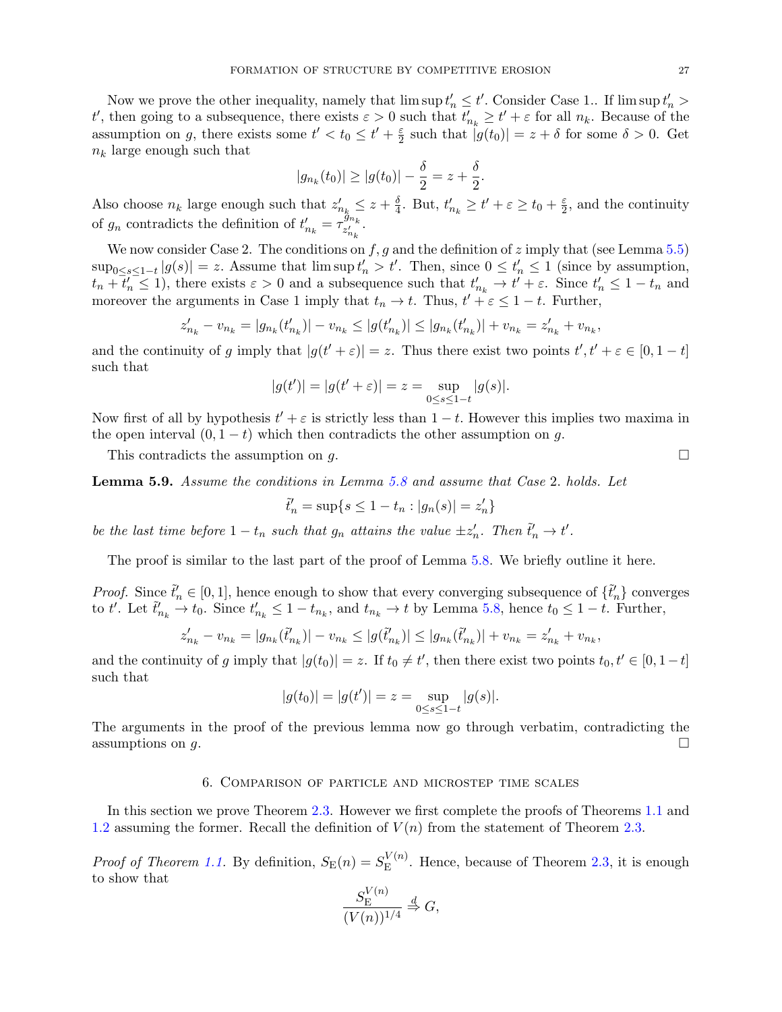Now we prove the other inequality, namely that  $\limsup t_n' \le t'$ . Consider Case 1.. If  $\limsup t_n' >$ t', then going to a subsequence, there exists  $\varepsilon > 0$  such that  $t'_{n_k} \ge t' + \varepsilon$  for all  $n_k$ . Because of the assumption on g, there exists some  $t' < t_0 \leq t' + \frac{\varepsilon}{2}$  $\frac{\varepsilon}{2}$  such that  $|g(t_0)| = z + \delta$  for some  $\delta > 0$ . Get  $n_k$  large enough such that

$$
|g_{n_k}(t_0)| \ge |g(t_0)| - \frac{\delta}{2} = z + \frac{\delta}{2}.
$$

Also choose  $n_k$  large enough such that  $z'_{n_k} \leq z + \frac{\delta}{4}$  $\frac{\delta}{4}$ . But,  $t'_{n_k} \geq t' + \varepsilon \geq t_0 + \frac{\varepsilon}{2}$  $\frac{\varepsilon}{2}$ , and the continuity of  $g_n$  contradicts the definition of  $t'_{n_k} = \tau_{z'_{n_k}}^{\tilde{g}_{n_k}}$ .

We now consider Case 2. The conditions on  $f, g$  and the definition of z imply that (see Lemma [5.5\)](#page-21-0)  $\sup_{0 \le s \le 1-t} |g(s)| = z$ . Assume that  $\limsup t_n' > t'$ . Then, since  $0 \le t_n' \le 1$  (since by assumption,  $t_n + \overline{t'_n} \leq 1$ , there exists  $\varepsilon > 0$  and a subsequence such that  $t'_{n_k} \to t' + \varepsilon$ . Since  $t'_n \leq 1 - t_n$  and moreover the arguments in Case 1 imply that  $t_n \to t$ . Thus,  $t' + \epsilon \leq 1 - t$ . Further,

$$
z'_{n_k} - v_{n_k} = |g_{n_k}(t'_{n_k})| - v_{n_k} \le |g(t'_{n_k})| \le |g_{n_k}(t'_{n_k})| + v_{n_k} = z'_{n_k} + v_{n_k},
$$

and the continuity of g imply that  $|g(t'+\varepsilon)| = z$ . Thus there exist two points  $t', t' + \varepsilon \in [0, 1-t]$ such that

$$
|g(t')| = |g(t' + \varepsilon)| = z = \sup_{0 \le s \le 1-t} |g(s)|.
$$

Now first of all by hypothesis  $t' + \varepsilon$  is strictly less than  $1 - t$ . However this implies two maxima in the open interval  $(0, 1-t)$  which then contradicts the other assumption on g.

This contradicts the assumption on  $q$ .

<span id="page-26-1"></span>Lemma 5.9. Assume the conditions in Lemma [5.8](#page-25-0) and assume that Case 2. holds. Let

$$
\tilde{t}_n'=\sup\{s\leq 1-t_n:|g_n(s)|=z_n'\}
$$

be the last time before  $1-t_n$  such that  $g_n$  attains the value  $\pm z'_n$ . Then  $\tilde{t}'_n \to t'$ .

The proof is similar to the last part of the proof of Lemma [5.8.](#page-25-0) We briefly outline it here.

*Proof.* Since  $\tilde{t}'_n \in [0,1]$ , hence enough to show that every converging subsequence of  $\{\tilde{t}'_n\}$  converges to t'. Let  $\tilde{t}'_{n_k} \to t_0$ . Since  $t'_{n_k} \leq 1 - t_{n_k}$ , and  $t_{n_k} \to t$  by Lemma [5.8,](#page-25-0) hence  $t_0 \leq 1 - t$ . Further,

$$
z'_{n_k} - v_{n_k} = |g_{n_k}(\tilde{t}'_{n_k})| - v_{n_k} \le |g(\tilde{t}'_{n_k})| \le |g_{n_k}(\tilde{t}'_{n_k})| + v_{n_k} = z'_{n_k} + v_{n_k},
$$

and the continuity of g imply that  $|g(t_0)| = z$ . If  $t_0 \neq t'$ , then there exist two points  $t_0, t' \in [0, 1-t]$ such that

$$
|g(t_0)| = |g(t')| = z = \sup_{0 \le s \le 1-t} |g(s)|.
$$

The arguments in the proof of the previous lemma now go through verbatim, contradicting the assumptions on  $g$ .

## 6. Comparison of particle and microstep time scales

<span id="page-26-0"></span>In this section we prove Theorem [2.3.](#page-8-0) However we first complete the proofs of Theorems [1.1](#page-0-0) and [1.2](#page-4-0) assuming the former. Recall the definition of  $V(n)$  from the statement of Theorem [2.3.](#page-8-0)

*Proof of Theorem [1.1.](#page-0-0)* By definition,  $S_{\rm E}(n) = S_{\rm E}^{V(n)}$  $E<sup>V(n)</sup>$ . Hence, because of Theorem [2.3,](#page-8-0) it is enough to show that  $V(n)$ 

$$
\frac{S_{\rm E}^{V(n)}}{(V(n))^{1/4}} \stackrel{d}{\Rightarrow} G,
$$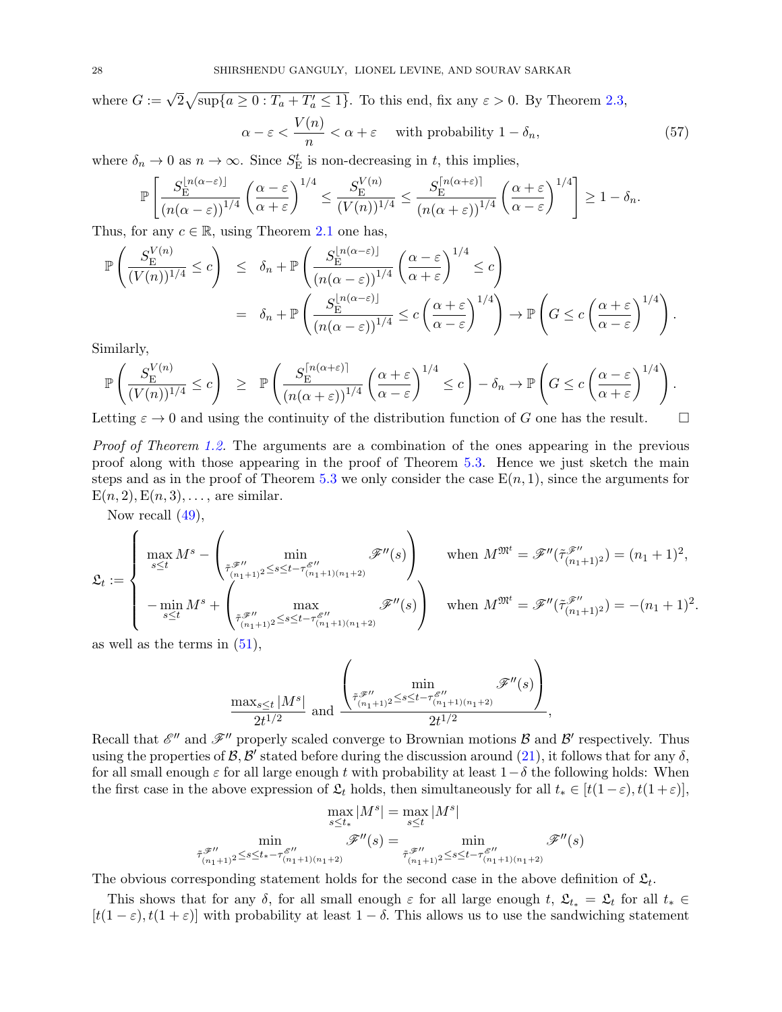where  $G := \sqrt{2} \sqrt{\sup\{a \ge 0 : T_a + T'_a \le 1\}}$ . To this end, fix any  $\varepsilon > 0$ . By Theorem [2.3,](#page-8-0)  $\alpha - \varepsilon < \frac{V(n)}{N}$  $\frac{\partial}{\partial n} < \alpha + \varepsilon$  with probability  $1 - \delta_n$ , (57)

where  $\delta_n \to 0$  as  $n \to \infty$ . Since  $S_{\text{E}}^t$  is non-decreasing in t, this implies,

<span id="page-27-0"></span>
$$
\mathbb{P}\left[\frac{S_{\rm E}^{\lfloor n(\alpha-\varepsilon)\rfloor}}{(n(\alpha-\varepsilon))^{1/4}}\left(\frac{\alpha-\varepsilon}{\alpha+\varepsilon}\right)^{1/4}\leq \frac{S_{\rm E}^{V(n)}}{(V(n))^{1/4}}\leq \frac{S_{\rm E}^{\lceil n(\alpha+\varepsilon)\rceil}}{(n(\alpha+\varepsilon))^{1/4}}\left(\frac{\alpha+\varepsilon}{\alpha-\varepsilon}\right)^{1/4}\right]\geq 1-\delta_n.
$$

Thus, for any  $c \in \mathbb{R}$ , using Theorem [2.1](#page-8-1) one has,

$$
\mathbb{P}\left(\frac{S_{\mathcal{E}}^{V(n)}}{(V(n))^{1/4}} \leq c\right) \leq \delta_n + \mathbb{P}\left(\frac{S_{\mathcal{E}}^{\lfloor n(\alpha-\varepsilon)\rfloor}}{(n(\alpha-\varepsilon))^{1/4}}\left(\frac{\alpha-\varepsilon}{\alpha+\varepsilon}\right)^{1/4} \leq c\right)
$$

$$
= \delta_n + \mathbb{P}\left(\frac{S_{\mathcal{E}}^{\lfloor n(\alpha-\varepsilon)\rfloor}}{(n(\alpha-\varepsilon))^{1/4}} \leq c\left(\frac{\alpha+\varepsilon}{\alpha-\varepsilon}\right)^{1/4}\right) \to \mathbb{P}\left(G \leq c\left(\frac{\alpha+\varepsilon}{\alpha-\varepsilon}\right)^{1/4}\right).
$$

Similarly,

$$
\mathbb{P}\left(\frac{S_{\rm E}^{V(n)}}{(V(n))^{1/4}} \le c\right) \ge \mathbb{P}\left(\frac{S_{\rm E}^{\left\lceil n(\alpha+\varepsilon)\right\rceil}}{(n(\alpha+\varepsilon))^{1/4}}\left(\frac{\alpha+\varepsilon}{\alpha-\varepsilon}\right)^{1/4} \le c\right) - \delta_n \to \mathbb{P}\left(G \le c\left(\frac{\alpha-\varepsilon}{\alpha+\varepsilon}\right)^{1/4}\right).
$$

Letting  $\varepsilon \to 0$  and using the continuity of the distribution function of G one has the result.

Proof of Theorem [1.2.](#page-4-0) The arguments are a combination of the ones appearing in the previous proof along with those appearing in the proof of Theorem [5.3.](#page-20-1) Hence we just sketch the main steps and as in the proof of Theorem [5.3](#page-20-1) we only consider the case  $E(n, 1)$ , since the arguments for  $E(n, 2), E(n, 3), \ldots$ , are similar.

Now recall [\(49\)](#page-22-2),

$$
\mathfrak{L}_{t} := \begin{cases}\n\max_{s \leq t} M^{s} - \left(\min_{\substack{\tilde{\tau}, \tilde{\mathcal{F}}'' \\ (n_{1}+1)2 \leq s \leq t - \tau_{(n_{1}+1)(n_{1}+2)}^{\mathscr{E}''}} \mathcal{F}''(s)\right) \\
-\min_{s \leq t} M^{s} + \left(\max_{\substack{\tilde{\tau}, \tilde{\mathcal{F}}'' \\ (n_{1}+1)2 \leq s \leq t - \tau_{(n_{1}+1)(n_{1}+2)}^{\mathscr{E}''}} \mathcal{F}''(s)\right) \\
\text{when } M^{\mathfrak{M}^{t}} = \mathcal{F}''(\tilde{\tau}_{(n_{1}+1)2}^{\mathscr{F}''}) = -(n_{1}+1)^{2},\n\end{cases}
$$

.

as well as the terms in [\(51\)](#page-23-1),

$$
\frac{\max_{s\leq t}|M^s|}{2t^{1/2}} \text{ and } \frac{\left(\min_{\substack{\tilde{\tau}, \mathscr{F}''\\(n_1+1)^2\leq s\leq t-\tau_{(n_1+1)(n_1+2)}^{g''}}}\mathscr{F}''(s)\right)}{2t^{1/2}},
$$

Recall that  $\mathscr{E}''$  and  $\mathscr{F}''$  properly scaled converge to Brownian motions  $\mathcal B$  and  $\mathcal B'$  respectively. Thus using the properties of  $\mathcal{B}, \mathcal{B}'$  stated before during the discussion around [\(21\)](#page-12-0), it follows that for any  $\delta$ , for all small enough  $\varepsilon$  for all large enough t with probability at least  $1-\delta$  the following holds: When the first case in the above expression of  $\mathfrak{L}_t$  holds, then simultaneously for all  $t_* \in [t(1-\varepsilon), t(1+\varepsilon)],$ 

$$
\max_{s \le t_*} |M^s| = \max_{s \le t} |M^s|
$$

$$
\min_{\tilde{\tau}_{(n_1+1)^2} \le s \le t_* - \tau_{(n_1+1)(n_1+2)}^{\mathscr{F}''}(s) = \min_{\tilde{\tau}_{(n_1+1)^2} \le s \le t - \tau_{(n_1+1)(n_1+2)}^{\mathscr{F}''}(s)}
$$

$$
\tilde{\tau}_{(n_1+1)^2}^{\mathscr{F}''}(s) = \min_{\tilde{\tau}_{(n_1+1)^2} \le s \le t - \tau_{(n_1+1)(n_1+2)}^{\mathscr{F}''}(s)}
$$

The obvious corresponding statement holds for the second case in the above definition of  $\mathfrak{L}_t$ .

This shows that for any δ, for all small enough  $\varepsilon$  for all large enough t,  $\mathfrak{L}_{t_*} = \mathfrak{L}_t$  for all  $t_* \in$  $[t(1-\varepsilon), t(1+\varepsilon)]$  with probability at least  $1-\delta$ . This allows us to use the sandwiching statement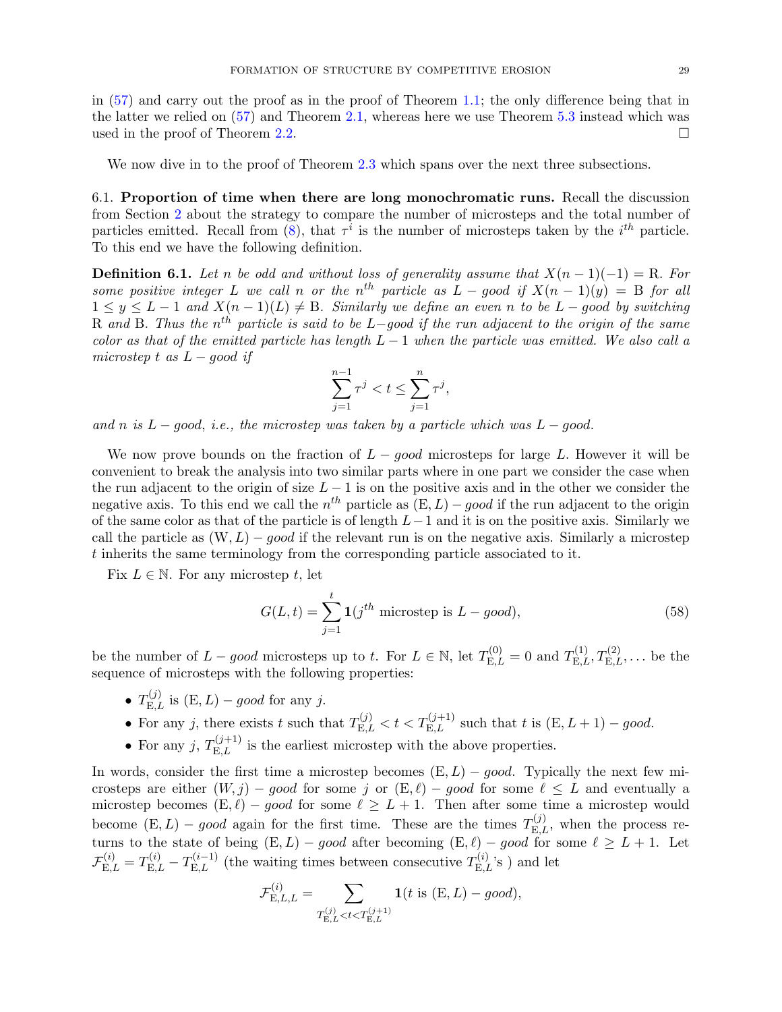in [\(57\)](#page-27-0) and carry out the proof as in the proof of Theorem [1.1;](#page-0-0) the only difference being that in the latter we relied on  $(57)$  and Theorem [2.1,](#page-8-1) whereas here we use Theorem [5.3](#page-20-1) instead which was used in the proof of Theorem [2.2.](#page-8-2)

We now dive in to the proof of Theorem [2.3](#page-8-0) which spans over the next three subsections.

6.1. Proportion of time when there are long monochromatic runs. Recall the discussion from Section [2](#page-5-1) about the strategy to compare the number of microsteps and the total number of particles emitted. Recall from [\(8\)](#page-10-3), that  $\tau^i$  is the number of microsteps taken by the  $i^{th}$  particle. To this end we have the following definition.

**Definition 6.1.** Let n be odd and without loss of generality assume that  $X(n-1)(-1) = R$ . For some positive integer L we call n or the n<sup>th</sup> particle as  $L - good$  if  $X(n - 1)(y) = B$  for all  $1 \leq y \leq L-1$  and  $X(n-1)(L) \neq B$ . Similarly we define an even n to be  $L$  – good by switching R and B. Thus the n<sup>th</sup> particle is said to be L–good if the run adjacent to the origin of the same color as that of the emitted particle has length  $L-1$  when the particle was emitted. We also call a microstep t as  $L - q$ ood if

$$
\sum_{j=1}^{n-1}\tau^j
$$

and n is  $L - qood$ , i.e., the microstep was taken by a particle which was  $L - qood$ .

We now prove bounds on the fraction of  $L - good$  microsteps for large L. However it will be convenient to break the analysis into two similar parts where in one part we consider the case when the run adjacent to the origin of size  $L - 1$  is on the positive axis and in the other we consider the negative axis. To this end we call the  $n^{th}$  particle as  $(E, L) - good$  if the run adjacent to the origin of the same color as that of the particle is of length  $L-1$  and it is on the positive axis. Similarly we call the particle as  $(W, L) - good$  if the relevant run is on the negative axis. Similarly a microstep t inherits the same terminology from the corresponding particle associated to it.

Fix  $L \in \mathbb{N}$ . For any microstep t, let

$$
G(L,t) = \sum_{j=1}^{t} \mathbf{1}(j^{th} \text{ microstep is } L - good), \qquad (58)
$$

be the number of  $L - good$  microsteps up to t. For  $L \in \mathbb{N}$ , let  $T_{E,L}^{(0)} = 0$  and  $T_{E,L}^{(1)}, T_{E,L}^{(2)}, \ldots$  be the sequence of microsteps with the following properties:

- $T_{\mathrm{E},L}^{(j)}$  is  $(\mathrm{E},L) good$  for any j.
- For any j, there exists t such that  $T_{\text{E},L}^{(j)} < t < T_{\text{E},L}^{(j+1)}$  such that t is  $(\text{E}, L + 1) good$ .
- For any j,  $T_{\text{E},L}^{(j+1)}$  is the earliest microstep with the above properties.

In words, consider the first time a microstep becomes  $(E, L) - good$ . Typically the next few microsteps are either  $(W, j)$  – good for some j or  $(E, \ell)$  – good for some  $\ell \leq L$  and eventually a microstep becomes  $(E, \ell)$  – good for some  $\ell \geq L + 1$ . Then after some time a microstep would become  $(E, L) - good$  again for the first time. These are the times  $T_{E, L}^{(j)}$ , when the process returns to the state of being  $(E, L) - good$  after becoming  $(E, \ell) - good$  for some  $\ell \geq L + 1$ . Let  $\mathcal{F}_{\text{E},L}^{(i)} = T_{\text{E},L}^{(i)} - T_{\text{E},L}^{(i-1)}$  (the waiting times between consecutive  $T_{\text{E},L}^{(i)}$ 's) and let

$$
\mathcal{F}_{\mathrm{E},L,L}^{(i)} = \sum_{\substack{T_{\mathrm{E},L}^{(j)} < t < T_{\mathrm{E},L}^{(j+1)}}} \mathbf{1}(t \text{ is } (\mathrm{E},L) - good),
$$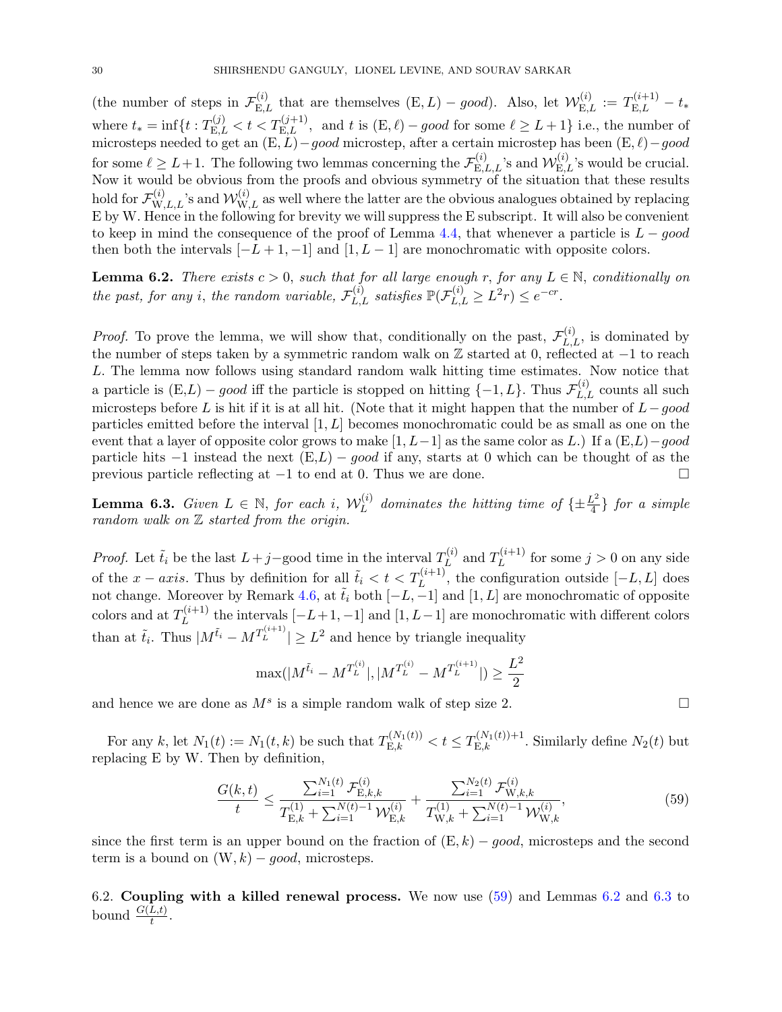(the number of steps in  $\mathcal{F}_{E,L}^{(i)}$  that are themselves  $(E, L) - good$ ). Also, let  $\mathcal{W}_{E,L}^{(i)} := T_{E,L}^{(i+1)} - t_*$ where  $t_* = \inf\{t : T_{\mathcal{E},L}^{(j)} < t < T_{\mathcal{E},L}^{(j+1)}$ , and t is  $(\mathcal{E}, \ell) - good$  for some  $\ell \geq L+1\}$  i.e., the number of microsteps needed to get an  $(E, L) - good$  microstep, after a certain microstep has been  $(E, \ell) - good$ for some  $\ell \geq L+1$ . The following two lemmas concerning the  $\mathcal{F}_{E,L,L}^{(i)}$ 's and  $\mathcal{W}_{E,L}^{(i)}$ 's would be crucial. Now it would be obvious from the proofs and obvious symmetry of the situation that these results hold for  $\mathcal{F}_{W,L,L}^{(i)}$ 's and  $\mathcal{W}_{W,L}^{(i)}$  as well where the latter are the obvious analogues obtained by replacing E by W. Hence in the following for brevity we will suppress the E subscript. It will also be convenient to keep in mind the consequence of the proof of Lemma [4.4,](#page-15-1) that whenever a particle is  $L - good$ then both the intervals  $[-L+1, -1]$  and  $[1, L-1]$  are monochromatic with opposite colors.

<span id="page-29-1"></span>**Lemma 6.2.** There exists  $c > 0$ , such that for all large enough r, for any  $L \in \mathbb{N}$ , conditionally on the past, for any i, the random variable,  $\mathcal{F}_{L,L}^{(i)}$  satisfies  $\mathbb{P}(\mathcal{F}_{L,L}^{(i)} \geq L^2 r) \leq e^{-cr}$ .

*Proof.* To prove the lemma, we will show that, conditionally on the past,  $\mathcal{F}_{L,L}^{(i)}$ , is dominated by the number of steps taken by a symmetric random walk on Z started at 0, reflected at −1 to reach L. The lemma now follows using standard random walk hitting time estimates. Now notice that a particle is  $(E,L) - good$  iff the particle is stopped on hitting  $\{-1, L\}$ . Thus  $\mathcal{F}_{L,L}^{(i)}$  counts all such microsteps before L is hit if it is at all hit. (Note that it might happen that the number of  $L-good$ particles emitted before the interval  $[1, L]$  becomes monochromatic could be as small as one on the event that a layer of opposite color grows to make  $[1, L-1]$  as the same color as L.) If a  $(E, L)-qood$ particle hits  $-1$  instead the next  $(E, L) - good$  if any, starts at 0 which can be thought of as the previous particle reflecting at  $-1$  to end at 0. Thus we are done.

<span id="page-29-2"></span>**Lemma 6.3.** Given  $L \in \mathbb{N}$ , for each i,  $\mathcal{W}_L^{(i)}$  $L^{(i)}_L$  dominates the hitting time of  $\{\pm \frac{L^2}{4}\}$  for a simple random walk on  $Z$  started from the origin.

*Proof.* Let  $\tilde{t}_i$  be the last  $L+j$ -good time in the interval  $T_L^{(i)}$  $L^{(i)}$  and  $T_L^{(i+1)}$  $L^{(i+1)}$  for some  $j > 0$  on any side of the  $x - axis$ . Thus by definition for all  $\tilde{t}_i < t < T_L^{(i+1)}$ , the configuration outside  $[-L, L]$  does not change. Moreover by Remark [4.6,](#page-16-5) at  $\tilde{t}_i$  both  $[-L, -1]$  and  $[1, L]$  are monochromatic of opposite colors and at  $T_L^{(i+1)}$  $L^{(l+1)}$  the intervals  $[-L+1,-1]$  and  $[1, L-1]$  are monochromatic with different colors than at  $\tilde{t}_i$ . Thus  $|M^{\tilde{t}_i} - M^{T^{(i+1)}_L}| \geq L^2$  and hence by triangle inequality

$$
\max(|M^{\tilde{t}_i} - M^{T_L^{(i)}}|, |M^{T_L^{(i)}} - M^{T_L^{(i+1)}}|) \ge \frac{L^2}{2}
$$

and hence we are done as  $M^s$  is a simple random walk of step size 2.

For any k, let  $N_1(t) := N_1(t, k)$  be such that  $T_{E,k}^{(N_1(t))} < t \leq T_{E,k}^{(N_1(t)) + 1}$ . Similarly define  $N_2(t)$  but replacing E by W. Then by definition,

<span id="page-29-0"></span>
$$
\frac{G(k,t)}{t} \le \frac{\sum_{i=1}^{N_1(t)} \mathcal{F}_{E,k,k}^{(i)}}{T_{E,k}^{(1)} + \sum_{i=1}^{N(t)-1} \mathcal{W}_{E,k}^{(i)}} + \frac{\sum_{i=1}^{N_2(t)} \mathcal{F}_{W,k,k}^{(i)}}{T_{W,k}^{(1)} + \sum_{i=1}^{N(t)-1} \mathcal{W}_{W,k}^{(i)}},
$$
(59)

since the first term is an upper bound on the fraction of  $(E, k) - good$ , microsteps and the second term is a bound on  $(W, k) - good$ , microsteps.

6.2. Coupling with a killed renewal process. We now use [\(59\)](#page-29-0) and Lemmas [6.2](#page-29-1) and [6.3](#page-29-2) to bound  $\frac{G(L,t)}{t}$ .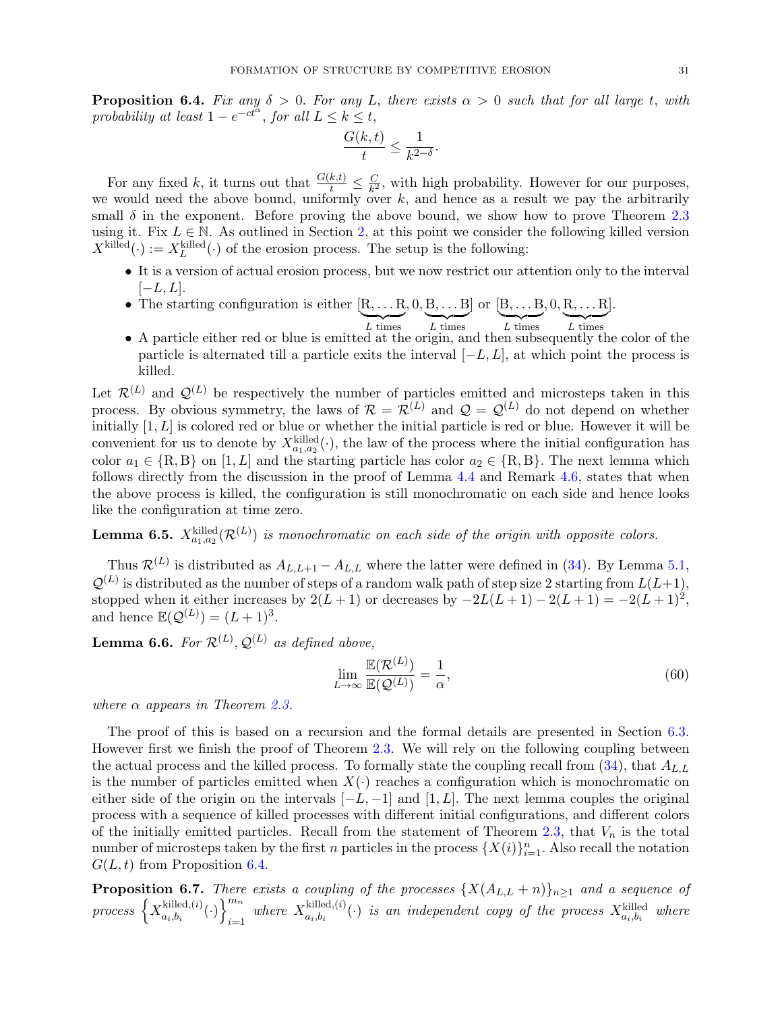<span id="page-30-0"></span>**Proposition 6.4.** Fix any  $\delta > 0$ . For any L, there exists  $\alpha > 0$  such that for all large t, with probability at least  $1 - e^{-ct^{\alpha}}$ , for all  $L \leq k \leq t$ ,

$$
\frac{G(k,t)}{t}\leq \frac{1}{k^{2-\delta}}.
$$

For any fixed k, it turns out that  $\frac{G(k,t)}{t} \leq \frac{C}{k^2}$  $\frac{C}{k^2}$ , with high probability. However for our purposes, we would need the above bound, uniformly over  $k$ , and hence as a result we pay the arbitrarily small  $\delta$  in the exponent. Before proving the above bound, we show how to prove Theorem [2.3](#page-8-0) using it. Fix  $L \in \mathbb{N}$ . As outlined in Section [2,](#page-5-1) at this point we consider the following killed version  $X^{\text{killed}}(\cdot) := X^{\text{killed}}_L(\cdot)$  of the erosion process. The setup is the following:

- It is a version of actual erosion process, but we now restrict our attention only to the interval  $[-L, L]$ .
- The starting configuration is either  $[R, \ldots R]$  $L \times$  $, 0, B, \ldots B$  $\overline{L \text{ times}}$  $\vert$  or  $\vert B,\ldots B$  $\overline{L \text{ times}}$  $, 0, R, \ldots R$  $\overline{L \text{ times}}$ ].
- A particle either red or blue is emitted at the origin, and then subsequently the color of the particle is alternated till a particle exits the interval  $[-L, L]$ , at which point the process is killed.

Let  $\mathcal{R}^{(L)}$  and  $\mathcal{Q}^{(L)}$  be respectively the number of particles emitted and microsteps taken in this process. By obvious symmetry, the laws of  $\mathcal{R} = \mathcal{R}^{(L)}$  and  $\mathcal{Q} = \mathcal{Q}^{(L)}$  do not depend on whether initially  $[1, L]$  is colored red or blue or whether the initial particle is red or blue. However it will be convenient for us to denote by  $X_{a_1,a_2}^{\text{killed}}(\cdot)$ , the law of the process where the initial configuration has color  $a_1 \in \{R, B\}$  on  $[1, L]$  and the starting particle has color  $a_2 \in \{R, B\}$ . The next lemma which follows directly from the discussion in the proof of Lemma [4.4](#page-15-1) and Remark [4.6,](#page-16-5) states that when the above process is killed, the configuration is still monochromatic on each side and hence looks like the configuration at time zero.

<span id="page-30-3"></span>**Lemma 6.5.**  $X_{a_1,a_2}^{\text{killed}}(\mathcal{R}^{(L)})$  is monochromatic on each side of the origin with opposite colors.

Thus  $\mathcal{R}^{(L)}$  is distributed as  $A_{L,L+1} - A_{L,L}$  where the latter were defined in [\(34\)](#page-16-2). By Lemma [5.1,](#page-16-0)  $\mathcal{Q}^{(L)}$  is distributed as the number of steps of a random walk path of step size 2 starting from  $L(L+1)$ , stopped when it either increases by  $2(L+1)$  or decreases by  $-2L(L+1) - 2(L+1) = -2(L+1)^2$ , and hence  $\mathbb{E}(\mathcal{Q}^{(L)}) = (L+1)^3$ .

<span id="page-30-1"></span>**Lemma 6.6.** For  $\mathcal{R}^{(L)}$ ,  $\mathcal{Q}^{(L)}$  as defined above,

$$
\lim_{L \to \infty} \frac{\mathbb{E}(\mathcal{R}^{(L)})}{\mathbb{E}(\mathcal{Q}^{(L)})} = \frac{1}{\alpha},\tag{60}
$$

where  $\alpha$  appears in Theorem [2.3.](#page-8-0)

The proof of this is based on a recursion and the formal details are presented in Section [6.3.](#page-35-0) However first we finish the proof of Theorem [2.3.](#page-8-0) We will rely on the following coupling between the actual process and the killed process. To formally state the coupling recall from  $(34)$ , that  $A_{L,L}$ is the number of particles emitted when  $X(\cdot)$  reaches a configuration which is monochromatic on either side of the origin on the intervals  $[-L, -1]$  and  $[1, L]$ . The next lemma couples the original process with a sequence of killed processes with different initial configurations, and different colors of the initially emitted particles. Recall from the statement of Theorem [2.3,](#page-8-0) that  $V_n$  is the total number of microsteps taken by the first n particles in the process  $\{X(i)\}_{i=1}^n$ . Also recall the notation  $G(L, t)$  from Proposition [6.4.](#page-30-0)

<span id="page-30-2"></span>**Proposition 6.7.** There exists a coupling of the processes  $\{X(A_{L,L} + n)\}_{n\geq 1}$  and a sequence of process  $\left\{X_{a+b}^{killed,(i)}\right\}$  $\left\{\text{killed}, (i) \choose \cdot \right\}_{i=1}^{m_n}$  $\sum_{i=1}^{m_n}$  where  $X_{a_i,b_i}^{killed,(i)}$  $\mathcal{L}_{a_i,b_i}^{k[100]}(\cdot)$  is an independent copy of the process  $X_{a_i,b_i}^{k[100]}$  where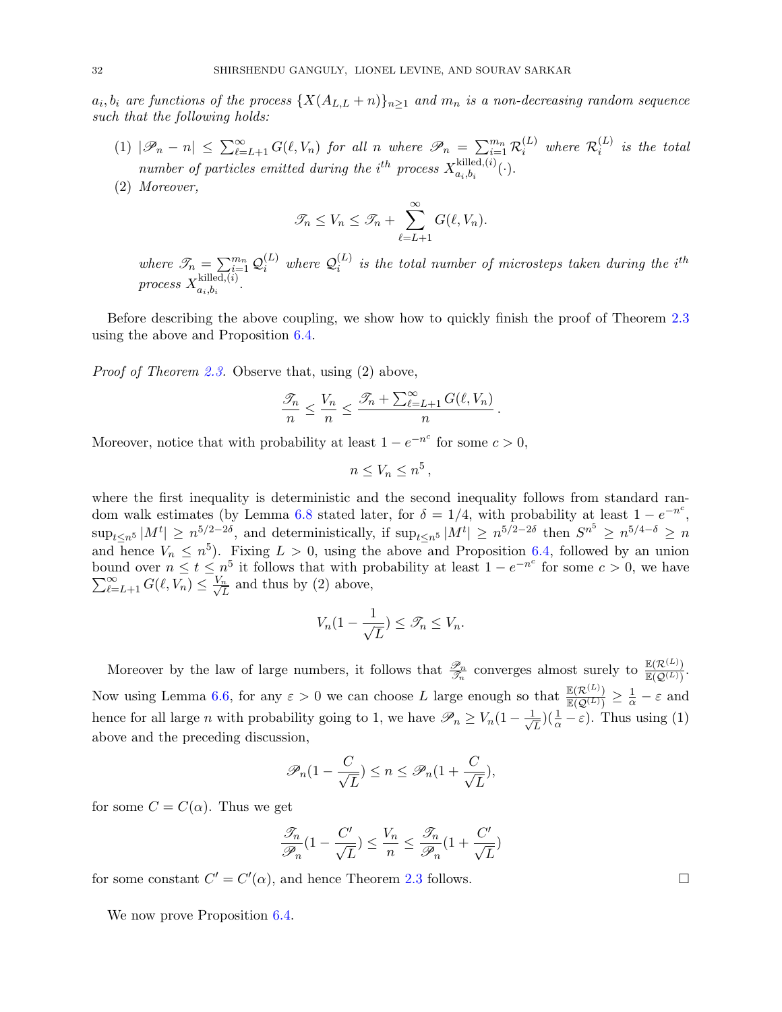$a_i, b_i$  are functions of the process  $\{X(A_{L,L} + n)\}_{n \geq 1}$  and  $m_n$  is a non-decreasing random sequence such that the following holds:

- (1)  $|\mathscr{P}_n n| \leq \sum_{\ell=L+1}^{\infty} G(\ell, V_n)$  for all n where  $\mathscr{P}_n = \sum_{i=1}^{m_n} \mathcal{R}_i^{(L)}$  where  $\mathcal{R}_i^{(L)}$  $\binom{L}{i}$  is the total number of particles emitted during the i<sup>th</sup> process  $X_{a+b}^{killed,(i)}$  $a_i, b_i^{k$ <sup>(*t*)</sup>(·).
- (2) Moreover,

$$
\mathcal{T}_n \leq V_n \leq \mathcal{T}_n + \sum_{\ell=L+1}^{\infty} G(\ell, V_n).
$$

where  $\mathcal{S}_n = \sum_{i=1}^{m_n} \mathcal{Q}_i^{(L)}$  where  $\mathcal{Q}_i^{(L)}$  $\binom{L}{i}$  is the total number of microsteps taken during the i<sup>th</sup> process  $X^{\text{killed},(i)}_{a+b}$  $a_i, b_i$ 

Before describing the above coupling, we show how to quickly finish the proof of Theorem [2.3](#page-8-0) using the above and Proposition [6.4.](#page-30-0)

Proof of Theorem [2.3.](#page-8-0) Observe that, using (2) above,

$$
\frac{\mathcal{I}_n}{n} \le \frac{V_n}{n} \le \frac{\mathcal{I}_n + \sum_{\ell=L+1}^{\infty} G(\ell, V_n)}{n}.
$$

Moreover, notice that with probability at least  $1 - e^{-n^c}$  for some  $c > 0$ ,

$$
n\leq V_n\leq n^5\,,
$$

where the first inequality is deterministic and the second inequality follows from standard ran-dom walk estimates (by Lemma [6.8](#page-33-0) stated later, for  $\delta = 1/4$ , with probability at least  $1 - e^{-n^c}$ ,  $\sup_{t\leq n^5} |M^t| \geq n^{5/2-2\delta}$ , and deterministically, if  $\sup_{t\leq n^5} |M^t| \geq n^{5/2-2\delta}$  then  $S^{n^5} \geq n^{5/4-\delta} \geq n$ and hence  $V_n \n\t\leq n^5$ ). Fixing  $L > 0$ , using the above and Proposition [6.4,](#page-30-0) followed by an union bound over  $n \le t \le n^5$  it follows that with probability at least  $1 - e^{-n^c}$  for some  $c > 0$ , we have  $\sum_{\ell=L+1}^{\infty} G(\ell, V_n) \leq \frac{V_n}{\sqrt{I}}$  $\frac{n}{L}$  and thus by (2) above,

$$
V_n(1 - \frac{1}{\sqrt{L}}) \le \mathcal{T}_n \le V_n.
$$

Moreover by the law of large numbers, it follows that  $\frac{\mathscr{P}_n}{\mathscr{T}_n}$  converges almost surely to  $\frac{\mathbb{E}(\mathcal{R}^{(L)})}{\mathbb{E}(\mathcal{Q}^{(L)})}$  $\frac{\mathbb{E}(\mathcal{K}^{(L)})}{\mathbb{E}(\mathcal{Q}^{(L)})}$ . Now using Lemma [6.6,](#page-30-1) for any  $\varepsilon > 0$  we can choose L large enough so that  $\frac{\mathbb{E}(\mathcal{R}^{(L)})}{\mathbb{E}(\mathcal{O}(L))}$  $\frac{\mathbb{E}(\mathcal{R}^{(L)})}{\mathbb{E}(\mathcal{Q}^{(L)})} \geq \frac{1}{\alpha} - \varepsilon$  and hence for all large *n* with probability going to 1, we have  $\mathscr{P}_n \ge V_n(1 - \frac{1}{\sqrt{n}})$  $(\frac{1}{\overline{L}})(\frac{1}{\alpha}-\varepsilon)$ . Thus using (1) above and the preceding discussion,

$$
\mathscr{P}_n(1-\frac{C}{\sqrt{L}}) \le n \le \mathscr{P}_n(1+\frac{C}{\sqrt{L}}),
$$

for some  $C = C(\alpha)$ . Thus we get

$$
\frac{\mathscr{T}_n}{\mathscr{P}_n}(1-\frac{C'}{\sqrt{L}})\leq \frac{V_n}{n}\leq \frac{\mathscr{T}_n}{\mathscr{P}_n}(1+\frac{C'}{\sqrt{L}})
$$

for some constant  $C' = C'(\alpha)$ , and hence Theorem [2.3](#page-8-0) follows.

We now prove Proposition  $6.4$ .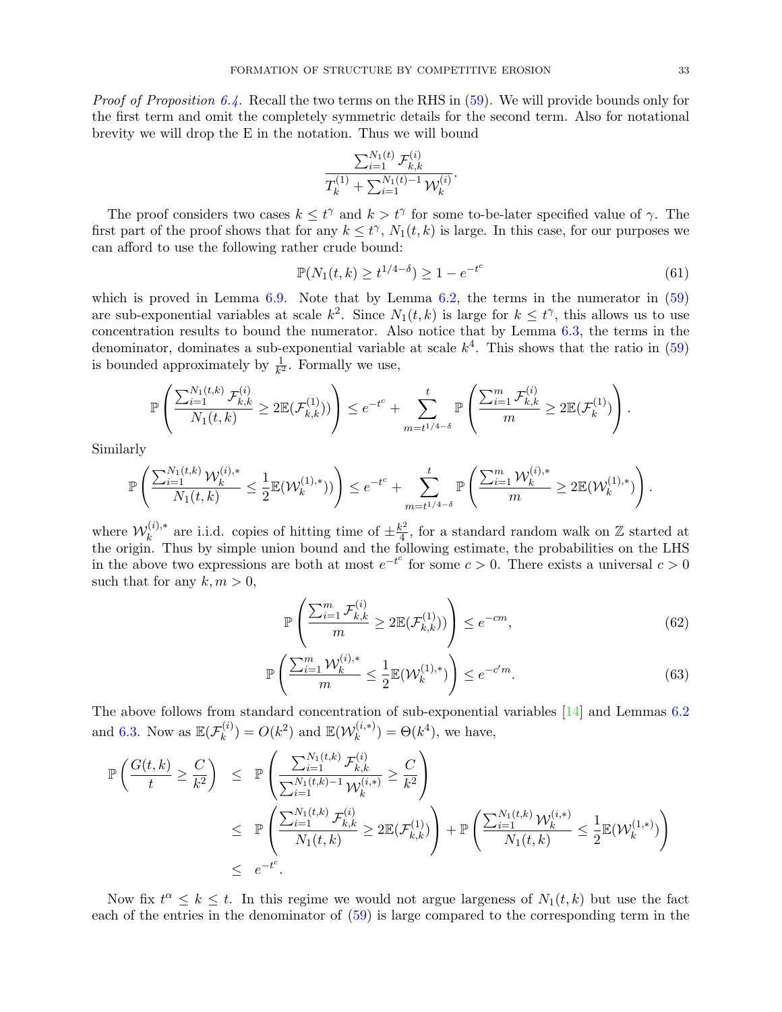*Proof of Proposition [6.4.](#page-30-0)* Recall the two terms on the RHS in  $(59)$ . We will provide bounds only for the first term and omit the completely symmetric details for the second term. Also for notational brevity we will drop the E in the notation. Thus we will bound

$$
\frac{\sum_{i=1}^{N_1(t)}\mathcal{F}_{k,k}^{(i)}}{T_k^{(1)}+\sum_{i=1}^{N_1(t)-1}\mathcal{W}_k^{(i)}}.
$$

The proof considers two cases  $k \leq t^{\gamma}$  and  $k > t^{\gamma}$  for some to-be-later specified value of  $\gamma$ . The first part of the proof shows that for any  $k \leq t^{\gamma}$ ,  $N_1(t, k)$  is large. In this case, for our purposes we can afford to use the following rather crude bound:

<span id="page-32-0"></span>
$$
\mathbb{P}(N_1(t,k) \ge t^{1/4-\delta}) \ge 1 - e^{-t^c}
$$
\n(61)

which is proved in Lemma  $6.9$ . Note that by Lemma  $6.2$ , the terms in the numerator in  $(59)$ are sub-exponential variables at scale  $k^2$ . Since  $N_1(t, k)$  is large for  $k \leq t^{\gamma}$ , this allows us to use concentration results to bound the numerator. Also notice that by Lemma [6.3,](#page-29-2) the terms in the denominator, dominates a sub-exponential variable at scale  $k^4$ . This shows that the ratio in  $(59)$ is bounded approximately by  $\frac{1}{k^2}$ . Formally we use,

$$
\mathbb{P}\left(\frac{\sum_{i=1}^{N_1(t,k)}\mathcal{F}_{k,k}^{(i)}}{N_1(t,k)} \geq 2\mathbb{E}(\mathcal{F}_{k,k}^{(1)}))\right) \leq e^{-t^c} + \sum_{m=t^{1/4-\delta}}^{t} \mathbb{P}\left(\frac{\sum_{i=1}^{m}\mathcal{F}_{k,k}^{(i)}}{m} \geq 2\mathbb{E}(\mathcal{F}_{k}^{(1)})\right).
$$

Similarly

$$
\mathbb{P}\left(\frac{\sum_{i=1}^{N_1(t,k)}\mathcal{W}_k^{(i),*}}{N_1(t,k)} \leq \frac{1}{2}\mathbb{E}(\mathcal{W}_k^{(1),*}))\right) \leq e^{-t^c} + \sum_{m=t^{1/4-\delta}}^t \mathbb{P}\left(\frac{\sum_{i=1}^m\mathcal{W}_k^{(i),*}}{m} \geq 2\mathbb{E}(\mathcal{W}_k^{(1),*})\right).
$$

where  $\mathcal{W}_k^{(i),*}$  $\mathbf{k}^{(i),*}$  are i.i.d. copies of hitting time of  $\pm \frac{k^2}{4}$  $\frac{x^2}{4}$ , for a standard random walk on Z started at the origin. Thus by simple union bound and the following estimate, the probabilities on the LHS in the above two expressions are both at most  $e^{-t^c}$  for some  $c > 0$ . There exists a universal  $c > 0$ such that for any  $k, m > 0$ ,

$$
\mathbb{P}\left(\frac{\sum_{i=1}^{m} \mathcal{F}_{k,k}^{(i)}}{m} \ge 2\mathbb{E}(\mathcal{F}_{k,k}^{(1)})\right) \le e^{-cm},\tag{62}
$$

$$
\mathbb{P}\left(\frac{\sum_{i=1}^{m} \mathcal{W}_k^{(i),*}}{m} \le \frac{1}{2} \mathbb{E}(\mathcal{W}_k^{(1),*})\right) \le e^{-c'm}.\tag{63}
$$

The above follows from standard concentration of sub-exponential variables [\[14\]](#page-41-18) and Lemmas [6.2](#page-29-1) and [6.3.](#page-29-2) Now as  $\mathbb{E}(\mathcal{F}_k^{(i)})$  $k^{(i)}$ ) =  $O(k^2)$  and  $\mathbb{E}(\mathcal{W}_k^{(i,*)})$  $(k^{(i,*)}_k) = \Theta(k^4)$ , we have,

$$
\mathbb{P}\left(\frac{G(t,k)}{t} \geq \frac{C}{k^2}\right) \leq \mathbb{P}\left(\frac{\sum_{i=1}^{N_1(t,k)} \mathcal{F}_{k,k}^{(i)}}{\sum_{i=1}^{N_1(t,k)-1} \mathcal{W}_k^{(i)*}} \geq \frac{C}{k^2}\right) \n\leq \mathbb{P}\left(\frac{\sum_{i=1}^{N_1(t,k)} \mathcal{F}_{k,k}^{(i)}}{N_1(t,k)} \geq 2\mathbb{E}(\mathcal{F}_{k,k}^{(1)})\right) + \mathbb{P}\left(\frac{\sum_{i=1}^{N_1(t,k)} \mathcal{W}_k^{(i)*}}{N_1(t,k)} \leq \frac{1}{2}\mathbb{E}(\mathcal{W}_k^{(1,*)})\right) \n\leq e^{-t^c}.
$$

Now fix  $t^{\alpha} \leq k \leq t$ . In this regime we would not argue largeness of  $N_1(t, k)$  but use the fact each of the entries in the denominator of [\(59\)](#page-29-0) is large compared to the corresponding term in the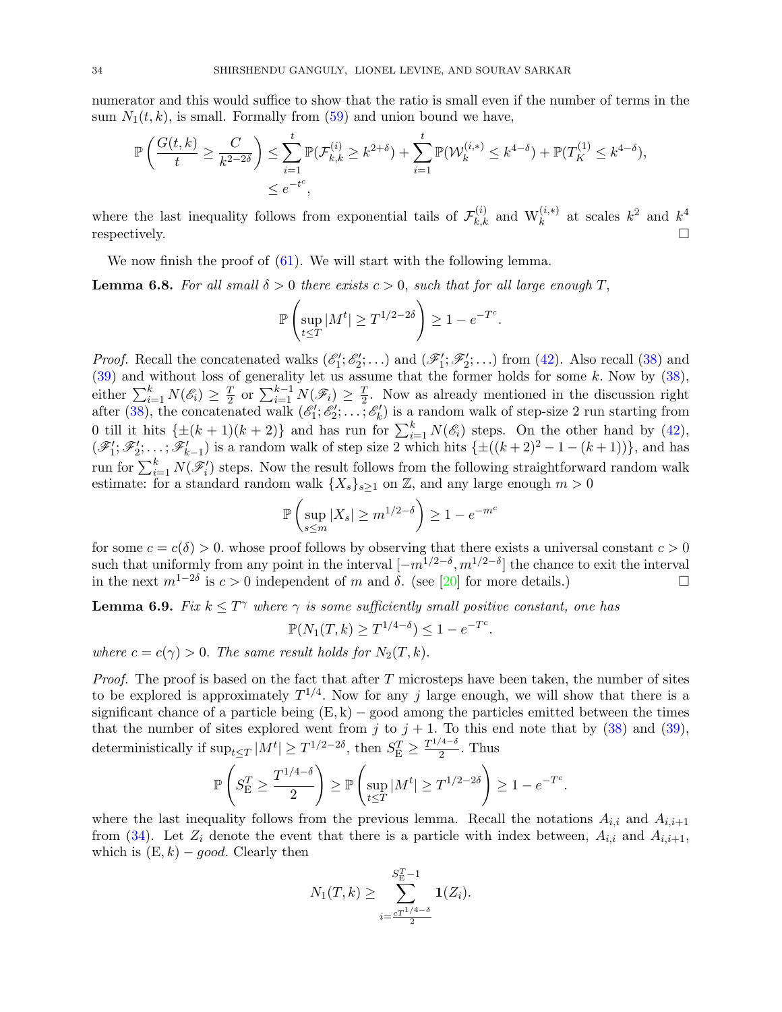numerator and this would suffice to show that the ratio is small even if the number of terms in the sum  $N_1(t, k)$ , is small. Formally from  $(59)$  and union bound we have,

$$
\mathbb{P}\left(\frac{G(t,k)}{t} \ge \frac{C}{k^{2-2\delta}}\right) \le \sum_{i=1}^t \mathbb{P}(\mathcal{F}_{k,k}^{(i)} \ge k^{2+\delta}) + \sum_{i=1}^t \mathbb{P}(\mathcal{W}_k^{(i,*)} \le k^{4-\delta}) + \mathbb{P}(T_K^{(1)} \le k^{4-\delta}),
$$
  

$$
\le e^{-t^c},
$$

where the last inequality follows from exponential tails of  $\mathcal{F}_{k,k}^{(i)}$  and  $W_k^{(i,*)}$  at scales  $k^2$  and  $k^4$ respectively.  $\square$ 

We now finish the proof of  $(61)$ . We will start with the following lemma.

<span id="page-33-0"></span>**Lemma 6.8.** For all small  $\delta > 0$  there exists  $c > 0$ , such that for all large enough T,

$$
\mathbb{P}\left(\sup_{t\leq T}|M^t|\geq T^{1/2-2\delta}\right)\geq 1-e^{-T^c}.
$$

*Proof.* Recall the concatenated walks  $(\mathscr{E}'_1; \mathscr{E}'_2; \ldots)$  and  $(\mathscr{F}'_1; \mathscr{F}'_2; \ldots)$  from [\(42\)](#page-19-2). Also recall [\(38\)](#page-17-0) and 1100). Recall the concatenated wanks  $(e_1, e_2, \ldots)$  and  $(\mathscr{F}_1, \mathscr{F}_2, \ldots)$  from  $(42)$ . Also fecan (56) and [\(39\)](#page-18-1) and without loss of generality let us assume that the former holds for some k. Now by [\(38\)](#page-17-0), either  $\sum_{i=1}^{k} N(\mathscr{E}_i) \geq \frac{T}{2}$  $\frac{T}{2}$  or  $\sum_{i=1}^{k-1} N(\mathscr{F}_i) \geq \frac{T}{2}$  $\frac{T}{2}$ . Now as already mentioned in the discussion right after [\(38\)](#page-17-0), the concatenated walk  $(\mathscr{E}'_1; \mathscr{E}'_2; \ldots; \mathscr{E}'_k)$  is a random walk of step-size 2 run starting from 0 till it hits  $\{\pm (k+1)(k+2)\}\$  and has run for  $\sum_{i=1}^{k} N(\mathscr{E}_i)$  steps. On the other hand by  $(42)$ ,  $(\mathscr{F}'_1; \mathscr{F}'_2; \ldots; \mathscr{F}'_{k-1})$  is a random walk of step size 2 which hits  $\{\pm((k+2)^2-1-(k+1))\}\$ , and has run for  $\sum_{i=1}^{k} N(\mathscr{F}_i')$  steps. Now the result follows from the following straightforward random walk estimate: for a standard random walk  $\{X_s\}_{s\geq 1}$  on Z, and any large enough  $m > 0$ 

$$
\mathbb{P}\left(\sup_{s\leq m}|X_s|\geq m^{1/2-\delta}\right)\geq 1-e^{-m^c}
$$

for some  $c = c(\delta) > 0$ . whose proof follows by observing that there exists a universal constant  $c > 0$ such that uniformly from any point in the interval  $[-m^{1/2-\delta}, m^{1/2-\delta}]$  the chance to exit the interval in the next  $m^{1-2\delta}$  is  $c > 0$  independent of m and  $\delta$ . (see [\[20\]](#page-42-3) for more details.)

<span id="page-33-1"></span>**Lemma 6.9.** Fix  $k \leq T^{\gamma}$  where  $\gamma$  is some sufficiently small positive constant, one has

$$
\mathbb{P}(N_1(T,k) \ge T^{1/4-\delta}) \le 1 - e^{-T^c}.
$$

where  $c = c(\gamma) > 0$ . The same result holds for  $N_2(T, k)$ .

*Proof.* The proof is based on the fact that after  $T$  microsteps have been taken, the number of sites to be explored is approximately  $T^{1/4}$ . Now for any j large enough, we will show that there is a significant chance of a particle being  $(E, k)$  – good among the particles emitted between the times that the number of sites explored went from j to  $j + 1$ . To this end note that by [\(38\)](#page-17-0) and [\(39\)](#page-18-1), deterministically if  $\sup_{t\leq T}|M^t|\geq T^{1/2-2\delta}$ , then  $S_{\mathcal{E}}^T\geq \frac{T^{1/4-\delta}}{2}$  $\frac{1}{2}$ . Thus

$$
\mathbb{P}\left(S_{\mathcal{E}}^T \ge \frac{T^{1/4-\delta}}{2}\right) \ge \mathbb{P}\left(\sup_{t \le T} |M^t| \ge T^{1/2-2\delta}\right) \ge 1 - e^{-T^c}.
$$

where the last inequality follows from the previous lemma. Recall the notations  $A_{i,i}$  and  $A_{i,i+1}$ from [\(34\)](#page-16-2). Let  $Z_i$  denote the event that there is a particle with index between,  $A_{i,i}$  and  $A_{i,i+1}$ . which is  $(E, k) - good$ . Clearly then

$$
N_1(T, k) \ge \sum_{i = \frac{cT^{1/4-\delta}}{2}}^{S_{\rm E}^T - 1} \mathbf{1}(Z_i).
$$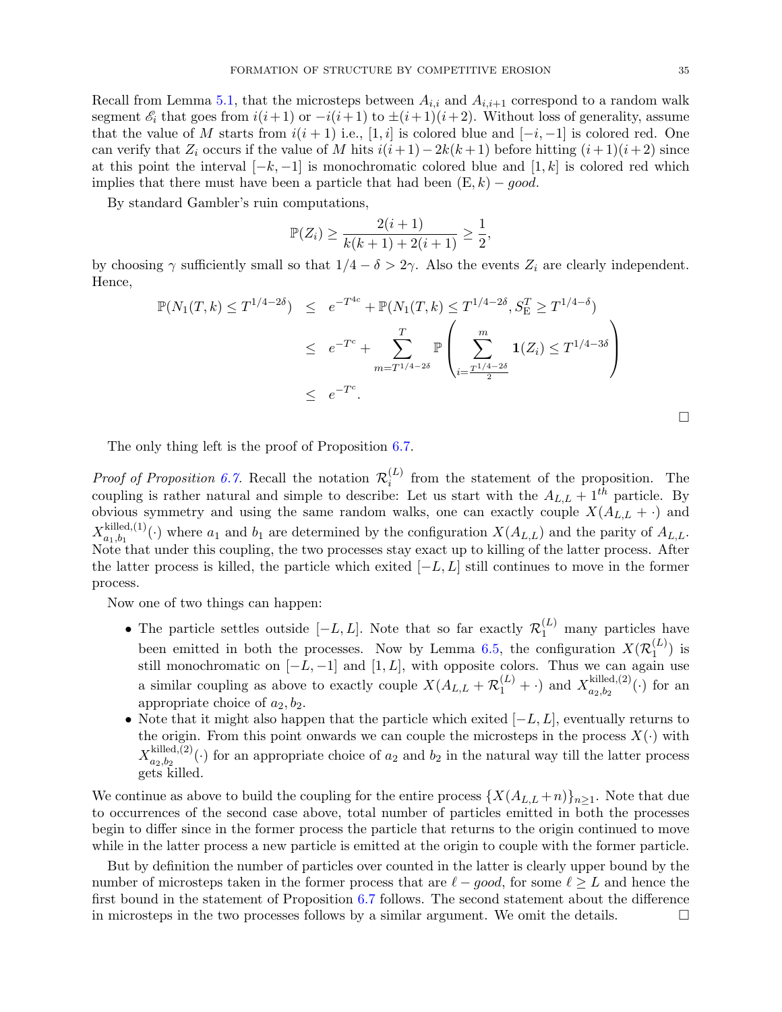Recall from Lemma [5.1,](#page-16-0) that the microsteps between  $A_{i,i}$  and  $A_{i,i+1}$  correspond to a random walk segment  $\mathscr{E}_i$  that goes from  $i(i+1)$  or  $-i(i+1)$  to  $\pm(i+1)(i+2)$ . Without loss of generality, assume that the value of M starts from  $i(i + 1)$  i.e., [1, i] is colored blue and  $[-i, -1]$  is colored red. One can verify that  $Z_i$  occurs if the value of M hits  $i(i+1)-2k(k+1)$  before hitting  $(i+1)(i+2)$  since at this point the interval  $[-k,-1]$  is monochromatic colored blue and  $[1,k]$  is colored red which implies that there must have been a particle that had been  $(E, k) - good$ .

By standard Gambler's ruin computations,

$$
\mathbb{P}(Z_i) \ge \frac{2(i+1)}{k(k+1)+2(i+1)} \ge \frac{1}{2},
$$

by choosing  $\gamma$  sufficiently small so that  $1/4 - \delta > 2\gamma$ . Also the events  $Z_i$  are clearly independent. Hence,

$$
\mathbb{P}(N_1(T,k) \le T^{1/4-2\delta}) \le e^{-T^{4c}} + \mathbb{P}(N_1(T,k) \le T^{1/4-2\delta}, S_{\mathcal{E}}^T \ge T^{1/4-\delta})
$$
  

$$
\le e^{-T^c} + \sum_{m=T^{1/4-2\delta}}^T \mathbb{P}\left(\sum_{i=\frac{T^{1/4-2\delta}}{2}}^m \mathbf{1}(Z_i) \le T^{1/4-3\delta}\right)
$$
  

$$
\le e^{-T^c}.
$$

 $\Box$ 

The only thing left is the proof of Proposition [6.7.](#page-30-2)

*Proof of Proposition [6.7.](#page-30-2)* Recall the notation  $\mathcal{R}_i^{(L)}$  $i<sup>(L)</sup>$  from the statement of the proposition. The coupling is rather natural and simple to describe: Let us start with the  $A_{L,L} + 1^{th}$  particle. By obvious symmetry and using the same random walks, one can exactly couple  $X(A_{L,L} + \cdot)$  and  $X_{a_1,b_1}^{\text{killed},(1)}$  $a_{1},b_{1}$ <sup>L(1)</sup>(.) where  $a_{1}$  and  $b_{1}$  are determined by the configuration  $X(A_{L,L})$  and the parity of  $A_{L,L}$ . Note that under this coupling, the two processes stay exact up to killing of the latter process. After the latter process is killed, the particle which exited  $[-L, L]$  still continues to move in the former process.

Now one of two things can happen:

- The particle settles outside  $[-L, L]$ . Note that so far exactly  $\mathcal{R}_1^{(L)}$  many particles have been emitted in both the processes. Now by Lemma [6.5,](#page-30-3) the configuration  $X(\mathcal{R}_1^{(L)})$  $j^{(L)}_1$  is still monochromatic on  $[-L, -1]$  and  $[1, L]$ , with opposite colors. Thus we can again use a similar coupling as above to exactly couple  $X(A_{L,L} + \mathcal{R}_1^{(L)} + \cdot)$  and  $X_{a_2,b_2}^{\text{killed},(2)}$  $a_{2},b_{2}^{(\text{Rineq},(2))}(\cdot)$  for an appropriate choice of  $a_2, b_2$ .
- Note that it might also happen that the particle which exited  $[-L, L]$ , eventually returns to the origin. From this point onwards we can couple the microsteps in the process  $X(\cdot)$  with  $X_{a_2,b_2}^{\text{killed},(2)}$  $a_{2},b_{2}$ <sup>(1)</sup>(c) for an appropriate choice of  $a_{2}$  and  $b_{2}$  in the natural way till the latter process gets killed.

We continue as above to build the coupling for the entire process  $\{X(A_{L,L} + n)\}_{n \geq 1}$ . Note that due to occurrences of the second case above, total number of particles emitted in both the processes begin to differ since in the former process the particle that returns to the origin continued to move while in the latter process a new particle is emitted at the origin to couple with the former particle.

But by definition the number of particles over counted in the latter is clearly upper bound by the number of microsteps taken in the former process that are  $\ell - good$ , for some  $\ell \geq L$  and hence the first bound in the statement of Proposition [6.7](#page-30-2) follows. The second statement about the difference in microsteps in the two processes follows by a similar argument. We omit the details.  $\Box$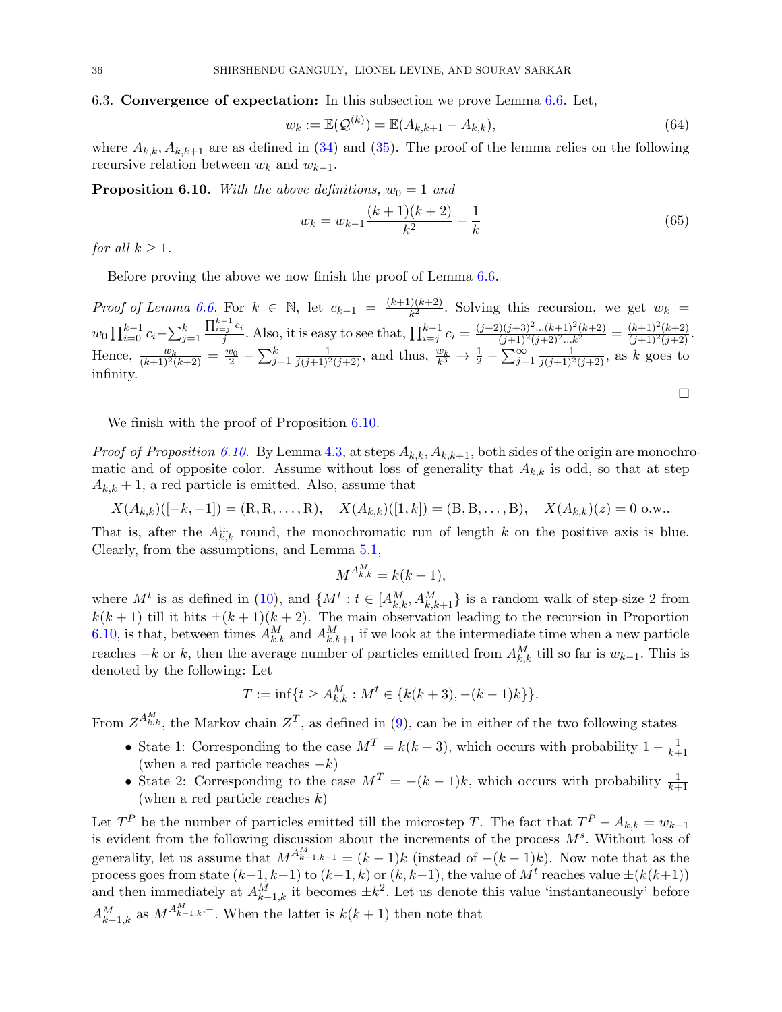### <span id="page-35-0"></span>6.3. Convergence of expectation: In this subsection we prove Lemma [6.6.](#page-30-1) Let,

$$
w_k := \mathbb{E}(\mathcal{Q}^{(k)}) = \mathbb{E}(A_{k,k+1} - A_{k,k}),
$$
\n(64)

where  $A_{k,k}$ ,  $A_{k,k+1}$  are as defined in [\(34\)](#page-16-2) and [\(35\)](#page-16-7). The proof of the lemma relies on the following recursive relation between  $w_k$  and  $w_{k-1}$ .

<span id="page-35-1"></span>**Proposition 6.10.** With the above definitions,  $w_0 = 1$  and

<span id="page-35-2"></span>
$$
w_k = w_{k-1} \frac{(k+1)(k+2)}{k^2} - \frac{1}{k}
$$
\n<sup>(65)</sup>

 $\Box$ 

for all  $k \geq 1$ .

Before proving the above we now finish the proof of Lemma [6.6.](#page-30-1)

*Proof of Lemma [6.6.](#page-30-1)* For  $k \in \mathbb{N}$ , let  $c_{k-1} = \frac{(k+1)(k+2)}{k^2}$  $\frac{f(x+h-1)}{k^2}$ . Solving this recursion, we get  $w_k =$  $w_0 \prod_{i=0}^{k-1} c_i - \sum_{j=1}^{k}$  $\prod_{i=j}^{k-1} c_i$  $\frac{q_{j-1}}{j}$  c<sub>i</sub>. Also, it is easy to see that,  $\prod_{i=j}^{k-1} c_i = \frac{(j+2)(j+3)^2...(k+1)^2(k+2)}{(j+1)^2(j+2)^2...k^2} = \frac{(k+1)^2(k+2)}{(j+1)^2(j+2)}$ . Hence,  $\frac{w_k}{(k+1)^2(k+2)} = \frac{w_0}{2} - \sum_{j=1}^k \frac{1}{j(j+1)^2(j+2)}$ , and thus,  $\frac{w_k}{k^3} \to \frac{1}{2} - \sum_{j=1}^\infty \frac{1}{j(j+1)^2(j+2)}$ , as k goes to infinity.

We finish with the proof of Proposition  $6.10$ .

*Proof of Proposition [6.10.](#page-35-1)* By Lemma [4.3,](#page-14-1) at steps  $A_{k,k}$ ,  $A_{k,k+1}$ , both sides of the origin are monochromatic and of opposite color. Assume without loss of generality that  $A_{k,k}$  is odd, so that at step  $A_{k,k} + 1$ , a red particle is emitted. Also, assume that

$$
X(A_{k,k})([-k,-1]) = (R,R,\ldots,R), \quad X(A_{k,k})([1,k]) = (B,B,\ldots,B), \quad X(A_{k,k})(z) = 0 \text{ o.w.}.
$$

That is, after the  $A_{k,k}^{\text{th}}$  round, the monochromatic run of length k on the positive axis is blue. Clearly, from the assumptions, and Lemma [5.1,](#page-16-0)

$$
M^{A_{k,k}^M} = k(k+1),
$$

where  $M^t$  is as defined in [\(10\)](#page-11-4), and  $\{M^t: t \in [A_{k,k}^M, A_{k,k+1}^M\}$  is a random walk of step-size 2 from  $k(k+1)$  till it hits  $\pm (k+1)(k+2)$ . The main observation leading to the recursion in Proportion [6.10,](#page-35-1) is that, between times  $A_{k,k}^M$  and  $A_{k,k+1}^M$  if we look at the intermediate time when a new particle reaches  $-k$  or k, then the average number of particles emitted from  $A_{k,k}^M$  till so far is  $w_{k-1}$ . This is denoted by the following: Let

$$
T := \inf\{t \ge A_{k,k}^M : M^t \in \{k(k+3), -(k-1)k\}\}.
$$

From  $Z^{A_{k,k}^M}$ , the Markov chain  $Z^T$ , as defined in [\(9\)](#page-11-5), can be in either of the two following states

- State 1: Corresponding to the case  $M<sup>T</sup> = k(k+3)$ , which occurs with probability  $1 \frac{1}{k+1}$  $k+1$ (when a red particle reaches  $-k$ )
- State 2: Corresponding to the case  $M^T = -(k-1)k$ , which occurs with probability  $\frac{1}{k+1}$ (when a red particle reaches  $k$ )

Let  $T^P$  be the number of particles emitted till the microstep T. The fact that  $T^P - A_{k,k} = w_{k-1}$ is evident from the following discussion about the increments of the process  $M<sup>s</sup>$ . Without loss of generality, let us assume that  $M^{A_{k-1,k-1}^M} = (k-1)k$  (instead of  $-(k-1)k$ ). Now note that as the process goes from state  $(k-1, k-1)$  to  $(k-1, k)$  or  $(k, k-1)$ , the value of  $M<sup>t</sup>$  reaches value  $\pm (k(k+1))$ and then immediately at  $A_{k-1,k}^M$  it becomes  $\pm k^2$ . Let us denote this value 'instantaneously' before  $A_{k-1,k}^M$  as  $M^{A_{k-1,k}^M,-}$ . When the latter is  $k(k+1)$  then note that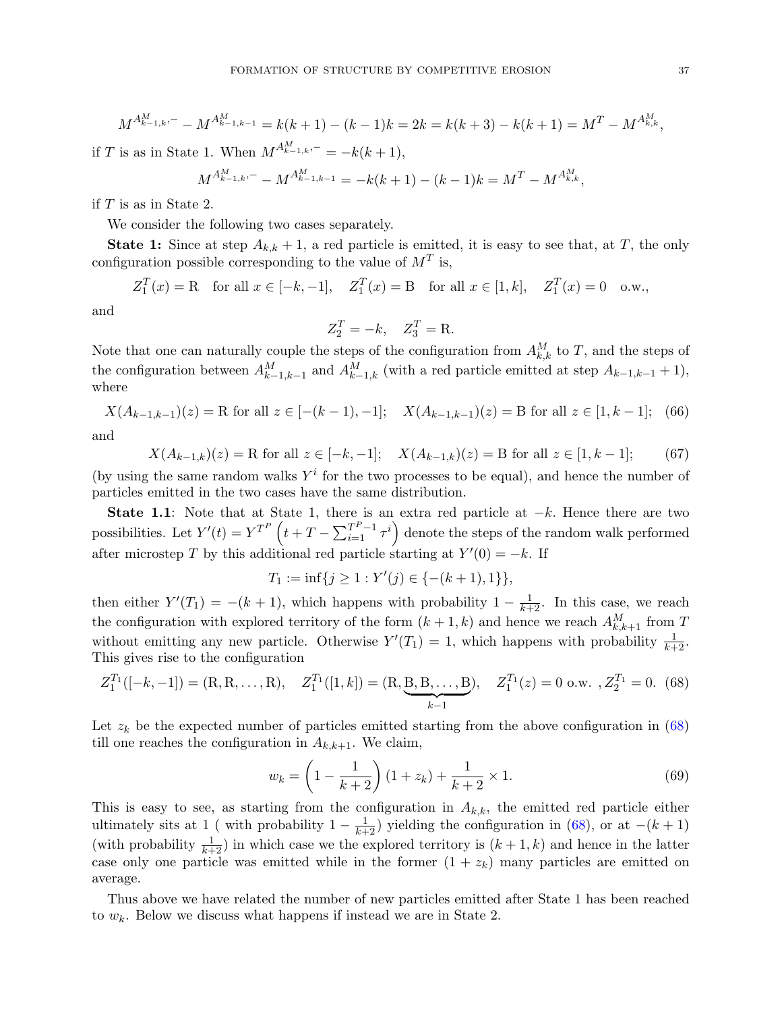$$
M^{A_{k-1,k}^M,-} - M^{A_{k-1,k-1}^M} = k(k+1) - (k-1)k = 2k = k(k+3) - k(k+1) = M^T - M^{A_{k,k}^M},
$$

if T is as in State 1. When  $M^{A_{k-1,k}^M,-} = -k(k+1),$ 

$$
M^{A_{k-1,k}^M,-} - M^{A_{k-1,k-1}^M} = -k(k+1) - (k-1)k = M^T - M^{A_{k,k}^M},
$$

if  $T$  is as in State 2.

We consider the following two cases separately.

**State 1:** Since at step  $A_{k,k} + 1$ , a red particle is emitted, it is easy to see that, at T, the only configuration possible corresponding to the value of  $M<sup>T</sup>$  is,

 $Z_1^T(x) = R$  for all  $x \in [-k, -1]$ ,  $Z_1^T(x) = B$  for all  $x \in [1, k]$ ,  $Z_1^T(x) = 0$  o.w.,

and

$$
Z_2^T = -k, \quad Z_3^T = \mathbf{R}.
$$

Note that one can naturally couple the steps of the configuration from  $A_{k,k}^M$  to T, and the steps of the configuration between  $A_{k-1,k-1}^M$  and  $A_{k-1,k}^M$  (with a red particle emitted at step  $A_{k-1,k-1}$  + 1), where

$$
X(A_{k-1,k-1})(z) = \text{R for all } z \in [-(k-1), -1]; \quad X(A_{k-1,k-1})(z) = \text{B for all } z \in [1, k-1]; \tag{66}
$$

and

<span id="page-36-1"></span>
$$
X(A_{k-1,k})(z) = \text{R for all } z \in [-k, -1]; \quad X(A_{k-1,k})(z) = \text{B for all } z \in [1, k-1]; \tag{67}
$$

(by using the same random walks  $Y^i$  for the two processes to be equal), and hence the number of particles emitted in the two cases have the same distribution.

State 1.1: Note that at State 1, there is an extra red particle at  $-k$ . Hence there are two possibilities. Let  $Y'(t) = Y^{T^P} \left( t + T - \sum_{i=1}^{T^P-1} \tau^i \right)$  denote the steps of the random walk performed after microstep T by this additional red particle starting at  $Y'(0) = -k$ . If

$$
T_1 := \inf\{j \ge 1 : Y'(j) \in \{-(k+1), 1\}\},\
$$

then either  $Y'(T_1) = -(k+1)$ , which happens with probability  $1 - \frac{1}{k+2}$ . In this case, we reach the configuration with explored territory of the form  $(k+1, k)$  and hence we reach  $A_{k,k+1}^M$  from T without emitting any new particle. Otherwise  $Y'(T_1) = 1$ , which happens with probability  $\frac{1}{k+2}$ . This gives rise to the configuration

<span id="page-36-0"></span>
$$
Z_1^{T_1}([-k,-1]) = (\mathbf{R}, \mathbf{R}, \dots, \mathbf{R}), \quad Z_1^{T_1}([1,k]) = (\mathbf{R}, \underbrace{\mathbf{B}, \mathbf{B}, \dots, \mathbf{B}}_{k-1}), \quad Z_1^{T_1}(z) = 0 \text{ o.w. }, Z_2^{T_1} = 0. \tag{68}
$$

Let  $z_k$  be the expected number of particles emitted starting from the above configuration in  $(68)$ till one reaches the configuration in  $A_{k,k+1}$ . We claim,

<span id="page-36-2"></span>
$$
w_k = \left(1 - \frac{1}{k+2}\right)(1+z_k) + \frac{1}{k+2} \times 1.
$$
 (69)

This is easy to see, as starting from the configuration in  $A_{k,k}$ , the emitted red particle either ultimately sits at 1 ( with probability  $1 - \frac{1}{k+2}$ ) yielding the configuration in [\(68\)](#page-36-0), or at  $-(k+1)$ (with probability  $\frac{1}{k+2}$ ) in which case we the explored territory is  $(k+1, k)$  and hence in the latter case only one particle was emitted while in the former  $(1 + z_k)$  many particles are emitted on average.

Thus above we have related the number of new particles emitted after State 1 has been reached to  $w_k$ . Below we discuss what happens if instead we are in State 2.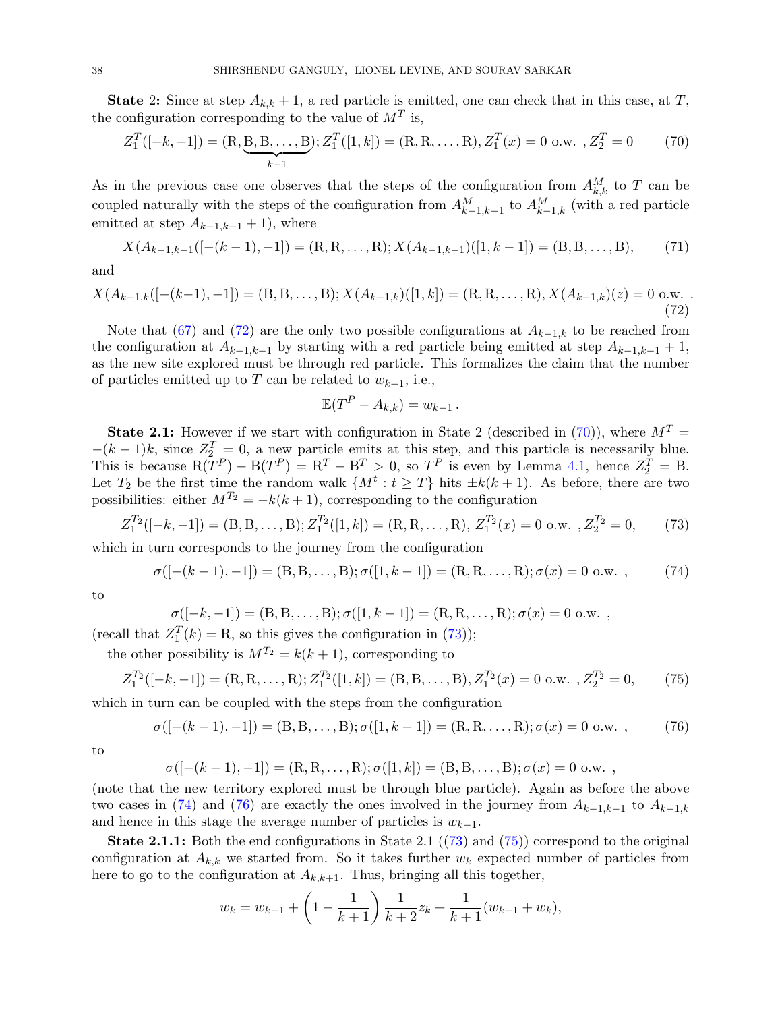**State 2:** Since at step  $A_{k,k} + 1$ , a red particle is emitted, one can check that in this case, at T, the configuration corresponding to the value of  $M<sup>T</sup>$  is,

<span id="page-37-1"></span>
$$
Z_1^T([-k,-1]) = (\mathbf{R}, \underbrace{\mathbf{B}, \mathbf{B}, \dots, \mathbf{B}}_{k-1}); Z_1^T([1,k]) = (\mathbf{R}, \mathbf{R}, \dots, \mathbf{R}), Z_1^T(x) = 0 \text{ o.w. }, Z_2^T = 0 \tag{70}
$$

As in the previous case one observes that the steps of the configuration from  $A_{k,k}^M$  to T can be coupled naturally with the steps of the configuration from  $A_{k-1,k-1}^M$  to  $A_{k-1,k}^M$  (with a red particle emitted at step  $A_{k-1,k-1}$  + 1), where

$$
X(A_{k-1,k-1}([- (k-1), -1]) = (R, R, \dots, R); X(A_{k-1,k-1})([1, k-1]) = (B, B, \dots, B),
$$
 (71)

and

<span id="page-37-0"></span>
$$
X(A_{k-1,k}([- (k-1), -1]) = (B, B, \dots, B); X(A_{k-1,k})([1, k]) = (R, R, \dots, R), X(A_{k-1,k})(z) = 0 \text{ o.w. } (72)
$$

Note that [\(67\)](#page-36-1) and [\(72\)](#page-37-0) are the only two possible configurations at  $A_{k-1,k}$  to be reached from the configuration at  $A_{k-1,k-1}$  by starting with a red particle being emitted at step  $A_{k-1,k-1} + 1$ , as the new site explored must be through red particle. This formalizes the claim that the number of particles emitted up to T can be related to  $w_{k-1}$ , i.e.,

$$
\mathbb{E}(T^P - A_{k,k}) = w_{k-1}.
$$

**State 2.1:** However if we start with configuration in State 2 (described in [\(70\)](#page-37-1)), where  $M<sup>T</sup>$  $-(k-1)k$ , since  $Z_2^T = 0$ , a new particle emits at this step, and this particle is necessarily blue. This is because  $R(T^P) - B(T^P) = R^T - B^T > 0$ , so  $T^P$  is even by Lemma [4.1,](#page-12-2) hence  $Z_2^T = B$ . Let  $T_2$  be the first time the random walk  $\{M^t : t \geq T\}$  hits  $\pm k(k+1)$ . As before, there are two possibilities: either  $M^{T_2} = -k(k+1)$ , corresponding to the configuration

<span id="page-37-2"></span>
$$
Z_1^{T_2}([-k,-1]) = (B,B,\ldots,B); Z_1^{T_2}([1,k]) = (R,R,\ldots,R), Z_1^{T_2}(x) = 0 \text{ o.w. }, Z_2^{T_2} = 0,
$$
 (73)

which in turn corresponds to the journey from the configuration

<span id="page-37-3"></span>
$$
\sigma([- (k-1), -1]) = (B, B, \dots, B); \sigma([1, k-1]) = (R, R, \dots, R); \sigma(x) = 0 \text{ o.w. }, \quad (74)
$$

to

$$
\sigma([-k,-1]) = (B,B,\ldots,B); \sigma([1,k-1]) = (R,R,\ldots,R); \sigma(x) = 0 \text{ o.w. },
$$

(recall that  $Z_1^T(k) = R$ , so this gives the configuration in [\(73\)](#page-37-2));

the other possibility is  $M^{T_2} = k(k+1)$ , corresponding to

<span id="page-37-5"></span>
$$
Z_1^{T_2}([-k,-1]) = (R, R, ..., R); Z_1^{T_2}([1,k]) = (B, B, ..., B), Z_1^{T_2}(x) = 0 \text{ o.w. }, Z_2^{T_2} = 0,
$$
 (75)

which in turn can be coupled with the steps from the configuration

<span id="page-37-4"></span>
$$
\sigma([- (k-1), -1]) = (B, B, \dots, B); \sigma([1, k-1]) = (R, R, \dots, R); \sigma(x) = 0 \text{ o.w. }, \qquad (76)
$$

to

$$
\sigma([- (k-1), -1]) = (R, R, \dots, R); \sigma([1, k]) = (B, B, \dots, B); \sigma(x) = 0 \text{ o.w. },
$$

(note that the new territory explored must be through blue particle). Again as before the above two cases in [\(74\)](#page-37-3) and [\(76\)](#page-37-4) are exactly the ones involved in the journey from  $A_{k-1,k-1}$  to  $A_{k-1,k}$ and hence in this stage the average number of particles is  $w_{k-1}$ .

**State 2.1.1:** Both the end configurations in State 2.1  $((73)$  $((73)$  and  $(75)$ ) correspond to the original configuration at  $A_{k,k}$  we started from. So it takes further  $w_k$  expected number of particles from here to go to the configuration at  $A_{k,k+1}$ . Thus, bringing all this together,

$$
w_k = w_{k-1} + \left(1 - \frac{1}{k+1}\right) \frac{1}{k+2} z_k + \frac{1}{k+1} (w_{k-1} + w_k),
$$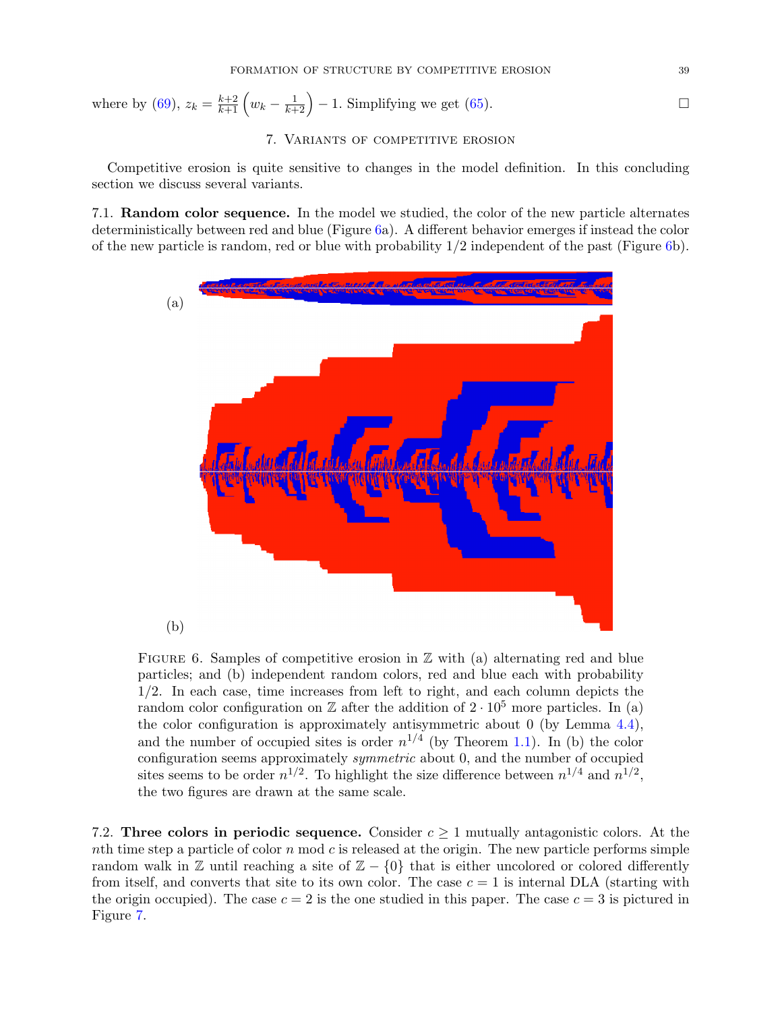where by [\(69\)](#page-36-2),  $z_k = \frac{k+2}{k+1} \left( w_k - \frac{1}{k+2} \right) - 1$ . Simplifying we get [\(65\)](#page-35-2).

# 7. Variants of competitive erosion

Competitive erosion is quite sensitive to changes in the model definition. In this concluding section we discuss several variants.

7.1. Random color sequence. In the model we studied, the color of the new particle alternates deterministically between red and blue (Figure [6a](#page-38-0)). A different behavior emerges if instead the color of the new particle is random, red or blue with probability  $1/2$  independent of the past (Figure [6b](#page-38-0)).



<span id="page-38-0"></span>FIGURE 6. Samples of competitive erosion in  $\mathbb Z$  with (a) alternating red and blue particles; and (b) independent random colors, red and blue each with probability 1/2. In each case, time increases from left to right, and each column depicts the random color configuration on  $\mathbb Z$  after the addition of  $2 \cdot 10^5$  more particles. In (a) the color configuration is approximately antisymmetric about 0 (by Lemma [4.4\)](#page-15-1), and the number of occupied sites is order  $n^{1/4}$  (by Theorem [1.1\)](#page-0-0). In (b) the color configuration seems approximately *symmetric* about 0, and the number of occupied sites seems to be order  $n^{1/2}$ . To highlight the size difference between  $n^{1/4}$  and  $n^{1/2}$ , the two figures are drawn at the same scale.

7.2. Three colors in periodic sequence. Consider  $c \geq 1$  mutually antagonistic colors. At the nth time step a particle of color n mod c is released at the origin. The new particle performs simple random walk in  $\mathbb Z$  until reaching a site of  $\mathbb Z$  – {0} that is either uncolored or colored differently from itself, and converts that site to its own color. The case  $c = 1$  is internal DLA (starting with the origin occupied). The case  $c = 2$  is the one studied in this paper. The case  $c = 3$  is pictured in Figure [7.](#page-39-0)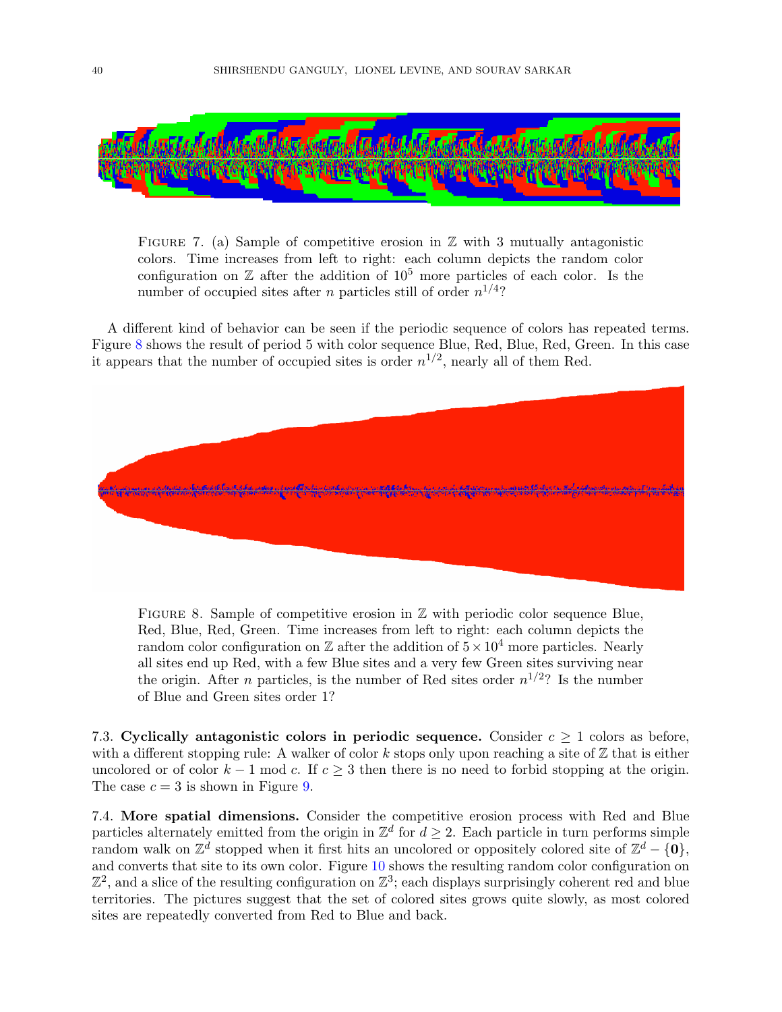

<span id="page-39-0"></span>FIGURE 7. (a) Sample of competitive erosion in  $\mathbb Z$  with 3 mutually antagonistic colors. Time increases from left to right: each column depicts the random color configuration on  $\mathbb Z$  after the addition of  $10^5$  more particles of each color. Is the number of occupied sites after *n* particles still of order  $n^{1/4}$ ?

A different kind of behavior can be seen if the periodic sequence of colors has repeated terms. Figure [8](#page-39-1) shows the result of period 5 with color sequence Blue, Red, Blue, Red, Green. In this case it appears that the number of occupied sites is order  $n^{1/2}$ , nearly all of them Red.



<span id="page-39-1"></span>FIGURE 8. Sample of competitive erosion in  $\mathbb Z$  with periodic color sequence Blue, Red, Blue, Red, Green. Time increases from left to right: each column depicts the random color configuration on  $\mathbb Z$  after the addition of  $5 \times 10^4$  more particles. Nearly all sites end up Red, with a few Blue sites and a very few Green sites surviving near the origin. After *n* particles, is the number of Red sites order  $n^{1/2}$ ? Is the number of Blue and Green sites order 1?

7.3. Cyclically antagonistic colors in periodic sequence. Consider  $c \geq 1$  colors as before, with a different stopping rule: A walker of color k stops only upon reaching a site of  $\mathbb Z$  that is either uncolored or of color  $k-1$  mod c. If  $c \geq 3$  then there is no need to forbid stopping at the origin. The case  $c = 3$  is shown in Figure [9.](#page-40-1)

7.4. More spatial dimensions. Consider the competitive erosion process with Red and Blue particles alternately emitted from the origin in  $\mathbb{Z}^d$  for  $d \geq 2$ . Each particle in turn performs simple random walk on  $\mathbb{Z}^d$  stopped when it first hits an uncolored or oppositely colored site of  $\mathbb{Z}^d - \{0\}$ , and converts that site to its own color. Figure [10](#page-40-0) shows the resulting random color configuration on  $\mathbb{Z}^2$ , and a slice of the resulting configuration on  $\mathbb{Z}^3$ ; each displays surprisingly coherent red and blue territories. The pictures suggest that the set of colored sites grows quite slowly, as most colored sites are repeatedly converted from Red to Blue and back.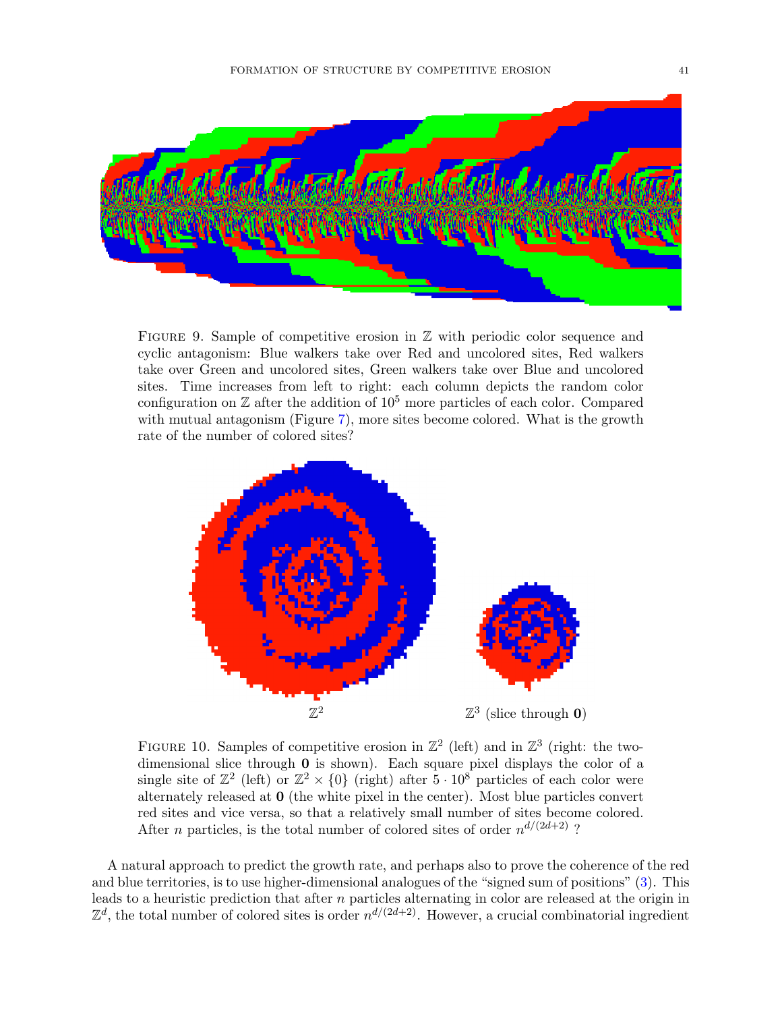

<span id="page-40-1"></span>FIGURE 9. Sample of competitive erosion in  $\mathbb Z$  with periodic color sequence and cyclic antagonism: Blue walkers take over Red and uncolored sites, Red walkers take over Green and uncolored sites, Green walkers take over Blue and uncolored sites. Time increases from left to right: each column depicts the random color configuration on  $\mathbb Z$  after the addition of  $10^5$  more particles of each color. Compared with mutual antagonism (Figure [7\)](#page-39-0), more sites become colored. What is the growth rate of the number of colored sites?



<span id="page-40-0"></span>FIGURE 10. Samples of competitive erosion in  $\mathbb{Z}^2$  (left) and in  $\mathbb{Z}^3$  (right: the twodimensional slice through 0 is shown). Each square pixel displays the color of a single site of  $\mathbb{Z}^2$  (left) or  $\mathbb{Z}^2 \times \{0\}$  (right) after  $5 \cdot 10^8$  particles of each color were alternately released at 0 (the white pixel in the center). Most blue particles convert red sites and vice versa, so that a relatively small number of sites become colored. After *n* particles, is the total number of colored sites of order  $n^{d/(2d+2)}$ ?

A natural approach to predict the growth rate, and perhaps also to prove the coherence of the red and blue territories, is to use higher-dimensional analogues of the "signed sum of positions" [\(3\)](#page-5-0). This leads to a heuristic prediction that after n particles alternating in color are released at the origin in  $\mathbb{Z}^d$ , the total number of colored sites is order  $n^{d/(2d+2)}$ . However, a crucial combinatorial ingredient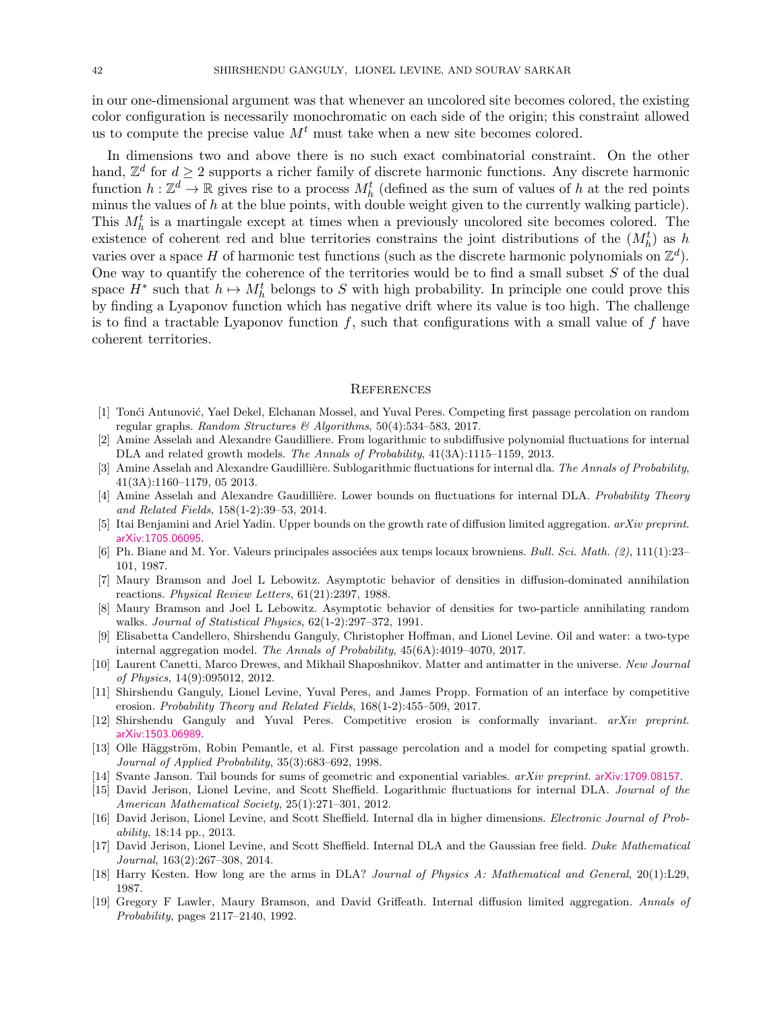in our one-dimensional argument was that whenever an uncolored site becomes colored, the existing color configuration is necessarily monochromatic on each side of the origin; this constraint allowed us to compute the precise value  $M<sup>t</sup>$  must take when a new site becomes colored.

In dimensions two and above there is no such exact combinatorial constraint. On the other hand,  $\mathbb{Z}^d$  for  $d \geq 2$  supports a richer family of discrete harmonic functions. Any discrete harmonic function  $h: \mathbb{Z}^d \to \mathbb{R}$  gives rise to a process  $M_h^t$  (defined as the sum of values of h at the red points minus the values of  $h$  at the blue points, with double weight given to the currently walking particle). This  $M_h^t$  is a martingale except at times when a previously uncolored site becomes colored. The existence of coherent red and blue territories constrains the joint distributions of the  $(M_h^t)$  as h varies over a space H of harmonic test functions (such as the discrete harmonic polynomials on  $\mathbb{Z}^d$ ). One way to quantify the coherence of the territories would be to find a small subset  $S$  of the dual space  $H^*$  such that  $h \mapsto M_h^t$  belongs to S with high probability. In principle one could prove this by finding a Lyaponov function which has negative drift where its value is too high. The challenge is to find a tractable Lyaponov function  $f$ , such that configurations with a small value of  $f$  have coherent territories.

### **REFERENCES**

- <span id="page-41-14"></span>[1] Tonći Antunović, Yael Dekel, Elchanan Mossel, and Yuval Peres. Competing first passage percolation on random regular graphs. Random Structures & Algorithms,  $50(4):534-583$ , 2017.
- <span id="page-41-2"></span>[2] Amine Asselah and Alexandre Gaudilliere. From logarithmic to subdiffusive polynomial fluctuations for internal DLA and related growth models. The Annals of Probability,  $41(3A):1115-1159$ , 2013.
- <span id="page-41-3"></span>[3] Amine Asselah and Alexandre Gaudillière. Sublogarithmic fluctuations for internal dla. The Annals of Probability, 41(3A):1160–1179, 05 2013.
- <span id="page-41-4"></span>[4] Amine Asselah and Alexandre Gaudillière. Lower bounds on fluctuations for internal DLA. Probability Theory and Related Fields, 158(1-2):39–53, 2014.
- <span id="page-41-10"></span>[5] Itai Benjamini and Ariel Yadin. Upper bounds on the growth rate of diffusion limited aggregation. arXiv preprint. [arXiv:1705.06095](http://arxiv.org/abs/1705.06095).
- <span id="page-41-16"></span>[6] Ph. Biane and M. Yor. Valeurs principales associées aux temps locaux browniens. Bull. Sci. Math.  $(2)$ , 111(1):23– 101, 1987.
- <span id="page-41-12"></span>[7] Maury Bramson and Joel L Lebowitz. Asymptotic behavior of densities in diffusion-dominated annihilation reactions. Physical Review Letters, 61(21):2397, 1988.
- <span id="page-41-13"></span>[8] Maury Bramson and Joel L Lebowitz. Asymptotic behavior of densities for two-particle annihilating random walks. Journal of Statistical Physics, 62(1-2):297–372, 1991.
- <span id="page-41-11"></span>[9] Elisabetta Candellero, Shirshendu Ganguly, Christopher Hoffman, and Lionel Levine. Oil and water: a two-type internal aggregation model. The Annals of Probability, 45(6A):4019–4070, 2017.
- <span id="page-41-17"></span>[10] Laurent Canetti, Marco Drewes, and Mikhail Shaposhnikov. Matter and antimatter in the universe. New Journal of Physics, 14(9):095012, 2012.
- <span id="page-41-0"></span>[11] Shirshendu Ganguly, Lionel Levine, Yuval Peres, and James Propp. Formation of an interface by competitive erosion. Probability Theory and Related Fields, 168(1-2):455–509, 2017.
- <span id="page-41-8"></span>[12] Shirshendu Ganguly and Yuval Peres. Competitive erosion is conformally invariant. arXiv preprint. [arXiv:1503.06989](http://arxiv.org/abs/1503.06989).
- <span id="page-41-15"></span>[13] Olle Häggström, Robin Pemantle, et al. First passage percolation and a model for competing spatial growth. Journal of Applied Probability, 35(3):683–692, 1998.
- <span id="page-41-18"></span>[14] Svante Janson. Tail bounds for sums of geometric and exponential variables. arXiv preprint. [arXiv:1709.08157](http://arxiv.org/abs/1709.08157).
- <span id="page-41-5"></span>[15] David Jerison, Lionel Levine, and Scott Sheffield. Logarithmic fluctuations for internal DLA. *Journal of the* American Mathematical Society, 25(1):271–301, 2012.
- <span id="page-41-6"></span>[16] David Jerison, Lionel Levine, and Scott Sheffield. Internal dla in higher dimensions. Electronic Journal of Probability, 18:14 pp., 2013.
- <span id="page-41-7"></span>[17] David Jerison, Lionel Levine, and Scott Sheffield. Internal DLA and the Gaussian free field. Duke Mathematical Journal, 163(2):267–308, 2014.
- <span id="page-41-9"></span>[18] Harry Kesten. How long are the arms in DLA? Journal of Physics A: Mathematical and General, 20(1):L29, 1987.
- <span id="page-41-1"></span>[19] Gregory F Lawler, Maury Bramson, and David Griffeath. Internal diffusion limited aggregation. Annals of Probability, pages 2117–2140, 1992.